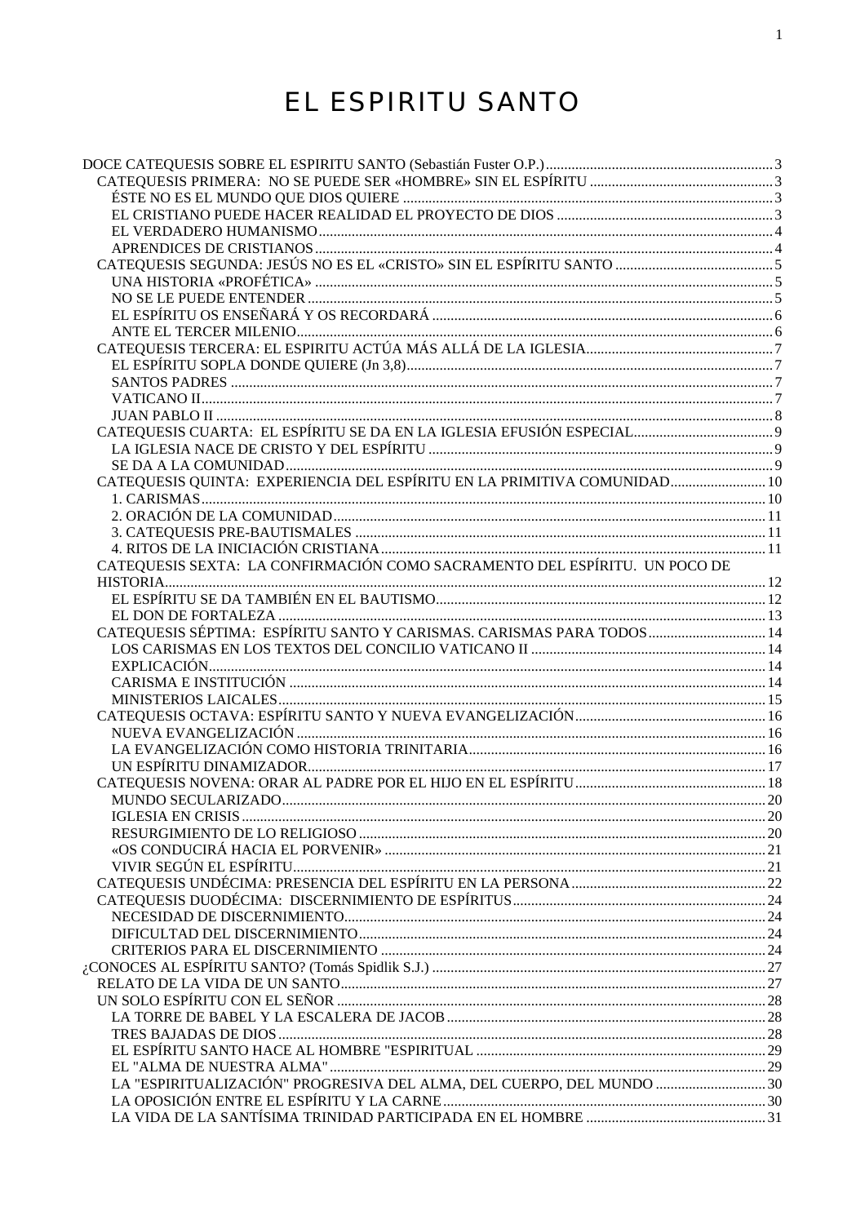# **EL ESPIRITU SANTO**

| CATEQUESIS QUINTA: EXPERIENCIA DEL ESPÍRITU EN LA PRIMITIVA COMUNIDAD 10 |  |
|--------------------------------------------------------------------------|--|
|                                                                          |  |
|                                                                          |  |
|                                                                          |  |
|                                                                          |  |
|                                                                          |  |
|                                                                          |  |
|                                                                          |  |
|                                                                          |  |
| CATEQUESIS SÉPTIMA: ESPÍRITU SANTO Y CARISMAS. CARISMAS PARA TODOS  14   |  |
|                                                                          |  |
|                                                                          |  |
|                                                                          |  |
|                                                                          |  |
|                                                                          |  |
|                                                                          |  |
|                                                                          |  |
|                                                                          |  |
|                                                                          |  |
|                                                                          |  |
|                                                                          |  |
|                                                                          |  |
|                                                                          |  |
|                                                                          |  |
|                                                                          |  |
|                                                                          |  |
|                                                                          |  |
|                                                                          |  |
|                                                                          |  |
|                                                                          |  |
|                                                                          |  |
|                                                                          |  |
|                                                                          |  |
|                                                                          |  |
|                                                                          |  |
| LA "ESPIRITUALIZACIÓN" PROGRESIVA DEL ALMA, DEL CUERPO, DEL MUNDO 30     |  |
|                                                                          |  |
|                                                                          |  |
|                                                                          |  |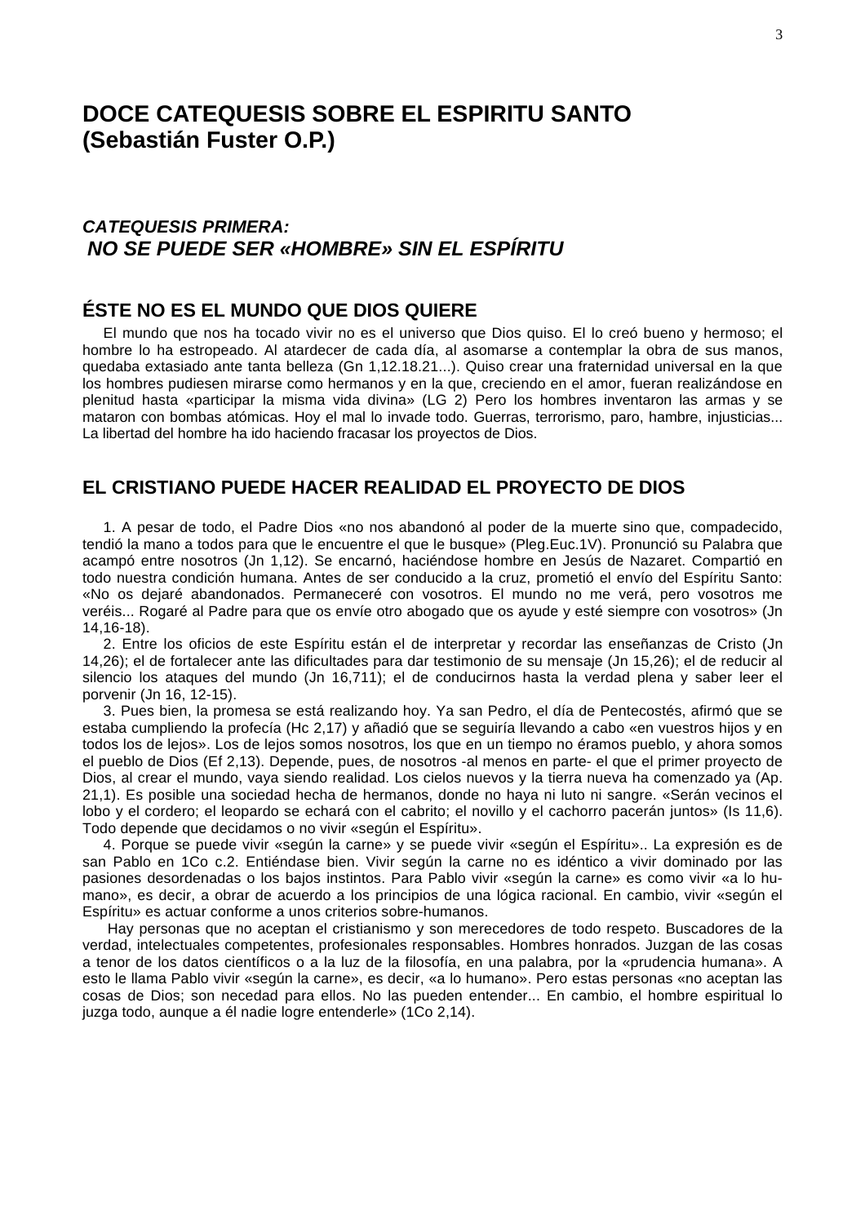# <span id="page-2-0"></span>**DOCE CATEQUESIS SOBRE EL ESPIRITU SANTO (Sebastián Fuster O.P.)**

## *CATEQUESIS PRIMERA: NO SE PUEDE SER «HOMBRE» SIN EL ESPÍRITU*

### **ÉSTE NO ES EL MUNDO QUE DIOS QUIERE**

El mundo que nos ha tocado vivir no es el universo que Dios quiso. El lo creó bueno y hermoso; el hombre lo ha estropeado. Al atardecer de cada día, al asomarse a contemplar la obra de sus manos, quedaba extasiado ante tanta belleza (Gn 1,12.18.21...). Quiso crear una fraternidad universal en la que los hombres pudiesen mirarse como hermanos y en la que, creciendo en el amor, fueran realizándose en plenitud hasta «participar la misma vida divina» (LG 2) Pero los hombres inventaron las armas y se mataron con bombas atómicas. Hoy el mal lo invade todo. Guerras, terrorismo, paro, hambre, injusticias... La libertad del hombre ha ido haciendo fracasar los proyectos de Dios.

## **EL CRISTIANO PUEDE HACER REALIDAD EL PROYECTO DE DIOS**

1. A pesar de todo, el Padre Dios «no nos abandonó al poder de la muerte sino que, compadecido, tendió la mano a todos para que le encuentre el que le busque» (Pleg.Euc.1V). Pronunció su Palabra que acampó entre nosotros (Jn 1,12). Se encarnó, haciéndose hombre en Jesús de Nazaret. Compartió en todo nuestra condición humana. Antes de ser conducido a la cruz, prometió el envío del Espíritu Santo: «No os dejaré abandonados. Permaneceré con vosotros. El mundo no me verá, pero vosotros me veréis... Rogaré al Padre para que os envíe otro abogado que os ayude y esté siempre con vosotros» (Jn 14,16-18).

2. Entre los oficios de este Espíritu están el de interpretar y recordar las enseñanzas de Cristo (Jn 14,26); el de fortalecer ante las dificultades para dar testimonio de su mensaje (Jn 15,26); el de reducir al silencio los ataques del mundo (Jn 16,711); el de conducirnos hasta la verdad plena y saber leer el porvenir (Jn 16, 12-15).

3. Pues bien, la promesa se está realizando hoy. Ya san Pedro, el día de Pentecostés, afirmó que se estaba cumpliendo la profecía (Hc 2,17) y añadió que se seguiría llevando a cabo «en vuestros hijos y en todos los de lejos». Los de lejos somos nosotros, los que en un tiempo no éramos pueblo, y ahora somos el pueblo de Dios (Ef 2,13). Depende, pues, de nosotros -al menos en parte- el que el primer proyecto de Dios, al crear el mundo, vaya siendo realidad. Los cielos nuevos y la tierra nueva ha comenzado ya (Ap. 21,1). Es posible una sociedad hecha de hermanos, donde no haya ni luto ni sangre. «Serán vecinos el lobo y el cordero; el leopardo se echará con el cabrito; el novillo y el cachorro pacerán juntos» (Is 11,6). Todo depende que decidamos o no vivir «según el Espíritu».

4. Porque se puede vivir «según la carne» y se puede vivir «según el Espíritu».. La expresión es de san Pablo en 1Co c.2. Entiéndase bien. Vivir según la carne no es idéntico a vivir dominado por las pasiones desordenadas o los bajos instintos. Para Pablo vivir «según la carne» es como vivir «a lo humano», es decir, a obrar de acuerdo a los principios de una lógica racional. En cambio, vivir «según el Espíritu» es actuar conforme a unos criterios sobre-humanos.

 Hay personas que no aceptan el cristianismo y son merecedores de todo respeto. Buscadores de la verdad, intelectuales competentes, profesionales responsables. Hombres honrados. Juzgan de las cosas a tenor de los datos científicos o a la luz de la filosofía, en una palabra, por la «prudencia humana». A esto le llama Pablo vivir «según la carne», es decir, «a lo humano». Pero estas personas «no aceptan las cosas de Dios; son necedad para ellos. No las pueden entender... En cambio, el hombre espiritual lo juzga todo, aunque a él nadie logre entenderle» (1Co 2,14).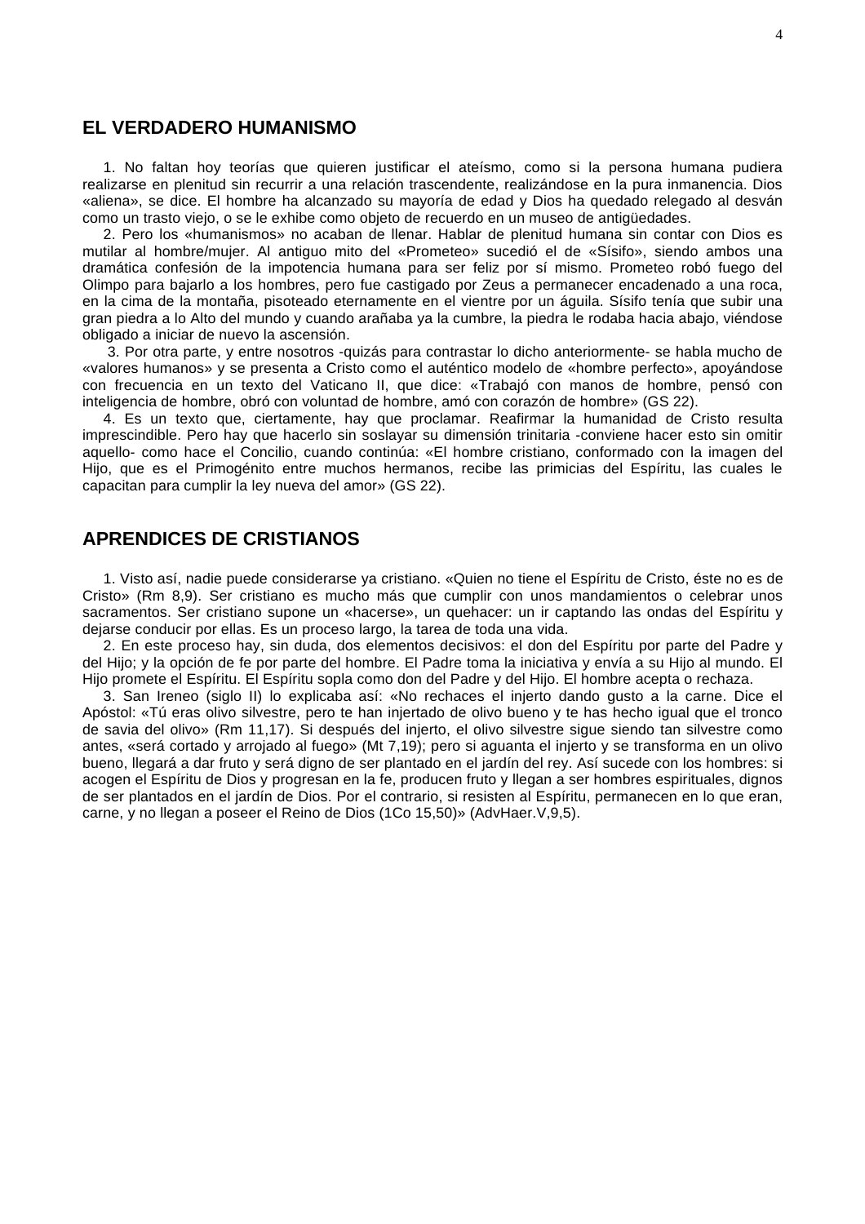### <span id="page-3-0"></span>**EL VERDADERO HUMANISMO**

1. No faltan hoy teorías que quieren justificar el ateísmo, como si la persona humana pudiera realizarse en plenitud sin recurrir a una relación trascendente, realizándose en la pura inmanencia. Dios «aliena», se dice. El hombre ha alcanzado su mayoría de edad y Dios ha quedado relegado al desván como un trasto viejo, o se le exhibe como objeto de recuerdo en un museo de antigüedades.

2. Pero los «humanismos» no acaban de llenar. Hablar de plenitud humana sin contar con Dios es mutilar al hombre/mujer. Al antiguo mito del «Prometeo» sucedió el de «Sísifo», siendo ambos una dramática confesión de la impotencia humana para ser feliz por sí mismo. Prometeo robó fuego del Olimpo para bajarlo a los hombres, pero fue castigado por Zeus a permanecer encadenado a una roca, en la cima de la montaña, pisoteado eternamente en el vientre por un águila. Sísifo tenía que subir una gran piedra a lo Alto del mundo y cuando arañaba ya la cumbre, la piedra le rodaba hacia abajo, viéndose obligado a iniciar de nuevo la ascensión.

 3. Por otra parte, y entre nosotros -quizás para contrastar lo dicho anteriormente- se habla mucho de «valores humanos» y se presenta a Cristo como el auténtico modelo de «hombre perfecto», apoyándose con frecuencia en un texto del Vaticano II, que dice: «Trabajó con manos de hombre, pensó con inteligencia de hombre, obró con voluntad de hombre, amó con corazón de hombre» (GS 22).

4. Es un texto que, ciertamente, hay que proclamar. Reafirmar la humanidad de Cristo resulta imprescindible. Pero hay que hacerlo sin soslayar su dimensión trinitaria -conviene hacer esto sin omitir aquello- como hace el Concilio, cuando continúa: «El hombre cristiano, conformado con la imagen del Hijo, que es el Primogénito entre muchos hermanos, recibe las primicias del Espíritu, las cuales le capacitan para cumplir la ley nueva del amor» (GS 22).

## **APRENDICES DE CRISTIANOS**

1. Visto así, nadie puede considerarse ya cristiano. «Quien no tiene el Espíritu de Cristo, éste no es de Cristo» (Rm 8,9). Ser cristiano es mucho más que cumplir con unos mandamientos o celebrar unos sacramentos. Ser cristiano supone un «hacerse», un quehacer: un ir captando las ondas del Espíritu y dejarse conducir por ellas. Es un proceso largo, la tarea de toda una vida.

2. En este proceso hay, sin duda, dos elementos decisivos: el don del Espíritu por parte del Padre y del Hijo; y la opción de fe por parte del hombre. El Padre toma la iniciativa y envía a su Hijo al mundo. El Hijo promete el Espíritu. El Espíritu sopla como don del Padre y del Hijo. El hombre acepta o rechaza.

3. San Ireneo (siglo II) lo explicaba así: «No rechaces el injerto dando gusto a la carne. Dice el Apóstol: «Tú eras olivo silvestre, pero te han injertado de olivo bueno y te has hecho igual que el tronco de savia del olivo» (Rm 11,17). Si después del injerto, el olivo silvestre sigue siendo tan silvestre como antes, «será cortado y arrojado al fuego» (Mt 7,19); pero si aguanta el injerto y se transforma en un olivo bueno, llegará a dar fruto y será digno de ser plantado en el jardín del rey. Así sucede con los hombres: si acogen el Espíritu de Dios y progresan en la fe, producen fruto y llegan a ser hombres espirituales, dignos de ser plantados en el jardín de Dios. Por el contrario, si resisten al Espíritu, permanecen en lo que eran, carne, y no llegan a poseer el Reino de Dios (1Co 15,50)» (AdvHaer.V,9,5).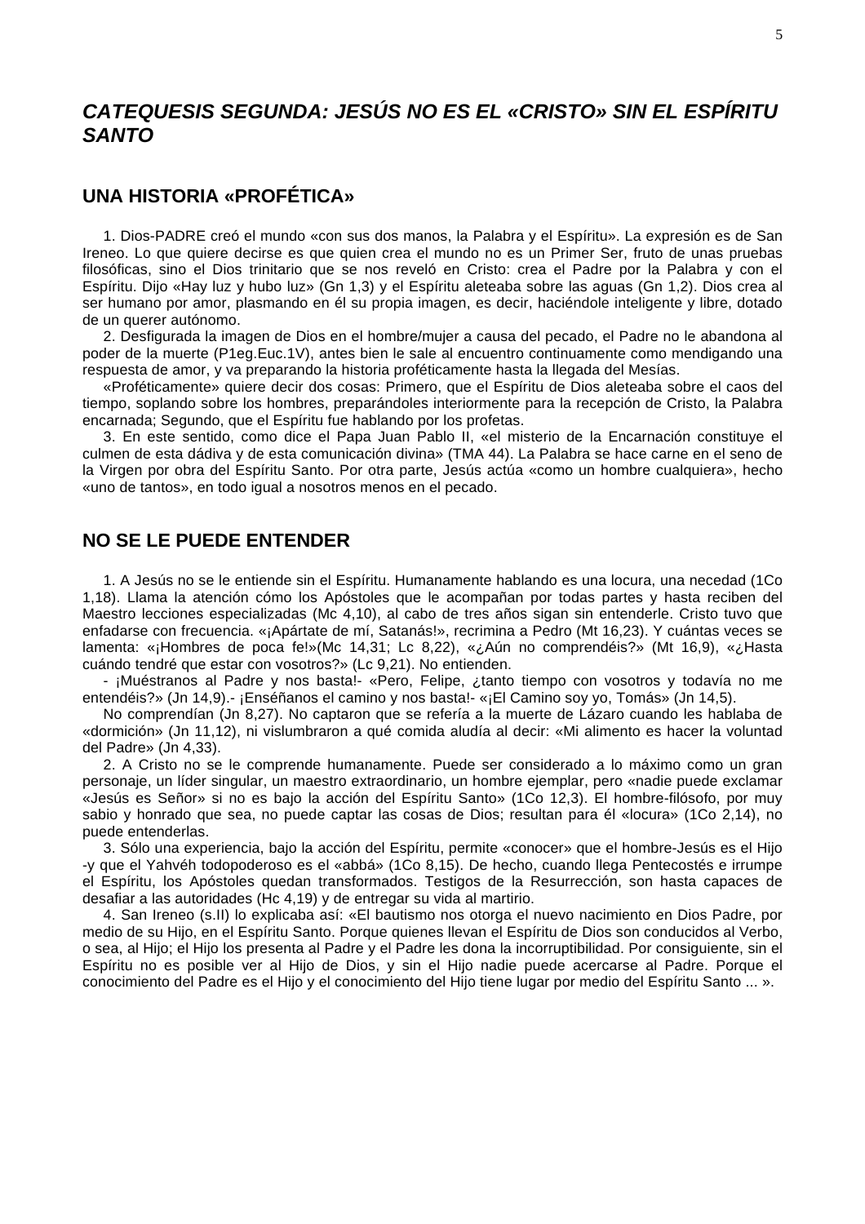# <span id="page-4-0"></span>*CATEQUESIS SEGUNDA: JESÚS NO ES EL «CRISTO» SIN EL ESPÍRITU SANTO*

# **UNA HISTORIA «PROFÉTICA»**

1. Dios-PADRE creó el mundo «con sus dos manos, la Palabra y el Espíritu». La expresión es de San Ireneo. Lo que quiere decirse es que quien crea el mundo no es un Primer Ser, fruto de unas pruebas filosóficas, sino el Dios trinitario que se nos reveló en Cristo: crea el Padre por la Palabra y con el Espíritu. Dijo «Hay luz y hubo luz» (Gn 1,3) y el Espíritu aleteaba sobre las aguas (Gn 1,2). Dios crea al ser humano por amor, plasmando en él su propia imagen, es decir, haciéndole inteligente y libre, dotado de un querer autónomo.

2. Desfigurada la imagen de Dios en el hombre/mujer a causa del pecado, el Padre no le abandona al poder de la muerte (P1eg.Euc.1V), antes bien le sale al encuentro continuamente como mendigando una respuesta de amor, y va preparando la historia proféticamente hasta la llegada del Mesías.

«Proféticamente» quiere decir dos cosas: Primero, que el Espíritu de Dios aleteaba sobre el caos del tiempo, soplando sobre los hombres, preparándoles interiormente para la recepción de Cristo, la Palabra encarnada; Segundo, que el Espíritu fue hablando por los profetas.

3. En este sentido, como dice el Papa Juan Pablo II, «el misterio de la Encarnación constituye el culmen de esta dádiva y de esta comunicación divina» (TMA 44). La Palabra se hace carne en el seno de la Virgen por obra del Espíritu Santo. Por otra parte, Jesús actúa «como un hombre cualquiera», hecho «uno de tantos», en todo igual a nosotros menos en el pecado.

### **NO SE LE PUEDE ENTENDER**

1. A Jesús no se le entiende sin el Espíritu. Humanamente hablando es una locura, una necedad (1Co 1,18). Llama la atención cómo los Apóstoles que le acompañan por todas partes y hasta reciben del Maestro lecciones especializadas (Mc 4,10), al cabo de tres años sigan sin entenderle. Cristo tuvo que enfadarse con frecuencia. «¡Apártate de mí, Satanás!», recrimina a Pedro (Mt 16,23). Y cuántas veces se lamenta: «¡Hombres de poca fe!»(Mc 14,31; Lc 8,22), «¿Aún no comprendéis?» (Mt 16,9), «¿Hasta cuándo tendré que estar con vosotros?» (Lc 9,21). No entienden.

- ¡Muéstranos al Padre y nos basta!- «Pero, Felipe, ¿tanto tiempo con vosotros y todavía no me entendéis?» (Jn 14,9).- ¡Enséñanos el camino y nos basta!- «¡El Camino soy yo, Tomás» (Jn 14,5).

No comprendían (Jn 8,27). No captaron que se refería a la muerte de Lázaro cuando les hablaba de «dormición» (Jn 11,12), ni vislumbraron a qué comida aludía al decir: «Mi alimento es hacer la voluntad del Padre» (Jn 4,33).

2. A Cristo no se le comprende humanamente. Puede ser considerado a lo máximo como un gran personaje, un líder singular, un maestro extraordinario, un hombre ejemplar, pero «nadie puede exclamar «Jesús es Señor» si no es bajo la acción del Espíritu Santo» (1Co 12,3). El hombre-filósofo, por muy sabio y honrado que sea, no puede captar las cosas de Dios; resultan para él «locura» (1Co 2,14), no puede entenderlas.

3. Sólo una experiencia, bajo la acción del Espíritu, permite «conocer» que el hombre-Jesús es el Hijo -y que el Yahvéh todopoderoso es el «abbá» (1Co 8,15). De hecho, cuando llega Pentecostés e irrumpe el Espíritu, los Apóstoles quedan transformados. Testigos de la Resurrección, son hasta capaces de desafiar a las autoridades (Hc 4,19) y de entregar su vida al martirio.

4. San Ireneo (s.II) lo explicaba así: «El bautismo nos otorga el nuevo nacimiento en Dios Padre, por medio de su Hijo, en el Espíritu Santo. Porque quienes llevan el Espíritu de Dios son conducidos al Verbo, o sea, al Hijo; el Hijo los presenta al Padre y el Padre les dona la incorruptibilidad. Por consiguiente, sin el Espíritu no es posible ver al Hijo de Dios, y sin el Hijo nadie puede acercarse al Padre. Porque el conocimiento del Padre es el Hijo y el conocimiento del Hijo tiene lugar por medio del Espíritu Santo ... ».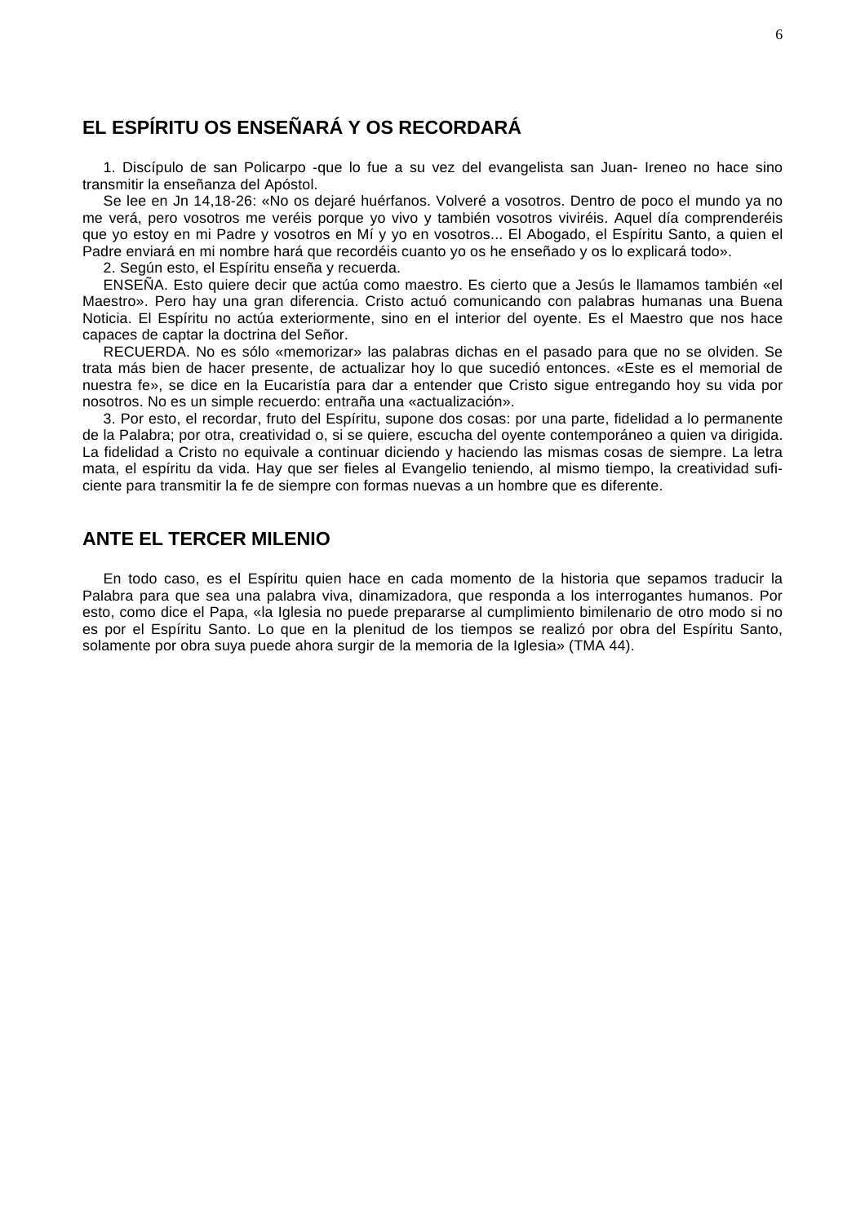# <span id="page-5-0"></span>**EL ESPÍRITU OS ENSEÑARÁ Y OS RECORDARÁ**

1. Discípulo de san Policarpo -que lo fue a su vez del evangelista san Juan- Ireneo no hace sino transmitir la enseñanza del Apóstol.

Se lee en Jn 14,18-26: «No os dejaré huérfanos. Volveré a vosotros. Dentro de poco el mundo ya no me verá, pero vosotros me veréis porque yo vivo y también vosotros viviréis. Aquel día comprenderéis que yo estoy en mi Padre y vosotros en Mí y yo en vosotros... El Abogado, el Espíritu Santo, a quien el Padre enviará en mi nombre hará que recordéis cuanto yo os he enseñado y os lo explicará todo».

2. Según esto, el Espíritu enseña y recuerda.

ENSEÑA. Esto quiere decir que actúa como maestro. Es cierto que a Jesús le llamamos también «el Maestro». Pero hay una gran diferencia. Cristo actuó comunicando con palabras humanas una Buena Noticia. El Espíritu no actúa exteriormente, sino en el interior del oyente. Es el Maestro que nos hace capaces de captar la doctrina del Señor.

RECUERDA. No es sólo «memorizar» las palabras dichas en el pasado para que no se olviden. Se trata más bien de hacer presente, de actualizar hoy lo que sucedió entonces. «Este es el memorial de nuestra fe», se dice en la Eucaristía para dar a entender que Cristo sigue entregando hoy su vida por nosotros. No es un simple recuerdo: entraña una «actualización».

3. Por esto, el recordar, fruto del Espíritu, supone dos cosas: por una parte, fidelidad a lo permanente de la Palabra; por otra, creatividad o, si se quiere, escucha del oyente contemporáneo a quien va dirigida. La fidelidad a Cristo no equivale a continuar diciendo y haciendo las mismas cosas de siempre. La letra mata, el espíritu da vida. Hay que ser fieles al Evangelio teniendo, al mismo tiempo, la creatividad suficiente para transmitir la fe de siempre con formas nuevas a un hombre que es diferente.

### **ANTE EL TERCER MILENIO**

En todo caso, es el Espíritu quien hace en cada momento de la historia que sepamos traducir la Palabra para que sea una palabra viva, dinamizadora, que responda a los interrogantes humanos. Por esto, como dice el Papa, «la Iglesia no puede prepararse al cumplimiento bimilenario de otro modo si no es por el Espíritu Santo. Lo que en la plenitud de los tiempos se realizó por obra del Espíritu Santo, solamente por obra suya puede ahora surgir de la memoria de la Iglesia» (TMA 44).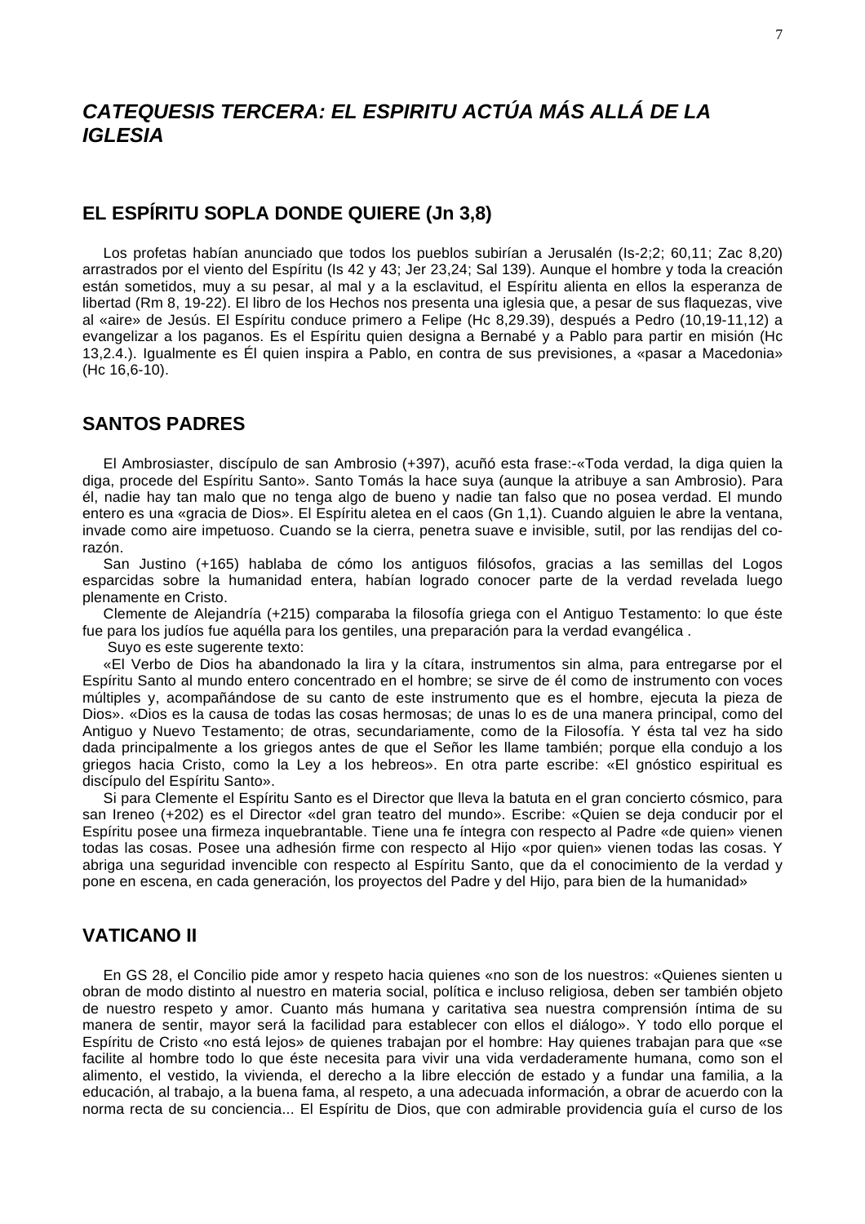# <span id="page-6-0"></span>*CATEQUESIS TERCERA: EL ESPIRITU ACTÚA MÁS ALLÁ DE LA IGLESIA*

# **EL ESPÍRITU SOPLA DONDE QUIERE (Jn 3,8)**

Los profetas habían anunciado que todos los pueblos subirían a Jerusalén (Is-2;2; 60,11; Zac 8,20) arrastrados por el viento del Espíritu (Is 42 y 43; Jer 23,24; Sal 139). Aunque el hombre y toda la creación están sometidos, muy a su pesar, al mal y a la esclavitud, el Espíritu alienta en ellos la esperanza de libertad (Rm 8, 19-22). El libro de los Hechos nos presenta una iglesia que, a pesar de sus flaquezas, vive al «aire» de Jesús. El Espíritu conduce primero a Felipe (Hc 8,29.39), después a Pedro (10,19-11,12) a evangelizar a los paganos. Es el Espíritu quien designa a Bernabé y a Pablo para partir en misión (Hc 13,2.4.). Igualmente es Él quien inspira a Pablo, en contra de sus previsiones, a «pasar a Macedonia» (Hc 16,6-10).

### **SANTOS PADRES**

El Ambrosiaster, discípulo de san Ambrosio (+397), acuñó esta frase:-«Toda verdad, la diga quien la diga, procede del Espíritu Santo». Santo Tomás la hace suya (aunque la atribuye a san Ambrosio). Para él, nadie hay tan malo que no tenga algo de bueno y nadie tan falso que no posea verdad. El mundo entero es una «gracia de Dios». El Espíritu aletea en el caos (Gn 1,1). Cuando alguien le abre la ventana, invade como aire impetuoso. Cuando se la cierra, penetra suave e invisible, sutil, por las rendijas del corazón.

San Justino (+165) hablaba de cómo los antiguos filósofos, gracias a las semillas del Logos esparcidas sobre la humanidad entera, habían logrado conocer parte de la verdad revelada luego plenamente en Cristo.

Clemente de Alejandría (+215) comparaba la filosofía griega con el Antiguo Testamento: lo que éste fue para los judíos fue aquélla para los gentiles, una preparación para la verdad evangélica .

Suyo es este sugerente texto:

«El Verbo de Dios ha abandonado la lira y la cítara, instrumentos sin alma, para entregarse por el Espíritu Santo al mundo entero concentrado en el hombre; se sirve de él como de instrumento con voces múltiples y, acompañándose de su canto de este instrumento que es el hombre, ejecuta la pieza de Dios». «Dios es la causa de todas las cosas hermosas; de unas lo es de una manera principal, como del Antiguo y Nuevo Testamento; de otras, secundariamente, como de la Filosofía. Y ésta tal vez ha sido dada principalmente a los griegos antes de que el Señor les llame también; porque ella condujo a los griegos hacia Cristo, como la Ley a los hebreos». En otra parte escribe: «El gnóstico espiritual es discípulo del Espíritu Santo».

Si para Clemente el Espíritu Santo es el Director que lleva la batuta en el gran concierto cósmico, para san Ireneo (+202) es el Director «del gran teatro del mundo». Escribe: «Quien se deja conducir por el Espíritu posee una firmeza inquebrantable. Tiene una fe íntegra con respecto al Padre «de quien» vienen todas las cosas. Posee una adhesión firme con respecto al Hijo «por quien» vienen todas las cosas. Y abriga una seguridad invencible con respecto al Espíritu Santo, que da el conocimiento de la verdad y pone en escena, en cada generación, los proyectos del Padre y del Hijo, para bien de la humanidad»

### **VATICANO II**

En GS 28, el Concilio pide amor y respeto hacia quienes «no son de los nuestros: «Quienes sienten u obran de modo distinto al nuestro en materia social, política e incluso religiosa, deben ser también objeto de nuestro respeto y amor. Cuanto más humana y caritativa sea nuestra comprensión íntima de su manera de sentir, mayor será la facilidad para establecer con ellos el diálogo». Y todo ello porque el Espíritu de Cristo «no está lejos» de quienes trabajan por el hombre: Hay quienes trabajan para que «se facilite al hombre todo lo que éste necesita para vivir una vida verdaderamente humana, como son el alimento, el vestido, la vivienda, el derecho a la libre elección de estado y a fundar una familia, a la educación, al trabajo, a la buena fama, al respeto, a una adecuada información, a obrar de acuerdo con la norma recta de su conciencia... El Espíritu de Dios, que con admirable providencia guía el curso de los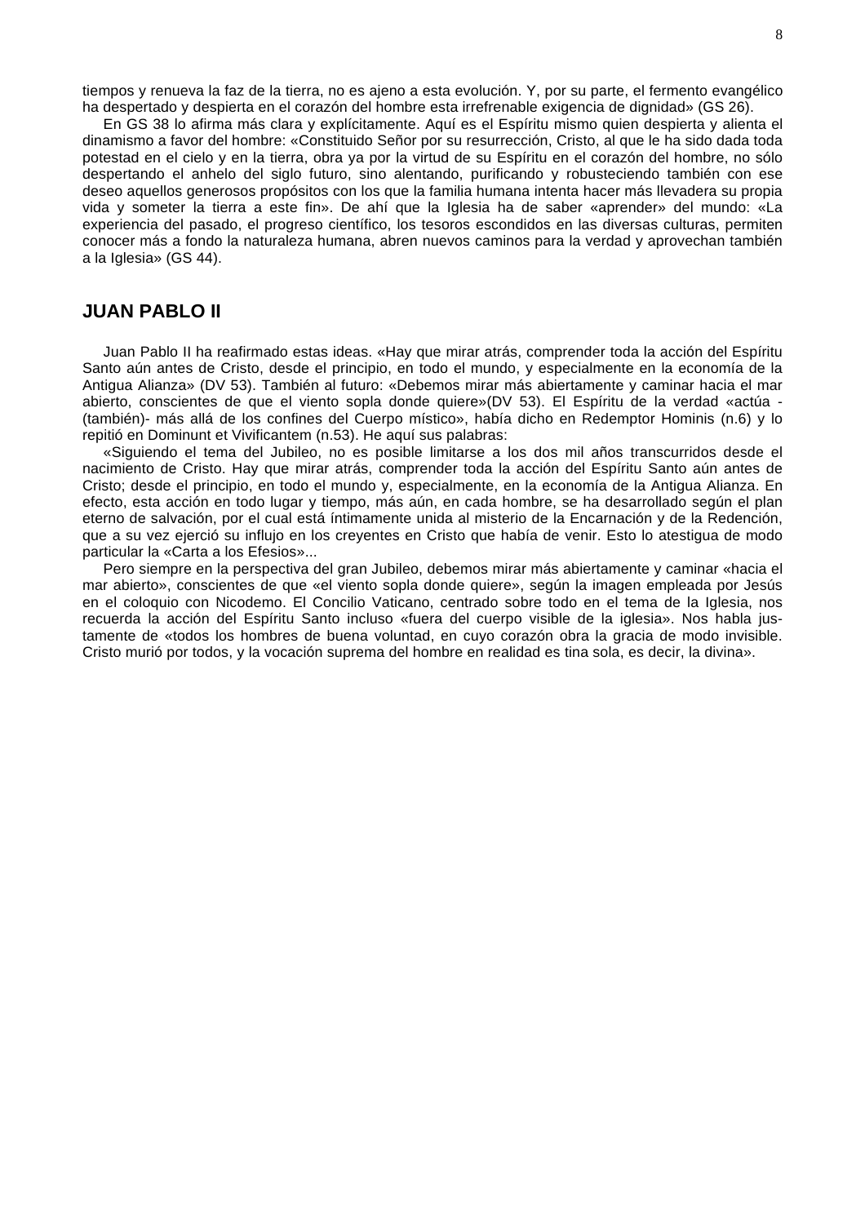<span id="page-7-0"></span>tiempos y renueva la faz de la tierra, no es ajeno a esta evolución. Y, por su parte, el fermento evangélico ha despertado y despierta en el corazón del hombre esta irrefrenable exigencia de dignidad» (GS 26).

En GS 38 lo afirma más clara y explícitamente. Aquí es el Espíritu mismo quien despierta y alienta el dinamismo a favor del hombre: «Constituido Señor por su resurrección, Cristo, al que le ha sido dada toda potestad en el cielo y en la tierra, obra ya por la virtud de su Espíritu en el corazón del hombre, no sólo despertando el anhelo del siglo futuro, sino alentando, purificando y robusteciendo también con ese deseo aquellos generosos propósitos con los que la familia humana intenta hacer más llevadera su propia vida y someter la tierra a este fin». De ahí que la Iglesia ha de saber «aprender» del mundo: «La experiencia del pasado, el progreso científico, los tesoros escondidos en las diversas culturas, permiten conocer más a fondo la naturaleza humana, abren nuevos caminos para la verdad y aprovechan también a la Iglesia» (GS 44).

## **JUAN PABLO II**

Juan Pablo II ha reafirmado estas ideas. «Hay que mirar atrás, comprender toda la acción del Espíritu Santo aún antes de Cristo, desde el principio, en todo el mundo, y especialmente en la economía de la Antigua Alianza» (DV 53). También al futuro: «Debemos mirar más abiertamente y caminar hacia el mar abierto, conscientes de que el viento sopla donde quiere»(DV 53). El Espíritu de la verdad «actúa - (también)- más allá de los confines del Cuerpo místico», había dicho en Redemptor Hominis (n.6) y lo repitió en Dominunt et Vivificantem (n.53). He aquí sus palabras:

«Siguiendo el tema del Jubileo, no es posible limitarse a los dos mil años transcurridos desde el nacimiento de Cristo. Hay que mirar atrás, comprender toda la acción del Espíritu Santo aún antes de Cristo; desde el principio, en todo el mundo y, especialmente, en la economía de la Antigua Alianza. En efecto, esta acción en todo lugar y tiempo, más aún, en cada hombre, se ha desarrollado según el plan eterno de salvación, por el cual está íntimamente unida al misterio de la Encarnación y de la Redención, que a su vez ejerció su influjo en los creyentes en Cristo que había de venir. Esto lo atestigua de modo particular la «Carta a los Efesios»...

Pero siempre en la perspectiva del gran Jubileo, debemos mirar más abiertamente y caminar «hacia el mar abierto», conscientes de que «el viento sopla donde quiere», según la imagen empleada por Jesús en el coloquio con Nicodemo. El Concilio Vaticano, centrado sobre todo en el tema de la Iglesia, nos recuerda la acción del Espíritu Santo incluso «fuera del cuerpo visible de la iglesia». Nos habla justamente de «todos los hombres de buena voluntad, en cuyo corazón obra la gracia de modo invisible. Cristo murió por todos, y la vocación suprema del hombre en realidad es tina sola, es decir, la divina».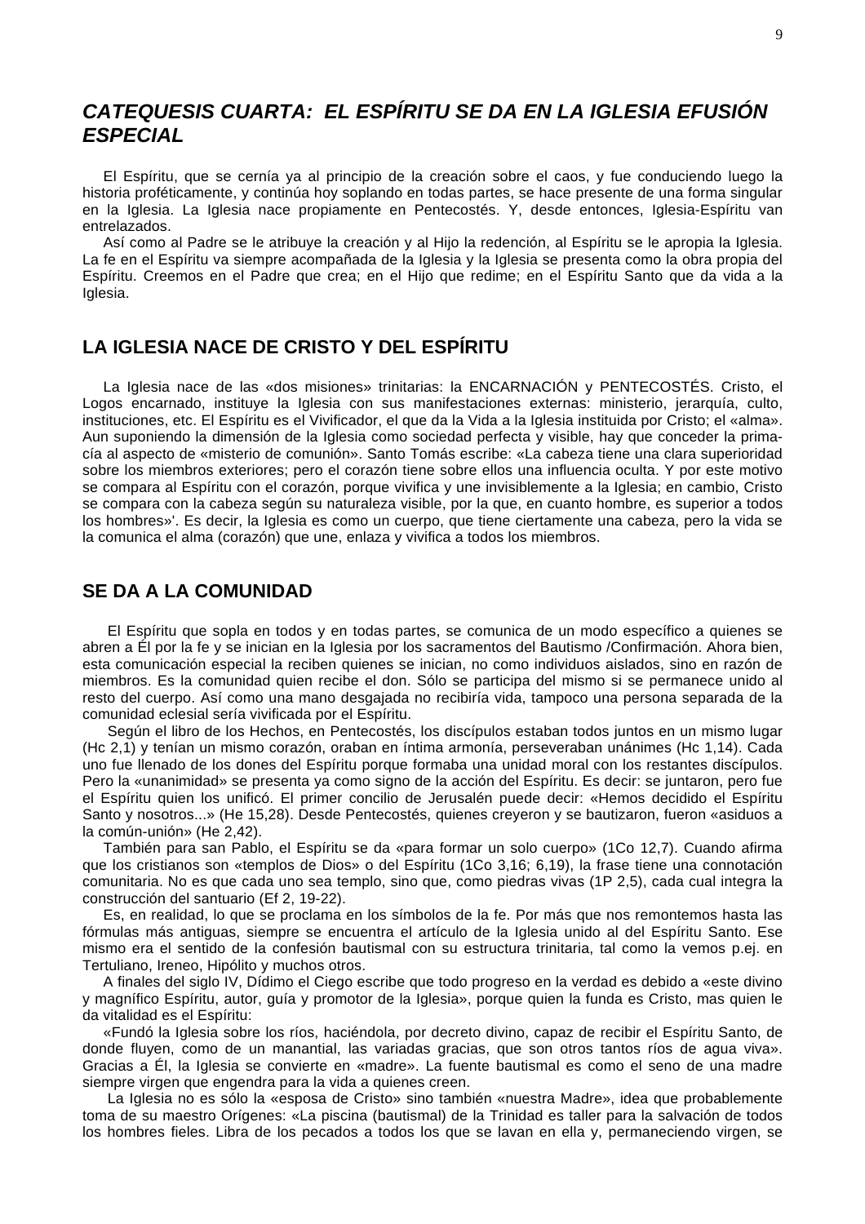# <span id="page-8-0"></span>*CATEQUESIS CUARTA: EL ESPÍRITU SE DA EN LA IGLESIA EFUSIÓN ESPECIAL*

El Espíritu, que se cernía ya al principio de la creación sobre el caos, y fue conduciendo luego la historia proféticamente, y continúa hoy soplando en todas partes, se hace presente de una forma singular en la Iglesia. La Iglesia nace propiamente en Pentecostés. Y, desde entonces, Iglesia-Espíritu van entrelazados.

Así como al Padre se le atribuye la creación y al Hijo la redención, al Espíritu se le apropia la Iglesia. La fe en el Espíritu va siempre acompañada de la Iglesia y la Iglesia se presenta como la obra propia del Espíritu. Creemos en el Padre que crea; en el Hijo que redime; en el Espíritu Santo que da vida a la Iglesia.

# **LA IGLESIA NACE DE CRISTO Y DEL ESPÍRITU**

La Iglesia nace de las «dos misiones» trinitarias: la ENCARNACIÓN y PENTECOSTÉS. Cristo, el Logos encarnado, instituye la Iglesia con sus manifestaciones externas: ministerio, jerarquía, culto, instituciones, etc. El Espíritu es el Vivificador, el que da la Vida a la Iglesia instituida por Cristo; el «alma». Aun suponiendo la dimensión de la Iglesia como sociedad perfecta y visible, hay que conceder la primacía al aspecto de «misterio de comunión». Santo Tomás escribe: «La cabeza tiene una clara superioridad sobre los miembros exteriores; pero el corazón tiene sobre ellos una influencia oculta. Y por este motivo se compara al Espíritu con el corazón, porque vivifica y une invisiblemente a la Iglesia; en cambio, Cristo se compara con la cabeza según su naturaleza visible, por la que, en cuanto hombre, es superior a todos los hombres»'. Es decir, la Iglesia es como un cuerpo, que tiene ciertamente una cabeza, pero la vida se la comunica el alma (corazón) que une, enlaza y vivifica a todos los miembros.

### **SE DA A LA COMUNIDAD**

 El Espíritu que sopla en todos y en todas partes, se comunica de un modo específico a quienes se abren a Él por la fe y se inician en la Iglesia por los sacramentos del Bautismo /Confirmación. Ahora bien, esta comunicación especial la reciben quienes se inician, no como individuos aislados, sino en razón de miembros. Es la comunidad quien recibe el don. Sólo se participa del mismo si se permanece unido al resto del cuerpo. Así como una mano desgajada no recibiría vida, tampoco una persona separada de la comunidad eclesial sería vivificada por el Espíritu.

 Según el libro de los Hechos, en Pentecostés, los discípulos estaban todos juntos en un mismo lugar (Hc 2,1) y tenían un mismo corazón, oraban en íntima armonía, perseveraban unánimes (Hc 1,14). Cada uno fue llenado de los dones del Espíritu porque formaba una unidad moral con los restantes discípulos. Pero la «unanimidad» se presenta ya como signo de la acción del Espíritu. Es decir: se juntaron, pero fue el Espíritu quien los unificó. El primer concilio de Jerusalén puede decir: «Hemos decidido el Espíritu Santo y nosotros...» (He 15,28). Desde Pentecostés, quienes creyeron y se bautizaron, fueron «asiduos a la común-unión» (He 2,42).

También para san Pablo, el Espíritu se da «para formar un solo cuerpo» (1Co 12,7). Cuando afirma que los cristianos son «templos de Dios» o del Espíritu (1Co 3,16; 6,19), la frase tiene una connotación comunitaria. No es que cada uno sea templo, sino que, como piedras vivas (1P 2,5), cada cual integra la construcción del santuario (Ef 2, 19-22).

Es, en realidad, lo que se proclama en los símbolos de la fe. Por más que nos remontemos hasta las fórmulas más antiguas, siempre se encuentra el artículo de la Iglesia unido al del Espíritu Santo. Ese mismo era el sentido de la confesión bautismal con su estructura trinitaria, tal como la vemos p.ej. en Tertuliano, Ireneo, Hipólito y muchos otros.

A finales del siglo IV, Dídimo el Ciego escribe que todo progreso en la verdad es debido a «este divino y magnífico Espíritu, autor, guía y promotor de la Iglesia», porque quien la funda es Cristo, mas quien le da vitalidad es el Espíritu:

«Fundó la Iglesia sobre los ríos, haciéndola, por decreto divino, capaz de recibir el Espíritu Santo, de donde fluyen, como de un manantial, las variadas gracias, que son otros tantos ríos de agua viva». Gracias a Él, la Iglesia se convierte en «madre». La fuente bautismal es como el seno de una madre siempre virgen que engendra para la vida a quienes creen.

 La Iglesia no es sólo la «esposa de Cristo» sino también «nuestra Madre», idea que probablemente toma de su maestro Orígenes: «La piscina (bautismal) de la Trinidad es taller para la salvación de todos los hombres fieles. Libra de los pecados a todos los que se lavan en ella y, permaneciendo virgen, se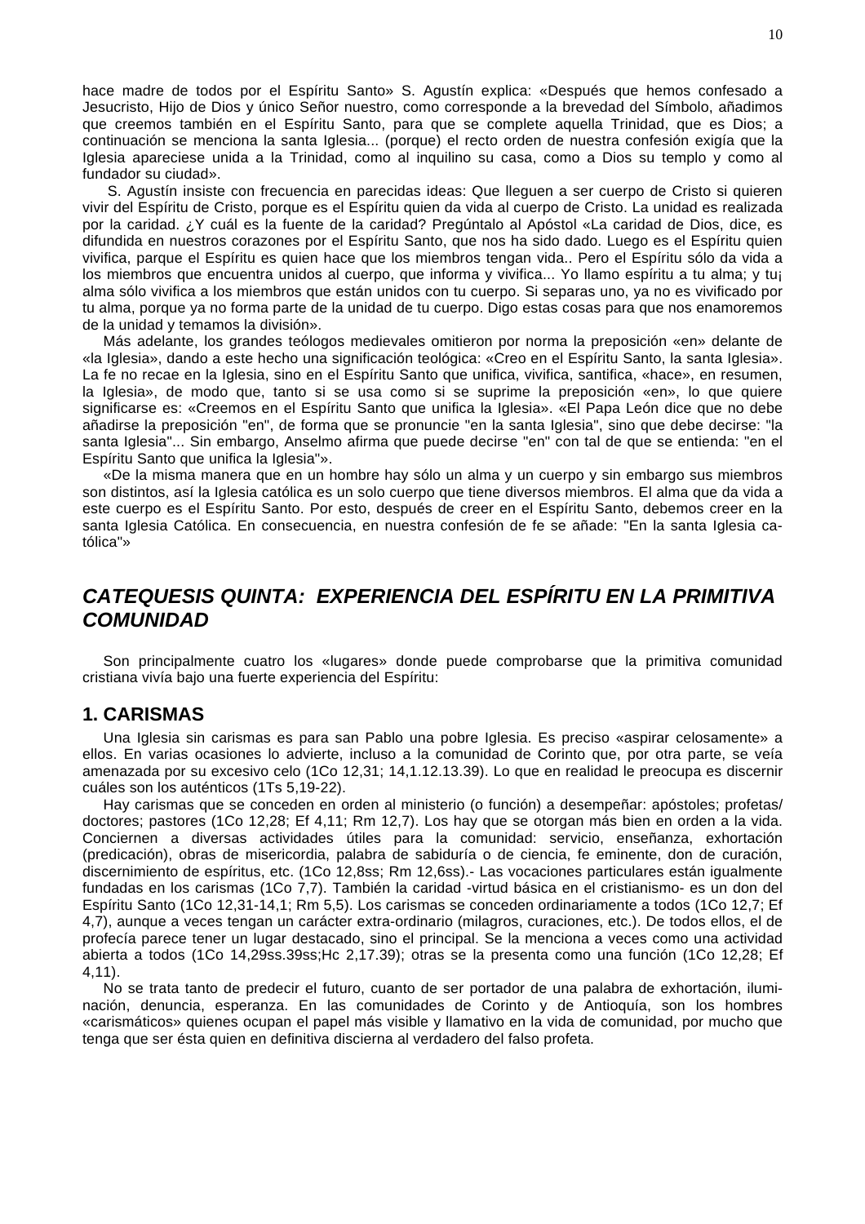<span id="page-9-0"></span>hace madre de todos por el Espíritu Santo» S. Agustín explica: «Después que hemos confesado a Jesucristo, Hijo de Dios y único Señor nuestro, como corresponde a la brevedad del Símbolo, añadimos que creemos también en el Espíritu Santo, para que se complete aquella Trinidad, que es Dios; a continuación se menciona la santa Iglesia... (porque) el recto orden de nuestra confesión exigía que la Iglesia apareciese unida a la Trinidad, como al inquilino su casa, como a Dios su templo y como al fundador su ciudad».

 S. Agustín insiste con frecuencia en parecidas ideas: Que lleguen a ser cuerpo de Cristo si quieren vivir del Espíritu de Cristo, porque es el Espíritu quien da vida al cuerpo de Cristo. La unidad es realizada por la caridad. ¿Y cuál es la fuente de la caridad? Pregúntalo al Apóstol «La caridad de Dios, dice, es difundida en nuestros corazones por el Espíritu Santo, que nos ha sido dado. Luego es el Espíritu quien vivifica, parque el Espíritu es quien hace que los miembros tengan vida.. Pero el Espíritu sólo da vida a los miembros que encuentra unidos al cuerpo, que informa y vivifica... Yo llamo espíritu a tu alma; y tuj alma sólo vivifica a los miembros que están unidos con tu cuerpo. Si separas uno, ya no es vivificado por tu alma, porque ya no forma parte de la unidad de tu cuerpo. Digo estas cosas para que nos enamoremos de la unidad y temamos la división».

Más adelante, los grandes teólogos medievales omitieron por norma la preposición «en» delante de «la Iglesia», dando a este hecho una significación teológica: «Creo en el Espíritu Santo, la santa Iglesia». La fe no recae en la Iglesia, sino en el Espíritu Santo que unifica, vivifica, santifica, «hace», en resumen, la Iglesia», de modo que, tanto si se usa como si se suprime la preposición «en», lo que quiere significarse es: «Creemos en el Espíritu Santo que unifica la Iglesia». «El Papa León dice que no debe añadirse la preposición "en", de forma que se pronuncie "en la santa Iglesia", sino que debe decirse: "la santa Iglesia"... Sin embargo, Anselmo afirma que puede decirse "en" con tal de que se entienda: "en el Espíritu Santo que unifica la Iglesia"».

«De la misma manera que en un hombre hay sólo un alma y un cuerpo y sin embargo sus miembros son distintos, así la Iglesia católica es un solo cuerpo que tiene diversos miembros. El alma que da vida a este cuerpo es el Espíritu Santo. Por esto, después de creer en el Espíritu Santo, debemos creer en la santa Iglesia Católica. En consecuencia, en nuestra confesión de fe se añade: "En la santa Iglesia católica"»

# *CATEQUESIS QUINTA: EXPERIENCIA DEL ESPÍRITU EN LA PRIMITIVA COMUNIDAD*

Son principalmente cuatro los «lugares» donde puede comprobarse que la primitiva comunidad cristiana vivía bajo una fuerte experiencia del Espíritu:

### **1. CARISMAS**

Una Iglesia sin carismas es para san Pablo una pobre Iglesia. Es preciso «aspirar celosamente» a ellos. En varias ocasiones lo advierte, incluso a la comunidad de Corinto que, por otra parte, se veía amenazada por su excesivo celo (1Co 12,31; 14,1.12.13.39). Lo que en realidad le preocupa es discernir cuáles son los auténticos (1Ts 5,19-22).

Hay carismas que se conceden en orden al ministerio (o función) a desempeñar: apóstoles; profetas/ doctores; pastores (1Co 12,28; Ef 4,11; Rm 12,7). Los hay que se otorgan más bien en orden a la vida. Conciernen a diversas actividades útiles para la comunidad: servicio, enseñanza, exhortación (predicación), obras de misericordia, palabra de sabiduría o de ciencia, fe eminente, don de curación, discernimiento de espíritus, etc. (1Co 12,8ss; Rm 12,6ss).- Las vocaciones particulares están igualmente fundadas en los carismas (1Co 7,7). También la caridad -virtud básica en el cristianismo- es un don del Espíritu Santo (1Co 12,31-14,1; Rm 5,5). Los carismas se conceden ordinariamente a todos (1Co 12,7; Ef 4,7), aunque a veces tengan un carácter extra-ordinario (milagros, curaciones, etc.). De todos ellos, el de profecía parece tener un lugar destacado, sino el principal. Se la menciona a veces como una actividad abierta a todos (1Co 14,29ss.39ss;Hc 2,17.39); otras se la presenta como una función (1Co 12,28; Ef 4,11).

No se trata tanto de predecir el futuro, cuanto de ser portador de una palabra de exhortación, iluminación, denuncia, esperanza. En las comunidades de Corinto y de Antioquía, son los hombres «carismáticos» quienes ocupan el papel más visible y llamativo en la vida de comunidad, por mucho que tenga que ser ésta quien en definitiva discierna al verdadero del falso profeta.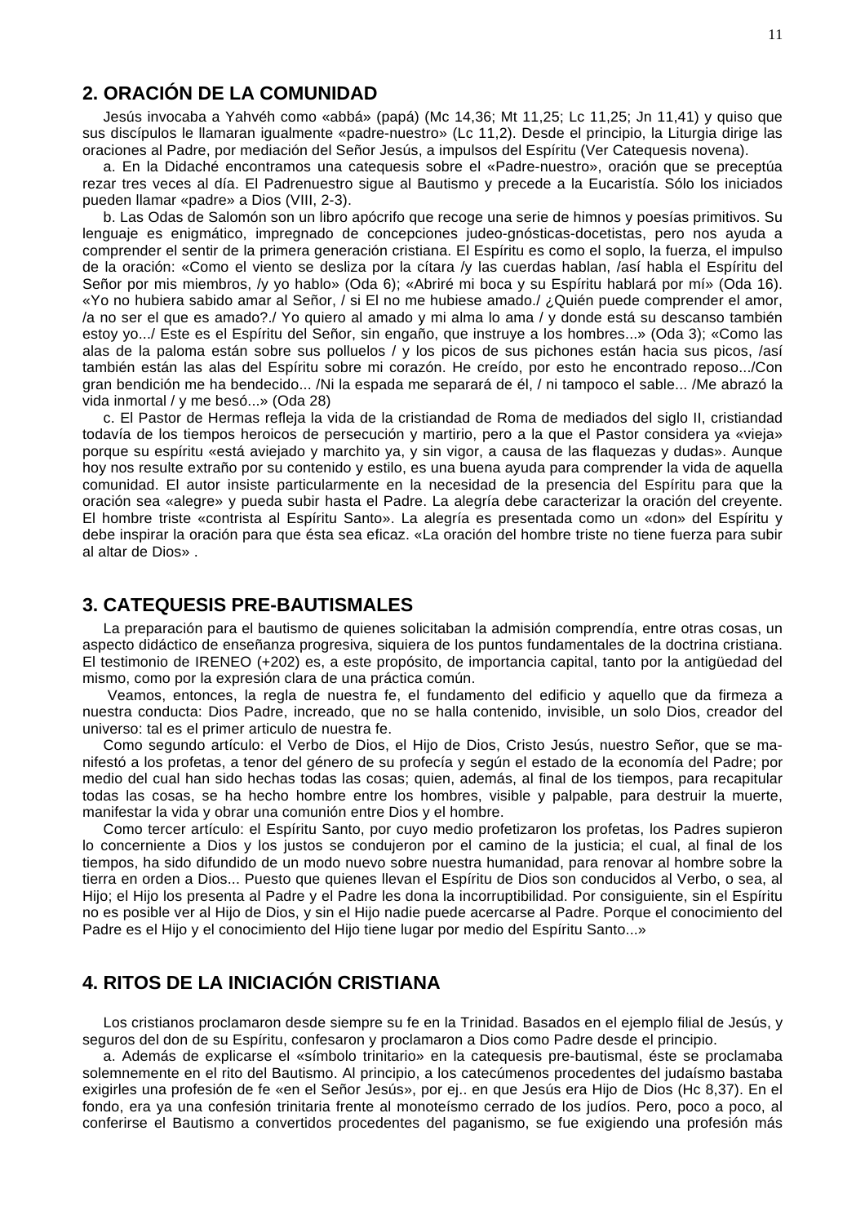# <span id="page-10-0"></span>**2. ORACIÓN DE LA COMUNIDAD**

Jesús invocaba a Yahvéh como «abbá» (papá) (Mc 14,36; Mt 11,25; Lc 11,25; Jn 11,41) y quiso que sus discípulos le llamaran igualmente «padre-nuestro» (Lc 11,2). Desde el principio, la Liturgia dirige las oraciones al Padre, por mediación del Señor Jesús, a impulsos del Espíritu (Ver Catequesis novena).

a. En la Didaché encontramos una catequesis sobre el «Padre-nuestro», oración que se preceptúa rezar tres veces al día. El Padrenuestro sigue al Bautismo y precede a la Eucaristía. Sólo los iniciados pueden llamar «padre» a Dios (VIII, 2-3).

b. Las Odas de Salomón son un libro apócrifo que recoge una serie de himnos y poesías primitivos. Su lenguaje es enigmático, impregnado de concepciones judeo-gnósticas-docetistas, pero nos ayuda a comprender el sentir de la primera generación cristiana. El Espíritu es como el soplo, la fuerza, el impulso de la oración: «Como el viento se desliza por la cítara /y las cuerdas hablan, /así habla el Espíritu del Señor por mis miembros, /y yo hablo» (Oda 6); «Abriré mi boca y su Espíritu hablará por mí» (Oda 16). «Yo no hubiera sabido amar al Señor, / si El no me hubiese amado./ ¿Quién puede comprender el amor, /a no ser el que es amado?./ Yo quiero al amado y mi alma lo ama / y donde está su descanso también estoy yo.../ Este es el Espíritu del Señor, sin engaño, que instruye a los hombres...» (Oda 3); «Como las alas de la paloma están sobre sus polluelos / y los picos de sus pichones están hacia sus picos, /así también están las alas del Espíritu sobre mi corazón. He creído, por esto he encontrado reposo.../Con gran bendición me ha bendecido... /Ni la espada me separará de él, / ni tampoco el sable... /Me abrazó la vida inmortal / y me besó...» (Oda 28)

c. El Pastor de Hermas refleja la vida de la cristiandad de Roma de mediados del siglo II, cristiandad todavía de los tiempos heroicos de persecución y martirio, pero a la que el Pastor considera ya «vieja» porque su espíritu «está aviejado y marchito ya, y sin vigor, a causa de las flaquezas y dudas». Aunque hoy nos resulte extraño por su contenido y estilo, es una buena ayuda para comprender la vida de aquella comunidad. El autor insiste particularmente en la necesidad de la presencia del Espíritu para que la oración sea «alegre» y pueda subir hasta el Padre. La alegría debe caracterizar la oración del creyente. El hombre triste «contrista al Espíritu Santo». La alegría es presentada como un «don» del Espíritu y debe inspirar la oración para que ésta sea eficaz. «La oración del hombre triste no tiene fuerza para subir al altar de Dios» .

### **3. CATEQUESIS PRE-BAUTISMALES**

La preparación para el bautismo de quienes solicitaban la admisión comprendía, entre otras cosas, un aspecto didáctico de enseñanza progresiva, siquiera de los puntos fundamentales de la doctrina cristiana. El testimonio de IRENEO (+202) es, a este propósito, de importancia capital, tanto por la antigüedad del mismo, como por la expresión clara de una práctica común.

 Veamos, entonces, la regla de nuestra fe, el fundamento del edificio y aquello que da firmeza a nuestra conducta: Dios Padre, increado, que no se halla contenido, invisible, un solo Dios, creador del universo: tal es el primer articulo de nuestra fe.

Como segundo artículo: el Verbo de Dios, el Hijo de Dios, Cristo Jesús, nuestro Señor, que se manifestó a los profetas, a tenor del género de su profecía y según el estado de la economía del Padre; por medio del cual han sido hechas todas las cosas; quien, además, al final de los tiempos, para recapitular todas las cosas, se ha hecho hombre entre los hombres, visible y palpable, para destruir la muerte, manifestar la vida y obrar una comunión entre Dios y el hombre.

Como tercer artículo: el Espíritu Santo, por cuyo medio profetizaron los profetas, los Padres supieron lo concerniente a Dios y los justos se condujeron por el camino de la justicia; el cual, al final de los tiempos, ha sido difundido de un modo nuevo sobre nuestra humanidad, para renovar al hombre sobre la tierra en orden a Dios... Puesto que quienes llevan el Espíritu de Dios son conducidos al Verbo, o sea, al Hijo; el Hijo los presenta al Padre y el Padre les dona la incorruptibilidad. Por consiguiente, sin el Espíritu no es posible ver al Hijo de Dios, y sin el Hijo nadie puede acercarse al Padre. Porque el conocimiento del Padre es el Hijo y el conocimiento del Hijo tiene lugar por medio del Espíritu Santo...»

# **4. RITOS DE LA INICIACIÓN CRISTIANA**

Los cristianos proclamaron desde siempre su fe en la Trinidad. Basados en el ejemplo filial de Jesús, y seguros del don de su Espíritu, confesaron y proclamaron a Dios como Padre desde el principio.

a. Además de explicarse el «símbolo trinitario» en la catequesis pre-bautismal, éste se proclamaba solemnemente en el rito del Bautismo. Al principio, a los catecúmenos procedentes del judaísmo bastaba exigirles una profesión de fe «en el Señor Jesús», por ej.. en que Jesús era Hijo de Dios (Hc 8,37). En el fondo, era ya una confesión trinitaria frente al monoteísmo cerrado de los judíos. Pero, poco a poco, al conferirse el Bautismo a convertidos procedentes del paganismo, se fue exigiendo una profesión más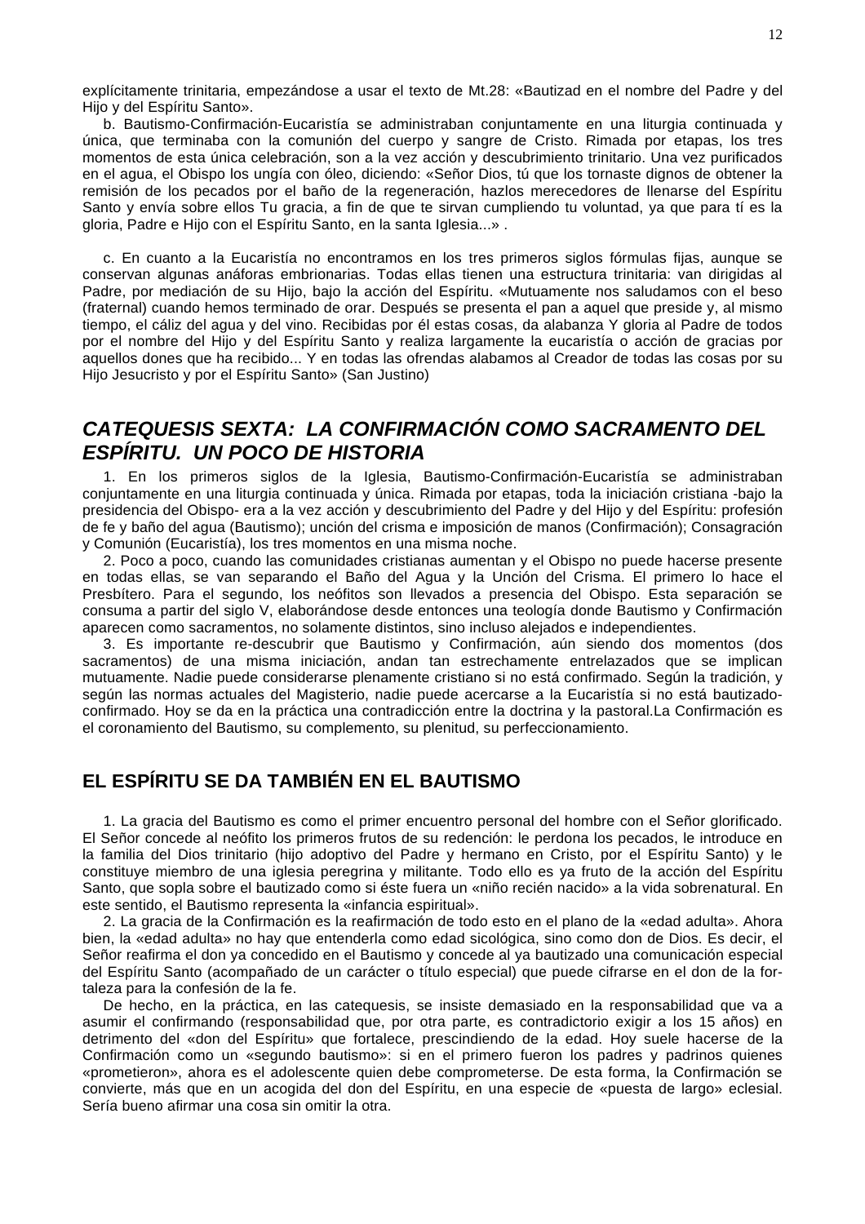<span id="page-11-0"></span>explícitamente trinitaria, empezándose a usar el texto de Mt.28: «Bautizad en el nombre del Padre y del Hijo y del Espíritu Santo».

b. Bautismo-Confirmación-Eucaristía se administraban conjuntamente en una liturgia continuada y única, que terminaba con la comunión del cuerpo y sangre de Cristo. Rimada por etapas, los tres momentos de esta única celebración, son a la vez acción y descubrimiento trinitario. Una vez purificados en el agua, el Obispo los ungía con óleo, diciendo: «Señor Dios, tú que los tornaste dignos de obtener la remisión de los pecados por el baño de la regeneración, hazlos merecedores de llenarse del Espíritu Santo y envía sobre ellos Tu gracia, a fin de que te sirvan cumpliendo tu voluntad, ya que para tí es la gloria, Padre e Hijo con el Espíritu Santo, en la santa Iglesia...» .

c. En cuanto a la Eucaristía no encontramos en los tres primeros siglos fórmulas fijas, aunque se conservan algunas anáforas embrionarias. Todas ellas tienen una estructura trinitaria: van dirigidas al Padre, por mediación de su Hijo, bajo la acción del Espíritu. «Mutuamente nos saludamos con el beso (fraternal) cuando hemos terminado de orar. Después se presenta el pan a aquel que preside y, al mismo tiempo, el cáliz del agua y del vino. Recibidas por él estas cosas, da alabanza Y gloria al Padre de todos por el nombre del Hijo y del Espíritu Santo y realiza largamente la eucaristía o acción de gracias por aquellos dones que ha recibido... Y en todas las ofrendas alabamos al Creador de todas las cosas por su Hijo Jesucristo y por el Espíritu Santo» (San Justino)

# *CATEQUESIS SEXTA: LA CONFIRMACIÓN COMO SACRAMENTO DEL ESPÍRITU. UN POCO DE HISTORIA*

1. En los primeros siglos de la Iglesia, Bautismo-Confirmación-Eucaristía se administraban conjuntamente en una liturgia continuada y única. Rimada por etapas, toda la iniciación cristiana -bajo la presidencia del Obispo- era a la vez acción y descubrimiento del Padre y del Hijo y del Espíritu: profesión de fe y baño del agua (Bautismo); unción del crisma e imposición de manos (Confirmación); Consagración y Comunión (Eucaristía), los tres momentos en una misma noche.

2. Poco a poco, cuando las comunidades cristianas aumentan y el Obispo no puede hacerse presente en todas ellas, se van separando el Baño del Agua y la Unción del Crisma. El primero lo hace el Presbítero. Para el segundo, los neófitos son llevados a presencia del Obispo. Esta separación se consuma a partir del siglo V, elaborándose desde entonces una teología donde Bautismo y Confirmación aparecen como sacramentos, no solamente distintos, sino incluso alejados e independientes.

3. Es importante re-descubrir que Bautismo y Confirmación, aún siendo dos momentos (dos sacramentos) de una misma iniciación, andan tan estrechamente entrelazados que se implican mutuamente. Nadie puede considerarse plenamente cristiano si no está confirmado. Según la tradición, y según las normas actuales del Magisterio, nadie puede acercarse a la Eucaristía si no está bautizadoconfirmado. Hoy se da en la práctica una contradicción entre la doctrina y la pastoral.La Confirmación es el coronamiento del Bautismo, su complemento, su plenitud, su perfeccionamiento.

# **EL ESPÍRITU SE DA TAMBIÉN EN EL BAUTISMO**

1. La gracia del Bautismo es como el primer encuentro personal del hombre con el Señor glorificado. El Señor concede al neófito los primeros frutos de su redención: le perdona los pecados, le introduce en la familia del Dios trinitario (hijo adoptivo del Padre y hermano en Cristo, por el Espíritu Santo) y le constituye miembro de una iglesia peregrina y militante. Todo ello es ya fruto de la acción del Espíritu Santo, que sopla sobre el bautizado como si éste fuera un «niño recién nacido» a la vida sobrenatural. En este sentido, el Bautismo representa la «infancia espiritual».

2. La gracia de la Confirmación es la reafirmación de todo esto en el plano de la «edad adulta». Ahora bien, la «edad adulta» no hay que entenderla como edad sicológica, sino como don de Dios. Es decir, el Señor reafirma el don ya concedido en el Bautismo y concede al ya bautizado una comunicación especial del Espíritu Santo (acompañado de un carácter o título especial) que puede cifrarse en el don de la fortaleza para la confesión de la fe.

De hecho, en la práctica, en las catequesis, se insiste demasiado en la responsabilidad que va a asumir el confirmando (responsabilidad que, por otra parte, es contradictorio exigir a los 15 años) en detrimento del «don del Espíritu» que fortalece, prescindiendo de la edad. Hoy suele hacerse de la Confirmación como un «segundo bautismo»: si en el primero fueron los padres y padrinos quienes «prometieron», ahora es el adolescente quien debe comprometerse. De esta forma, la Confirmación se convierte, más que en un acogida del don del Espíritu, en una especie de «puesta de largo» eclesial. Sería bueno afirmar una cosa sin omitir la otra.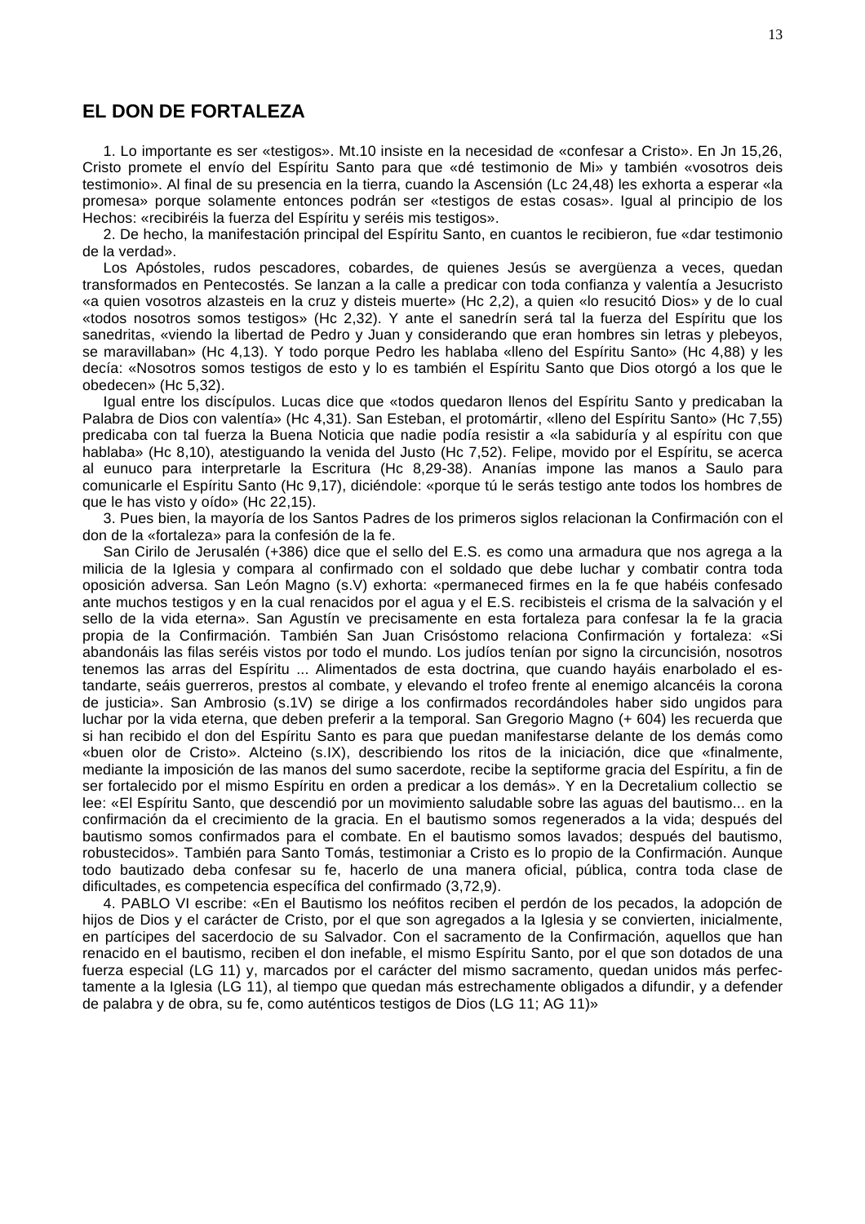### <span id="page-12-0"></span>**EL DON DE FORTALEZA**

1. Lo importante es ser «testigos». Mt.10 insiste en la necesidad de «confesar a Cristo». En Jn 15,26, Cristo promete el envío del Espíritu Santo para que «dé testimonio de Mi» y también «vosotros deis testimonio». Al final de su presencia en la tierra, cuando la Ascensión (Lc 24,48) les exhorta a esperar «la promesa» porque solamente entonces podrán ser «testigos de estas cosas». Igual al principio de los Hechos: «recibiréis la fuerza del Espíritu y seréis mis testigos».

2. De hecho, la manifestación principal del Espíritu Santo, en cuantos le recibieron, fue «dar testimonio de la verdad».

Los Apóstoles, rudos pescadores, cobardes, de quienes Jesús se avergüenza a veces, quedan transformados en Pentecostés. Se lanzan a la calle a predicar con toda confianza y valentía a Jesucristo «a quien vosotros alzasteis en la cruz y disteis muerte» (Hc 2,2), a quien «lo resucitó Dios» y de lo cual «todos nosotros somos testigos» (Hc 2,32). Y ante el sanedrín será tal la fuerza del Espíritu que los sanedritas, «viendo la libertad de Pedro y Juan y considerando que eran hombres sin letras y plebeyos, se maravillaban» (Hc 4,13). Y todo porque Pedro les hablaba «lleno del Espíritu Santo» (Hc 4,88) y les decía: «Nosotros somos testigos de esto y lo es también el Espíritu Santo que Dios otorgó a los que le obedecen» (Hc 5,32).

Igual entre los discípulos. Lucas dice que «todos quedaron llenos del Espíritu Santo y predicaban la Palabra de Dios con valentía» (Hc 4,31). San Esteban, el protomártir, «lleno del Espíritu Santo» (Hc 7,55) predicaba con tal fuerza la Buena Noticia que nadie podía resistir a «la sabiduría y al espíritu con que hablaba» (Hc 8,10), atestiguando la venida del Justo (Hc 7,52). Felipe, movido por el Espíritu, se acerca al eunuco para interpretarle la Escritura (Hc 8,29-38). Ananías impone las manos a Saulo para comunicarle el Espíritu Santo (Hc 9,17), diciéndole: «porque tú le serás testigo ante todos los hombres de que le has visto y oído» (Hc 22,15).

3. Pues bien, la mayoría de los Santos Padres de los primeros siglos relacionan la Confirmación con el don de la «fortaleza» para la confesión de la fe.

San Cirilo de Jerusalén (+386) dice que el sello del E.S. es como una armadura que nos agrega a la milicia de la Iglesia y compara al confirmado con el soldado que debe luchar y combatir contra toda oposición adversa. San León Magno (s.V) exhorta: «permaneced firmes en la fe que habéis confesado ante muchos testigos y en la cual renacidos por el agua y el E.S. recibisteis el crisma de la salvación y el sello de la vida eterna». San Agustín ve precisamente en esta fortaleza para confesar la fe la gracia propia de la Confirmación. También San Juan Crisóstomo relaciona Confirmación y fortaleza: «Si abandonáis las filas seréis vistos por todo el mundo. Los judíos tenían por signo la circuncisión, nosotros tenemos las arras del Espíritu ... Alimentados de esta doctrina, que cuando hayáis enarbolado el estandarte, seáis guerreros, prestos al combate, y elevando el trofeo frente al enemigo alcancéis la corona de justicia». San Ambrosio (s.1V) se dirige a los confirmados recordándoles haber sido ungidos para luchar por la vida eterna, que deben preferir a la temporal. San Gregorio Magno (+ 604) les recuerda que si han recibido el don del Espíritu Santo es para que puedan manifestarse delante de los demás como «buen olor de Cristo». Alcteino (s.IX), describiendo los ritos de la iniciación, dice que «finalmente, mediante la imposición de las manos del sumo sacerdote, recibe la septiforme gracia del Espíritu, a fin de ser fortalecido por el mismo Espíritu en orden a predicar a los demás». Y en la Decretalium collectio se lee: «El Espíritu Santo, que descendió por un movimiento saludable sobre las aguas del bautismo... en la confirmación da el crecimiento de la gracia. En el bautismo somos regenerados a la vida; después del bautismo somos confirmados para el combate. En el bautismo somos lavados; después del bautismo, robustecidos». También para Santo Tomás, testimoniar a Cristo es lo propio de la Confirmación. Aunque todo bautizado deba confesar su fe, hacerlo de una manera oficial, pública, contra toda clase de dificultades, es competencia específica del confirmado (3,72,9).

4. PABLO VI escribe: «En el Bautismo los neófitos reciben el perdón de los pecados, la adopción de hijos de Dios y el carácter de Cristo, por el que son agregados a la Iglesia y se convierten, inicialmente, en partícipes del sacerdocio de su Salvador. Con el sacramento de la Confirmación, aquellos que han renacido en el bautismo, reciben el don inefable, el mismo Espíritu Santo, por el que son dotados de una fuerza especial (LG 11) y, marcados por el carácter del mismo sacramento, quedan unidos más perfectamente a la Iglesia (LG 11), al tiempo que quedan más estrechamente obligados a difundir, y a defender de palabra y de obra, su fe, como auténticos testigos de Dios (LG 11; AG 11)»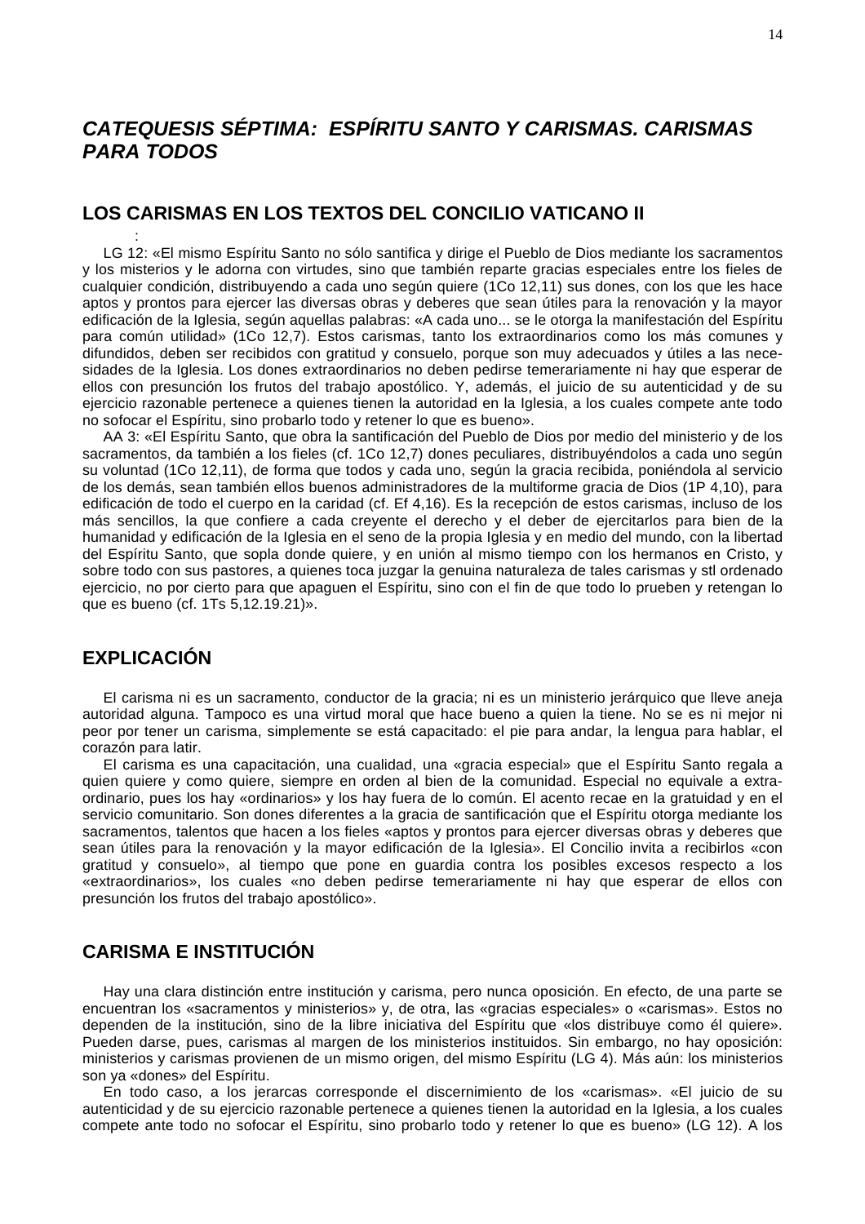# <span id="page-13-0"></span>*CATEQUESIS SÉPTIMA: ESPÍRITU SANTO Y CARISMAS. CARISMAS PARA TODOS*

### **LOS CARISMAS EN LOS TEXTOS DEL CONCILIO VATICANO II**

LG 12: «El mismo Espíritu Santo no sólo santifica y dirige el Pueblo de Dios mediante los sacramentos y los misterios y le adorna con virtudes, sino que también reparte gracias especiales entre los fieles de cualquier condición, distribuyendo a cada uno según quiere (1Co 12,11) sus dones, con los que les hace aptos y prontos para ejercer las diversas obras y deberes que sean útiles para la renovación y la mayor edificación de la Iglesia, según aquellas palabras: «A cada uno... se le otorga la manifestación del Espíritu para común utilidad» (1Co 12,7). Estos carismas, tanto los extraordinarios como los más comunes y difundidos, deben ser recibidos con gratitud y consuelo, porque son muy adecuados y útiles a las necesidades de la Iglesia. Los dones extraordinarios no deben pedirse temerariamente ni hay que esperar de ellos con presunción los frutos del trabajo apostólico. Y, además, el juicio de su autenticidad y de su ejercicio razonable pertenece a quienes tienen la autoridad en la Iglesia, a los cuales compete ante todo no sofocar el Espíritu, sino probarlo todo y retener lo que es bueno».

AA 3: «El Espíritu Santo, que obra la santificación del Pueblo de Dios por medio del ministerio y de los sacramentos, da también a los fieles (cf. 1Co 12,7) dones peculiares, distribuyéndolos a cada uno según su voluntad (1Co 12,11), de forma que todos y cada uno, según la gracia recibida, poniéndola al servicio de los demás, sean también ellos buenos administradores de la multiforme gracia de Dios (1P 4,10), para edificación de todo el cuerpo en la caridad (cf. Ef 4,16). Es la recepción de estos carismas, incluso de los más sencillos, la que confiere a cada creyente el derecho y el deber de ejercitarlos para bien de la humanidad y edificación de la Iglesia en el seno de la propia Iglesia y en medio del mundo, con la libertad del Espíritu Santo, que sopla donde quiere, y en unión al mismo tiempo con los hermanos en Cristo, y sobre todo con sus pastores, a quienes toca juzgar la genuina naturaleza de tales carismas y stl ordenado ejercicio, no por cierto para que apaguen el Espíritu, sino con el fin de que todo lo prueben y retengan lo que es bueno (cf. 1Ts 5,12.19.21)».

# **EXPLICACIÓN**

:

El carisma ni es un sacramento, conductor de la gracia; ni es un ministerio jerárquico que lleve aneja autoridad alguna. Tampoco es una virtud moral que hace bueno a quien la tiene. No se es ni mejor ni peor por tener un carisma, simplemente se está capacitado: el pie para andar, la lengua para hablar, el corazón para latir.

El carisma es una capacitación, una cualidad, una «gracia especial» que el Espíritu Santo regala a quien quiere y como quiere, siempre en orden al bien de la comunidad. Especial no equivale a extraordinario, pues los hay «ordinarios» y los hay fuera de lo común. El acento recae en la gratuidad y en el servicio comunitario. Son dones diferentes a la gracia de santificación que el Espíritu otorga mediante los sacramentos, talentos que hacen a los fieles «aptos y prontos para ejercer diversas obras y deberes que sean útiles para la renovación y la mayor edificación de la Iglesia». El Concilio invita a recibirlos «con gratitud y consuelo», al tiempo que pone en guardia contra los posibles excesos respecto a los «extraordinarios», los cuales «no deben pedirse temerariamente ni hay que esperar de ellos con presunción los frutos del trabajo apostólico».

### **CARISMA E INSTITUCIÓN**

Hay una clara distinción entre institución y carisma, pero nunca oposición. En efecto, de una parte se encuentran los «sacramentos y ministerios» y, de otra, las «gracias especiales» o «carismas». Estos no dependen de la institución, sino de la libre iniciativa del Espíritu que «los distribuye como él quiere». Pueden darse, pues, carismas al margen de los ministerios instituidos. Sin embargo, no hay oposición: ministerios y carismas provienen de un mismo origen, del mismo Espíritu (LG 4). Más aún: los ministerios son ya «dones» del Espíritu.

En todo caso, a los jerarcas corresponde el discernimiento de los «carismas». «El juicio de su autenticidad y de su ejercicio razonable pertenece a quienes tienen la autoridad en la Iglesia, a los cuales compete ante todo no sofocar el Espíritu, sino probarlo todo y retener lo que es bueno» (LG 12). A los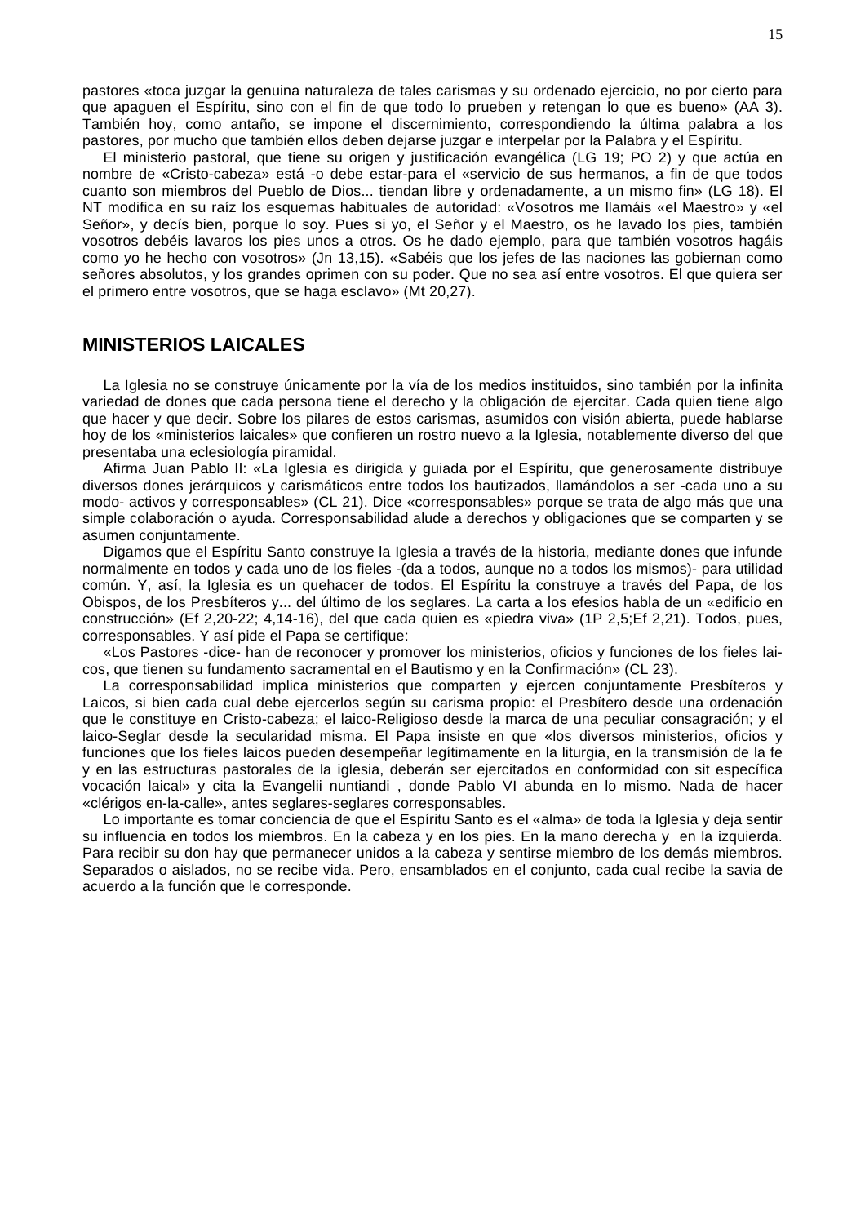<span id="page-14-0"></span>pastores «toca juzgar la genuina naturaleza de tales carismas y su ordenado ejercicio, no por cierto para que apaguen el Espíritu, sino con el fin de que todo lo prueben y retengan lo que es bueno» (AA 3). También hoy, como antaño, se impone el discernimiento, correspondiendo la última palabra a los pastores, por mucho que también ellos deben dejarse juzgar e interpelar por la Palabra y el Espíritu.

El ministerio pastoral, que tiene su origen y justificación evangélica (LG 19; PO 2) y que actúa en nombre de «Cristo-cabeza» está -o debe estar-para el «servicio de sus hermanos, a fin de que todos cuanto son miembros del Pueblo de Dios... tiendan libre y ordenadamente, a un mismo fin» (LG 18). El NT modifica en su raíz los esquemas habituales de autoridad: «Vosotros me llamáis «el Maestro» y «el Señor», y decís bien, porque lo soy. Pues si yo, el Señor y el Maestro, os he lavado los pies, también vosotros debéis lavaros los pies unos a otros. Os he dado ejemplo, para que también vosotros hagáis como yo he hecho con vosotros» (Jn 13,15). «Sabéis que los jefes de las naciones las gobiernan como señores absolutos, y los grandes oprimen con su poder. Que no sea así entre vosotros. El que quiera ser el primero entre vosotros, que se haga esclavo» (Mt 20,27).

## **MINISTERIOS LAICALES**

La Iglesia no se construye únicamente por la vía de los medios instituidos, sino también por la infinita variedad de dones que cada persona tiene el derecho y la obligación de ejercitar. Cada quien tiene algo que hacer y que decir. Sobre los pilares de estos carismas, asumidos con visión abierta, puede hablarse hoy de los «ministerios laicales» que confieren un rostro nuevo a la Iglesia, notablemente diverso del que presentaba una eclesiología piramidal.

Afirma Juan Pablo II: «La Iglesia es dirigida y guiada por el Espíritu, que generosamente distribuye diversos dones jerárquicos y carismáticos entre todos los bautizados, llamándolos a ser -cada uno a su modo- activos y corresponsables» (CL 21). Dice «corresponsables» porque se trata de algo más que una simple colaboración o ayuda. Corresponsabilidad alude a derechos y obligaciones que se comparten y se asumen conjuntamente.

Digamos que el Espíritu Santo construye la Iglesia a través de la historia, mediante dones que infunde normalmente en todos y cada uno de los fieles -(da a todos, aunque no a todos los mismos)- para utilidad común. Y, así, la Iglesia es un quehacer de todos. El Espíritu la construye a través del Papa, de los Obispos, de los Presbíteros y... del último de los seglares. La carta a los efesios habla de un «edificio en construcción» (Ef 2,20-22; 4,14-16), del que cada quien es «piedra viva» (1P 2,5;Ef 2,21). Todos, pues, corresponsables. Y así pide el Papa se certifique:

«Los Pastores -dice- han de reconocer y promover los ministerios, oficios y funciones de los fieles laicos, que tienen su fundamento sacramental en el Bautismo y en la Confirmación» (CL 23).

La corresponsabilidad implica ministerios que comparten y ejercen conjuntamente Presbíteros y Laicos, si bien cada cual debe ejercerlos según su carisma propio: el Presbítero desde una ordenación que le constituye en Cristo-cabeza; el laico-Religioso desde la marca de una peculiar consagración; y el laico-Seglar desde la secularidad misma. El Papa insiste en que «los diversos ministerios, oficios y funciones que los fieles laicos pueden desempeñar legítimamente en la liturgia, en la transmisión de la fe y en las estructuras pastorales de la iglesia, deberán ser ejercitados en conformidad con sit específica vocación laical» y cita la Evangelii nuntiandi , donde Pablo VI abunda en lo mismo. Nada de hacer «clérigos en-la-calle», antes seglares-seglares corresponsables.

Lo importante es tomar conciencia de que el Espíritu Santo es el «alma» de toda la Iglesia y deja sentir su influencia en todos los miembros. En la cabeza y en los pies. En la mano derecha y en la izquierda. Para recibir su don hay que permanecer unidos a la cabeza y sentirse miembro de los demás miembros. Separados o aislados, no se recibe vida. Pero, ensamblados en el conjunto, cada cual recibe la savia de acuerdo a la función que le corresponde.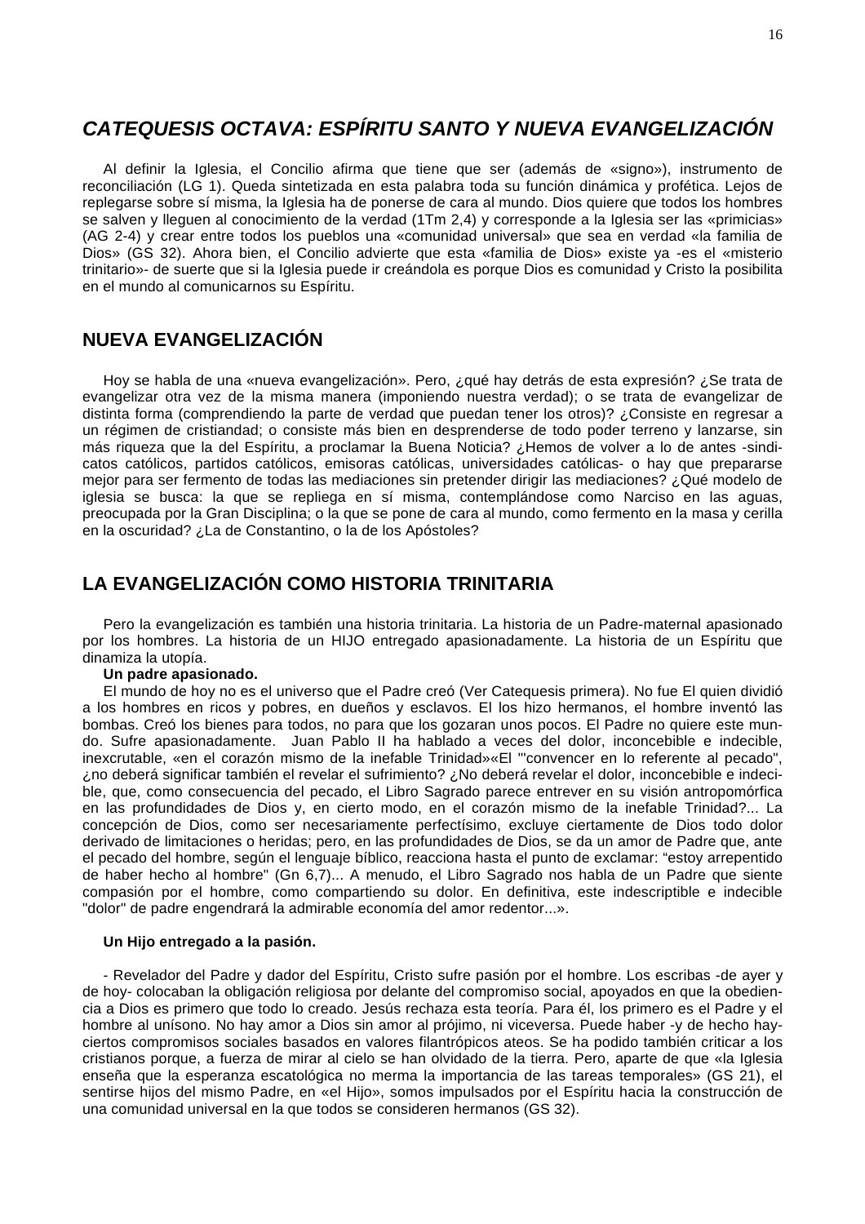# <span id="page-15-0"></span>*CATEQUESIS OCTAVA: ESPÍRITU SANTO Y NUEVA EVANGELIZACIÓN*

Al definir la Iglesia, el Concilio afirma que tiene que ser (además de «signo»), instrumento de reconciliación (LG 1). Queda sintetizada en esta palabra toda su función dinámica y profética. Lejos de replegarse sobre sí misma, la Iglesia ha de ponerse de cara al mundo. Dios quiere que todos los hombres se salven y lleguen al conocimiento de la verdad (1Tm 2,4) y corresponde a la Iglesia ser las «primicias» (AG 2-4) y crear entre todos los pueblos una «comunidad universal» que sea en verdad «la familia de Dios» (GS 32). Ahora bien, el Concilio advierte que esta «familia de Dios» existe ya -es el «misterio trinitario»- de suerte que si la Iglesia puede ir creándola es porque Dios es comunidad y Cristo la posibilita en el mundo al comunicarnos su Espíritu.

### **NUEVA EVANGELIZACIÓN**

Hoy se habla de una «nueva evangelización». Pero, ¿qué hay detrás de esta expresión? ¿Se trata de evangelizar otra vez de la misma manera (imponiendo nuestra verdad); o se trata de evangelizar de distinta forma (comprendiendo la parte de verdad que puedan tener los otros)? ¿Consiste en regresar a un régimen de cristiandad; o consiste más bien en desprenderse de todo poder terreno y lanzarse, sin más riqueza que la del Espíritu, a proclamar la Buena Noticia? ¿Hemos de volver a lo de antes -sindicatos católicos, partidos católicos, emisoras católicas, universidades católicas- o hay que prepararse mejor para ser fermento de todas las mediaciones sin pretender dirigir las mediaciones? ¿Qué modelo de iglesia se busca: la que se repliega en sí misma, contemplándose como Narciso en las aguas, preocupada por la Gran Disciplina; o la que se pone de cara al mundo, como fermento en la masa y cerilla en la oscuridad? ¿La de Constantino, o la de los Apóstoles?

# **LA EVANGELIZACIÓN COMO HISTORIA TRINITARIA**

Pero la evangelización es también una historia trinitaria. La historia de un Padre-maternal apasionado por los hombres. La historia de un HIJO entregado apasionadamente. La historia de un Espíritu que dinamiza la utopía.

#### **Un padre apasionado.**

El mundo de hoy no es el universo que el Padre creó (Ver Catequesis primera). No fue El quien dividió a los hombres en ricos y pobres, en dueños y esclavos. El los hizo hermanos, el hombre inventó las bombas. Creó los bienes para todos, no para que los gozaran unos pocos. El Padre no quiere este mundo. Sufre apasionadamente. Juan Pablo II ha hablado a veces del dolor, inconcebible e indecible, inexcrutable, «en el corazón mismo de la inefable Trinidad»«El "'convencer en lo referente al pecado", ¿no deberá significar también el revelar el sufrimiento? ¿No deberá revelar el dolor, inconcebible e indecible, que, como consecuencia del pecado, el Libro Sagrado parece entrever en su visión antropomórfica en las profundidades de Dios y, en cierto modo, en el corazón mismo de la inefable Trinidad?... La concepción de Dios, como ser necesariamente perfectísimo, excluye ciertamente de Dios todo dolor derivado de limitaciones o heridas; pero, en las profundidades de Dios, se da un amor de Padre que, ante el pecado del hombre, según el lenguaje bíblico, reacciona hasta el punto de exclamar: "estoy arrepentido de haber hecho al hombre" (Gn 6,7)... A menudo, el Libro Sagrado nos habla de un Padre que siente compasión por el hombre, como compartiendo su dolor. En definitiva, este indescriptible e indecible "dolor" de padre engendrará la admirable economía del amor redentor...».

#### **Un Hijo entregado a la pasión.**

- Revelador del Padre y dador del Espíritu, Cristo sufre pasión por el hombre. Los escribas -de ayer y de hoy- colocaban la obligación religiosa por delante del compromiso social, apoyados en que la obediencia a Dios es primero que todo lo creado. Jesús rechaza esta teoría. Para él, los primero es el Padre y el hombre al unísono. No hay amor a Dios sin amor al prójimo, ni viceversa. Puede haber -y de hecho hayciertos compromisos sociales basados en valores filantrópicos ateos. Se ha podido también criticar a los cristianos porque, a fuerza de mirar al cielo se han olvidado de la tierra. Pero, aparte de que «la Iglesia enseña que la esperanza escatológica no merma la importancia de las tareas temporales» (GS 21), el sentirse hijos del mismo Padre, en «el Hijo», somos impulsados por el Espíritu hacia la construcción de una comunidad universal en la que todos se consideren hermanos (GS 32).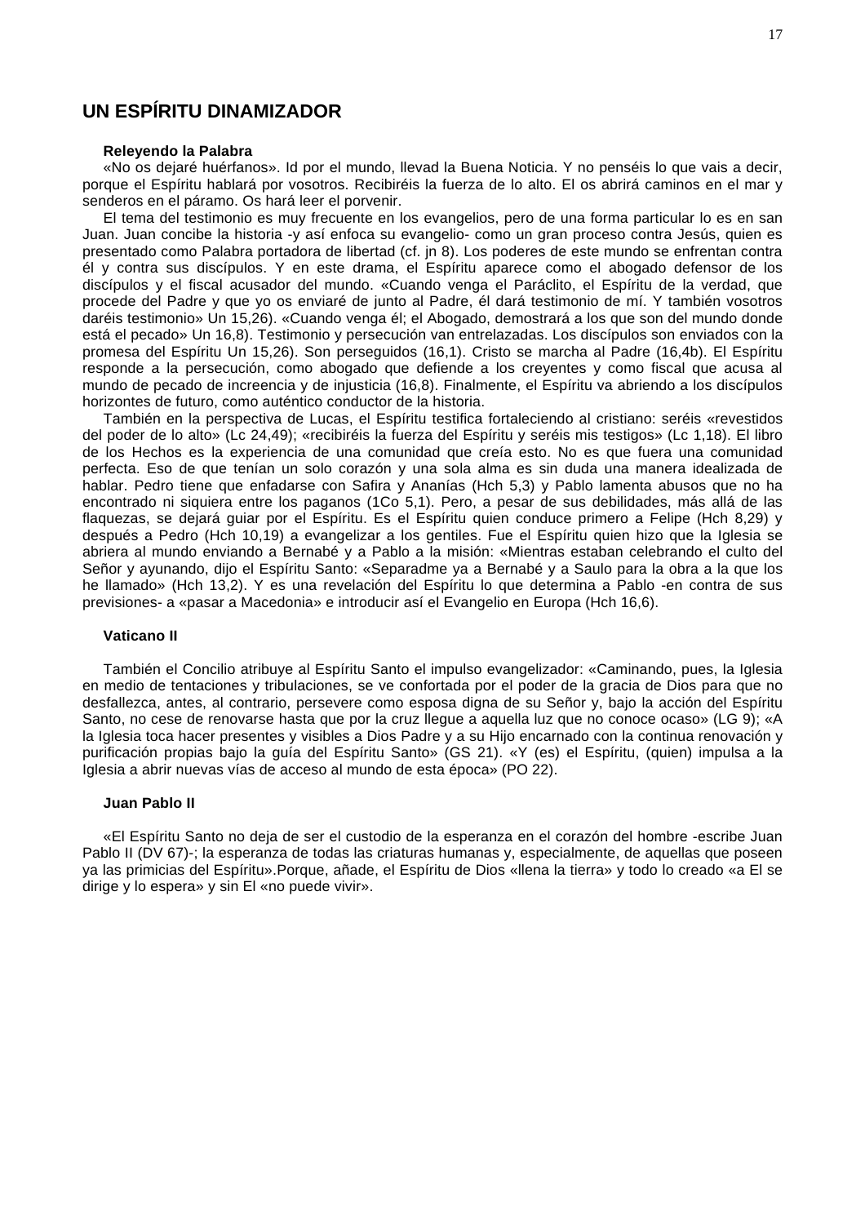# <span id="page-16-0"></span>**UN ESPÍRITU DINAMIZADOR**

#### **Releyendo la Palabra**

«No os dejaré huérfanos». Id por el mundo, llevad la Buena Noticia. Y no penséis lo que vais a decir, porque el Espíritu hablará por vosotros. Recibiréis la fuerza de lo alto. El os abrirá caminos en el mar y senderos en el páramo. Os hará leer el porvenir.

El tema del testimonio es muy frecuente en los evangelios, pero de una forma particular lo es en san Juan. Juan concibe la historia -y así enfoca su evangelio- como un gran proceso contra Jesús, quien es presentado como Palabra portadora de libertad (cf. jn 8). Los poderes de este mundo se enfrentan contra él y contra sus discípulos. Y en este drama, el Espíritu aparece como el abogado defensor de los discípulos y el fiscal acusador del mundo. «Cuando venga el Paráclito, el Espíritu de la verdad, que procede del Padre y que yo os enviaré de junto al Padre, él dará testimonio de mí. Y también vosotros daréis testimonio» Un 15,26). «Cuando venga él; el Abogado, demostrará a los que son del mundo donde está el pecado» Un 16,8). Testimonio y persecución van entrelazadas. Los discípulos son enviados con la promesa del Espíritu Un 15,26). Son perseguidos (16,1). Cristo se marcha al Padre (16,4b). El Espíritu responde a la persecución, como abogado que defiende a los creyentes y como fiscal que acusa al mundo de pecado de increencia y de injusticia (16,8). Finalmente, el Espíritu va abriendo a los discípulos horizontes de futuro, como auténtico conductor de la historia.

También en la perspectiva de Lucas, el Espíritu testifica fortaleciendo al cristiano: seréis «revestidos del poder de lo alto» (Lc 24,49); «recibiréis la fuerza del Espíritu y seréis mis testigos» (Lc 1,18). El libro de los Hechos es la experiencia de una comunidad que creía esto. No es que fuera una comunidad perfecta. Eso de que tenían un solo corazón y una sola alma es sin duda una manera idealizada de hablar. Pedro tiene que enfadarse con Safira y Ananías (Hch 5,3) y Pablo lamenta abusos que no ha encontrado ni siquiera entre los paganos (1Co 5,1). Pero, a pesar de sus debilidades, más allá de las flaquezas, se dejará guiar por el Espíritu. Es el Espíritu quien conduce primero a Felipe (Hch 8,29) y después a Pedro (Hch 10,19) a evangelizar a los gentiles. Fue el Espíritu quien hizo que la Iglesia se abriera al mundo enviando a Bernabé y a Pablo a la misión: «Mientras estaban celebrando el culto del Señor y ayunando, dijo el Espíritu Santo: «Separadme ya a Bernabé y a Saulo para la obra a la que los he llamado» (Hch 13,2). Y es una revelación del Espíritu lo que determina a Pablo -en contra de sus previsiones- a «pasar a Macedonia» e introducir así el Evangelio en Europa (Hch 16,6).

#### **Vaticano II**

También el Concilio atribuye al Espíritu Santo el impulso evangelizador: «Caminando, pues, la Iglesia en medio de tentaciones y tribulaciones, se ve confortada por el poder de la gracia de Dios para que no desfallezca, antes, al contrario, persevere como esposa digna de su Señor y, bajo la acción del Espíritu Santo, no cese de renovarse hasta que por la cruz llegue a aquella luz que no conoce ocaso» (LG 9); «A la Iglesia toca hacer presentes y visibles a Dios Padre y a su Hijo encarnado con la continua renovación y purificación propias bajo la guía del Espíritu Santo» (GS 21). «Y (es) el Espíritu, (quien) impulsa a la Iglesia a abrir nuevas vías de acceso al mundo de esta época» (PO 22).

#### **Juan Pablo II**

«El Espíritu Santo no deja de ser el custodio de la esperanza en el corazón del hombre -escribe Juan Pablo II (DV 67)-; la esperanza de todas las criaturas humanas y, especialmente, de aquellas que poseen ya las primicias del Espíritu».Porque, añade, el Espíritu de Dios «llena la tierra» y todo lo creado «a El se dirige y lo espera» y sin El «no puede vivir».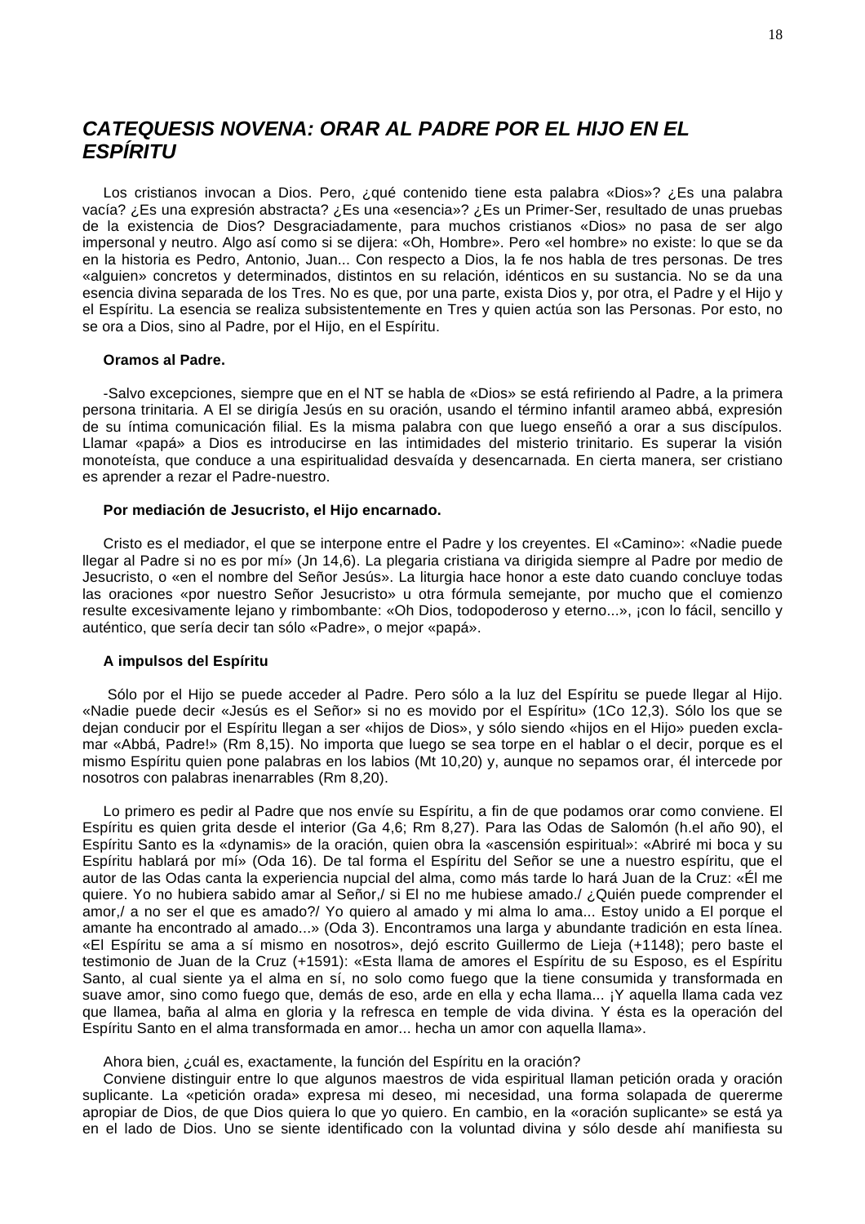# <span id="page-17-0"></span>*CATEQUESIS NOVENA: ORAR AL PADRE POR EL HIJO EN EL ESPÍRITU*

Los cristianos invocan a Dios. Pero, ¿qué contenido tiene esta palabra «Dios»? ¿Es una palabra vacía? ¿Es una expresión abstracta? ¿Es una «esencia»? ¿Es un Primer-Ser, resultado de unas pruebas de la existencia de Dios? Desgraciadamente, para muchos cristianos «Dios» no pasa de ser algo impersonal y neutro. Algo así como si se dijera: «Oh, Hombre». Pero «el hombre» no existe: lo que se da en la historia es Pedro, Antonio, Juan... Con respecto a Dios, la fe nos habla de tres personas. De tres «alguien» concretos y determinados, distintos en su relación, idénticos en su sustancia. No se da una esencia divina separada de los Tres. No es que, por una parte, exista Dios y, por otra, el Padre y el Hijo y el Espíritu. La esencia se realiza subsistentemente en Tres y quien actúa son las Personas. Por esto, no se ora a Dios, sino al Padre, por el Hijo, en el Espíritu.

#### **Oramos al Padre.**

-Salvo excepciones, siempre que en el NT se habla de «Dios» se está refiriendo al Padre, a la primera persona trinitaria. A El se dirigía Jesús en su oración, usando el término infantil arameo abbá, expresión de su íntima comunicación filial. Es la misma palabra con que luego enseñó a orar a sus discípulos. Llamar «papá» a Dios es introducirse en las intimidades del misterio trinitario. Es superar la visión monoteísta, que conduce a una espiritualidad desvaída y desencarnada. En cierta manera, ser cristiano es aprender a rezar el Padre-nuestro.

#### **Por mediación de Jesucristo, el Hijo encarnado.**

Cristo es el mediador, el que se interpone entre el Padre y los creyentes. El «Camino»: «Nadie puede llegar al Padre si no es por mí» (Jn 14,6). La plegaria cristiana va dirigida siempre al Padre por medio de Jesucristo, o «en el nombre del Señor Jesús». La liturgia hace honor a este dato cuando concluye todas las oraciones «por nuestro Señor Jesucristo» u otra fórmula semejante, por mucho que el comienzo resulte excesivamente lejano y rimbombante: «Oh Dios, todopoderoso y eterno...», ¡con lo fácil, sencillo y auténtico, que sería decir tan sólo «Padre», o mejor «papá».

#### **A impulsos del Espíritu**

 Sólo por el Hijo se puede acceder al Padre. Pero sólo a la luz del Espíritu se puede llegar al Hijo. «Nadie puede decir «Jesús es el Señor» si no es movido por el Espíritu» (1Co 12,3). Sólo los que se dejan conducir por el Espíritu llegan a ser «hijos de Dios», y sólo siendo «hijos en el Hijo» pueden exclamar «Abbá, Padre!» (Rm 8,15). No importa que luego se sea torpe en el hablar o el decir, porque es el mismo Espíritu quien pone palabras en los labios (Mt 10,20) y, aunque no sepamos orar, él intercede por nosotros con palabras inenarrables (Rm 8,20).

Lo primero es pedir al Padre que nos envíe su Espíritu, a fin de que podamos orar como conviene. El Espíritu es quien grita desde el interior (Ga 4,6; Rm 8,27). Para las Odas de Salomón (h.el año 90), el Espíritu Santo es la «dynamis» de la oración, quien obra la «ascensión espiritual»: «Abriré mi boca y su Espíritu hablará por mí» (Oda 16). De tal forma el Espíritu del Señor se une a nuestro espíritu, que el autor de las Odas canta la experiencia nupcial del alma, como más tarde lo hará Juan de la Cruz: «Él me quiere. Yo no hubiera sabido amar al Señor,/ si El no me hubiese amado./ ¿Quién puede comprender el amor,/ a no ser el que es amado?/ Yo quiero al amado y mi alma lo ama... Estoy unido a El porque el amante ha encontrado al amado...» (Oda 3). Encontramos una larga y abundante tradición en esta línea. «El Espíritu se ama a sí mismo en nosotros», dejó escrito Guillermo de Lieja (+1148); pero baste el testimonio de Juan de la Cruz (+1591): «Esta llama de amores el Espíritu de su Esposo, es el Espíritu Santo, al cual siente ya el alma en sí, no solo como fuego que la tiene consumida y transformada en suave amor, sino como fuego que, demás de eso, arde en ella y echa llama... ¡Y aquella llama cada vez que llamea, baña al alma en gloria y la refresca en temple de vida divina. Y ésta es la operación del Espíritu Santo en el alma transformada en amor... hecha un amor con aquella llama».

#### Ahora bien, ¿cuál es, exactamente, la función del Espíritu en la oración?

Conviene distinguir entre lo que algunos maestros de vida espiritual llaman petición orada y oración suplicante. La «petición orada» expresa mi deseo, mi necesidad, una forma solapada de quererme apropiar de Dios, de que Dios quiera lo que yo quiero. En cambio, en la «oración suplicante» se está ya en el lado de Dios. Uno se siente identificado con la voluntad divina y sólo desde ahí manifiesta su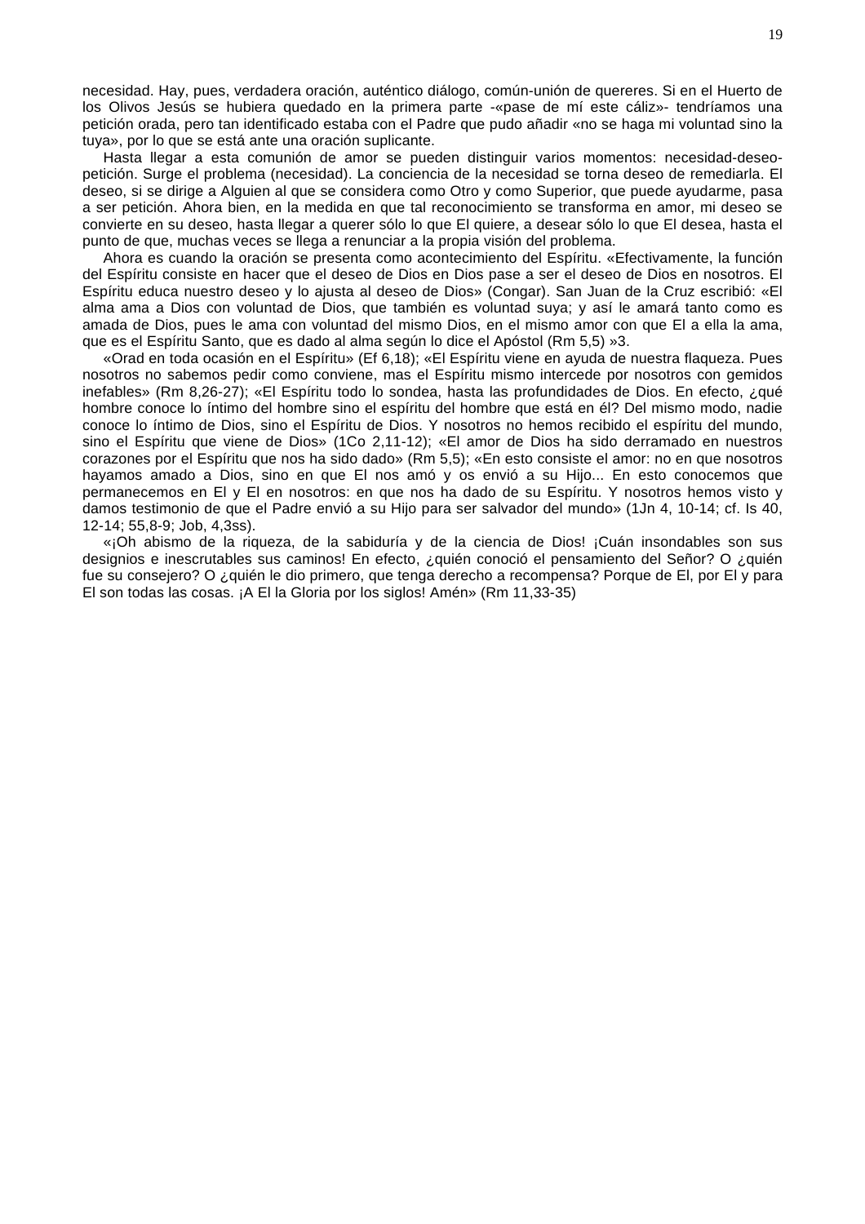necesidad. Hay, pues, verdadera oración, auténtico diálogo, común-unión de quereres. Si en el Huerto de los Olivos Jesús se hubiera quedado en la primera parte -«pase de mí este cáliz»- tendríamos una petición orada, pero tan identificado estaba con el Padre que pudo añadir «no se haga mi voluntad sino la tuya», por lo que se está ante una oración suplicante.

Hasta llegar a esta comunión de amor se pueden distinguir varios momentos: necesidad-deseopetición. Surge el problema (necesidad). La conciencia de la necesidad se torna deseo de remediarla. El deseo, si se dirige a Alguien al que se considera como Otro y como Superior, que puede ayudarme, pasa a ser petición. Ahora bien, en la medida en que tal reconocimiento se transforma en amor, mi deseo se convierte en su deseo, hasta llegar a querer sólo lo que El quiere, a desear sólo lo que El desea, hasta el punto de que, muchas veces se llega a renunciar a la propia visión del problema.

Ahora es cuando la oración se presenta como acontecimiento del Espíritu. «Efectivamente, la función del Espíritu consiste en hacer que el deseo de Dios en Dios pase a ser el deseo de Dios en nosotros. El Espíritu educa nuestro deseo y lo ajusta al deseo de Dios» (Congar). San Juan de la Cruz escribió: «El alma ama a Dios con voluntad de Dios, que también es voluntad suya; y así le amará tanto como es amada de Dios, pues le ama con voluntad del mismo Dios, en el mismo amor con que El a ella la ama, que es el Espíritu Santo, que es dado al alma según lo dice el Apóstol (Rm 5,5) »3.

«Orad en toda ocasión en el Espíritu» (Ef 6,18); «El Espíritu viene en ayuda de nuestra flaqueza. Pues nosotros no sabemos pedir como conviene, mas el Espíritu mismo intercede por nosotros con gemidos inefables» (Rm 8,26-27); «El Espíritu todo lo sondea, hasta las profundidades de Dios. En efecto, ¿qué hombre conoce lo íntimo del hombre sino el espíritu del hombre que está en él? Del mismo modo, nadie conoce lo íntimo de Dios, sino el Espíritu de Dios. Y nosotros no hemos recibido el espíritu del mundo, sino el Espíritu que viene de Dios» (1Co 2,11-12); «El amor de Dios ha sido derramado en nuestros corazones por el Espíritu que nos ha sido dado» (Rm 5,5); «En esto consiste el amor: no en que nosotros hayamos amado a Dios, sino en que El nos amó y os envió a su Hijo... En esto conocemos que permanecemos en El y El en nosotros: en que nos ha dado de su Espíritu. Y nosotros hemos visto y damos testimonio de que el Padre envió a su Hijo para ser salvador del mundo» (1Jn 4, 10-14; cf. Is 40, 12-14; 55,8-9; Job, 4,3ss).

«¡Oh abismo de la riqueza, de la sabiduría y de la ciencia de Dios! ¡Cuán insondables son sus designios e inescrutables sus caminos! En efecto, ¿quién conoció el pensamiento del Señor? O ¿quién fue su consejero? O ¿quién le dio primero, que tenga derecho a recompensa? Porque de El, por El y para El son todas las cosas. ¡A El la Gloria por los siglos! Amén» (Rm 11,33-35)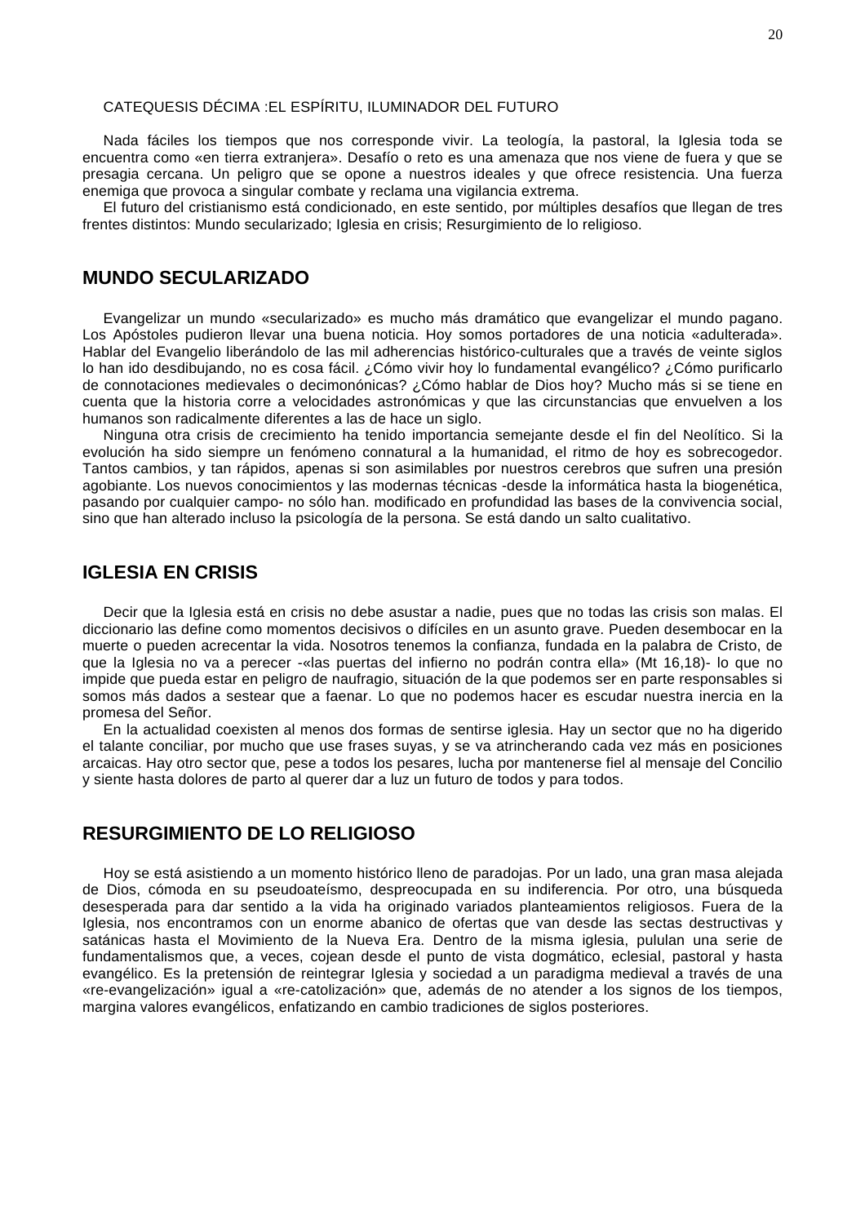#### <span id="page-19-0"></span>CATEQUESIS DÉCIMA :EL ESPÍRITU, ILUMINADOR DEL FUTURO

Nada fáciles los tiempos que nos corresponde vivir. La teología, la pastoral, la Iglesia toda se encuentra como «en tierra extranjera». Desafío o reto es una amenaza que nos viene de fuera y que se presagia cercana. Un peligro que se opone a nuestros ideales y que ofrece resistencia. Una fuerza enemiga que provoca a singular combate y reclama una vigilancia extrema.

El futuro del cristianismo está condicionado, en este sentido, por múltiples desafíos que llegan de tres frentes distintos: Mundo secularizado; Iglesia en crisis; Resurgimiento de lo religioso.

### **MUNDO SECULARIZADO**

Evangelizar un mundo «secularizado» es mucho más dramático que evangelizar el mundo pagano. Los Apóstoles pudieron llevar una buena noticia. Hoy somos portadores de una noticia «adulterada». Hablar del Evangelio liberándolo de las mil adherencias histórico-culturales que a través de veinte siglos lo han ido desdibujando, no es cosa fácil. ¿Cómo vivir hoy lo fundamental evangélico? ¿Cómo purificarlo de connotaciones medievales o decimonónicas? ¿Cómo hablar de Dios hoy? Mucho más si se tiene en cuenta que la historia corre a velocidades astronómicas y que las circunstancias que envuelven a los humanos son radicalmente diferentes a las de hace un siglo.

Ninguna otra crisis de crecimiento ha tenido importancia semejante desde el fin del Neolítico. Si la evolución ha sido siempre un fenómeno connatural a la humanidad, el ritmo de hoy es sobrecogedor. Tantos cambios, y tan rápidos, apenas si son asimilables por nuestros cerebros que sufren una presión agobiante. Los nuevos conocimientos y las modernas técnicas -desde la informática hasta la biogenética, pasando por cualquier campo- no sólo han. modificado en profundidad las bases de la convivencia social, sino que han alterado incluso la psicología de la persona. Se está dando un salto cualitativo.

### **IGLESIA EN CRISIS**

Decir que la Iglesia está en crisis no debe asustar a nadie, pues que no todas las crisis son malas. El diccionario las define como momentos decisivos o difíciles en un asunto grave. Pueden desembocar en la muerte o pueden acrecentar la vida. Nosotros tenemos la confianza, fundada en la palabra de Cristo, de que la Iglesia no va a perecer -«las puertas del infierno no podrán contra ella» (Mt 16,18)- lo que no impide que pueda estar en peligro de naufragio, situación de la que podemos ser en parte responsables si somos más dados a sestear que a faenar. Lo que no podemos hacer es escudar nuestra inercia en la promesa del Señor.

En la actualidad coexisten al menos dos formas de sentirse iglesia. Hay un sector que no ha digerido el talante conciliar, por mucho que use frases suyas, y se va atrincherando cada vez más en posiciones arcaicas. Hay otro sector que, pese a todos los pesares, lucha por mantenerse fiel al mensaje del Concilio y siente hasta dolores de parto al querer dar a luz un futuro de todos y para todos.

### **RESURGIMIENTO DE LO RELIGIOSO**

Hoy se está asistiendo a un momento histórico lleno de paradojas. Por un lado, una gran masa alejada de Dios, cómoda en su pseudoateísmo, despreocupada en su indiferencia. Por otro, una búsqueda desesperada para dar sentido a la vida ha originado variados planteamientos religiosos. Fuera de la Iglesia, nos encontramos con un enorme abanico de ofertas que van desde las sectas destructivas y satánicas hasta el Movimiento de la Nueva Era. Dentro de la misma iglesia, pululan una serie de fundamentalismos que, a veces, cojean desde el punto de vista dogmático, eclesial, pastoral y hasta evangélico. Es la pretensión de reintegrar Iglesia y sociedad a un paradigma medieval a través de una «re-evangelización» igual a «re-catolización» que, además de no atender a los signos de los tiempos, margina valores evangélicos, enfatizando en cambio tradiciones de siglos posteriores.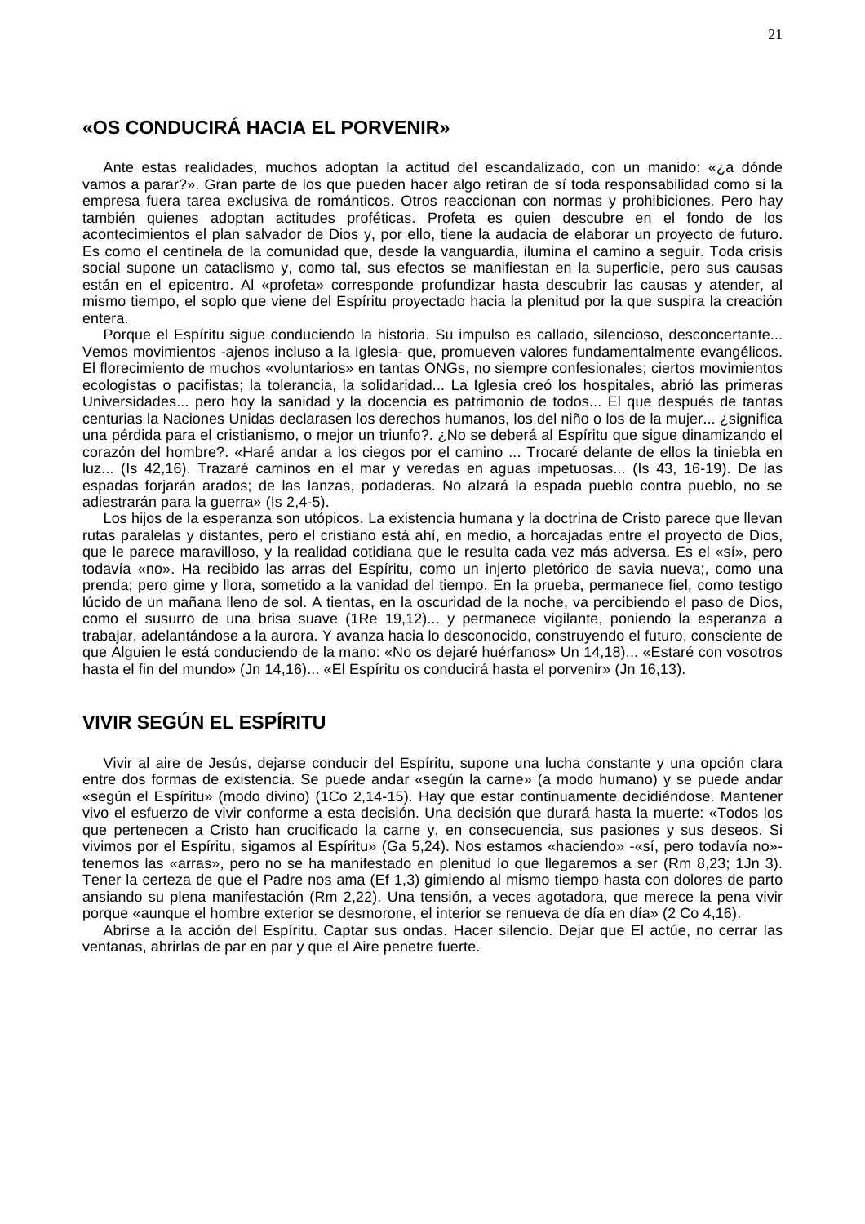# <span id="page-20-0"></span>**«OS CONDUCIRÁ HACIA EL PORVENIR»**

Ante estas realidades, muchos adoptan la actitud del escandalizado, con un manido: «¿a dónde vamos a parar?». Gran parte de los que pueden hacer algo retiran de sí toda responsabilidad como si la empresa fuera tarea exclusiva de románticos. Otros reaccionan con normas y prohibiciones. Pero hay también quienes adoptan actitudes proféticas. Profeta es quien descubre en el fondo de los acontecimientos el plan salvador de Dios y, por ello, tiene la audacia de elaborar un proyecto de futuro. Es como el centinela de la comunidad que, desde la vanguardia, ilumina el camino a seguir. Toda crisis social supone un cataclismo y, como tal, sus efectos se manifiestan en la superficie, pero sus causas están en el epicentro. Al «profeta» corresponde profundizar hasta descubrir las causas y atender, al mismo tiempo, el soplo que viene del Espíritu proyectado hacia la plenitud por la que suspira la creación entera.

Porque el Espíritu sigue conduciendo la historia. Su impulso es callado, silencioso, desconcertante... Vemos movimientos -ajenos incluso a la Iglesia- que, promueven valores fundamentalmente evangélicos. El florecimiento de muchos «voluntarios» en tantas ONGs, no siempre confesionales; ciertos movimientos ecologistas o pacifistas; la tolerancia, la solidaridad... La Iglesia creó los hospitales, abrió las primeras Universidades... pero hoy la sanidad y la docencia es patrimonio de todos... El que después de tantas centurias la Naciones Unidas declarasen los derechos humanos, los del niño o los de la mujer... ¿significa una pérdida para el cristianismo, o mejor un triunfo?. ¿No se deberá al Espíritu que sigue dinamizando el corazón del hombre?. «Haré andar a los ciegos por el camino ... Trocaré delante de ellos la tiniebla en luz... (Is 42,16). Trazaré caminos en el mar y veredas en aguas impetuosas... (Is 43, 16-19). De las espadas forjarán arados; de las lanzas, podaderas. No alzará la espada pueblo contra pueblo, no se adiestrarán para la guerra» (Is 2,4-5).

Los hijos de la esperanza son utópicos. La existencia humana y la doctrina de Cristo parece que llevan rutas paralelas y distantes, pero el cristiano está ahí, en medio, a horcajadas entre el proyecto de Dios, que le parece maravilloso, y la realidad cotidiana que le resulta cada vez más adversa. Es el «sí», pero todavía «no». Ha recibido las arras del Espíritu, como un injerto pletórico de savia nueva;, como una prenda; pero gime y llora, sometido a la vanidad del tiempo. En la prueba, permanece fiel, como testigo lúcido de un mañana lleno de sol. A tientas, en la oscuridad de la noche, va percibiendo el paso de Dios, como el susurro de una brisa suave (1Re 19,12)... y permanece vigilante, poniendo la esperanza a trabajar, adelantándose a la aurora. Y avanza hacia lo desconocido, construyendo el futuro, consciente de que Alguien le está conduciendo de la mano: «No os dejaré huérfanos» Un 14,18)... «Estaré con vosotros hasta el fin del mundo» (Jn 14,16)... «El Espíritu os conducirá hasta el porvenir» (Jn 16,13).

# **VIVIR SEGÚN EL ESPÍRITU**

Vivir al aire de Jesús, dejarse conducir del Espíritu, supone una lucha constante y una opción clara entre dos formas de existencia. Se puede andar «según la carne» (a modo humano) y se puede andar «según el Espíritu» (modo divino) (1Co 2,14-15). Hay que estar continuamente decidiéndose. Mantener vivo el esfuerzo de vivir conforme a esta decisión. Una decisión que durará hasta la muerte: «Todos los que pertenecen a Cristo han crucificado la carne y, en consecuencia, sus pasiones y sus deseos. Si vivimos por el Espíritu, sigamos al Espíritu» (Ga 5,24). Nos estamos «haciendo» -«sí, pero todavía no» tenemos las «arras», pero no se ha manifestado en plenitud lo que llegaremos a ser (Rm 8,23; 1Jn 3). Tener la certeza de que el Padre nos ama (Ef 1,3) gimiendo al mismo tiempo hasta con dolores de parto ansiando su plena manifestación (Rm 2,22). Una tensión, a veces agotadora, que merece la pena vivir porque «aunque el hombre exterior se desmorone, el interior se renueva de día en día» (2 Co 4,16).

Abrirse a la acción del Espíritu. Captar sus ondas. Hacer silencio. Dejar que El actúe, no cerrar las ventanas, abrirlas de par en par y que el Aire penetre fuerte.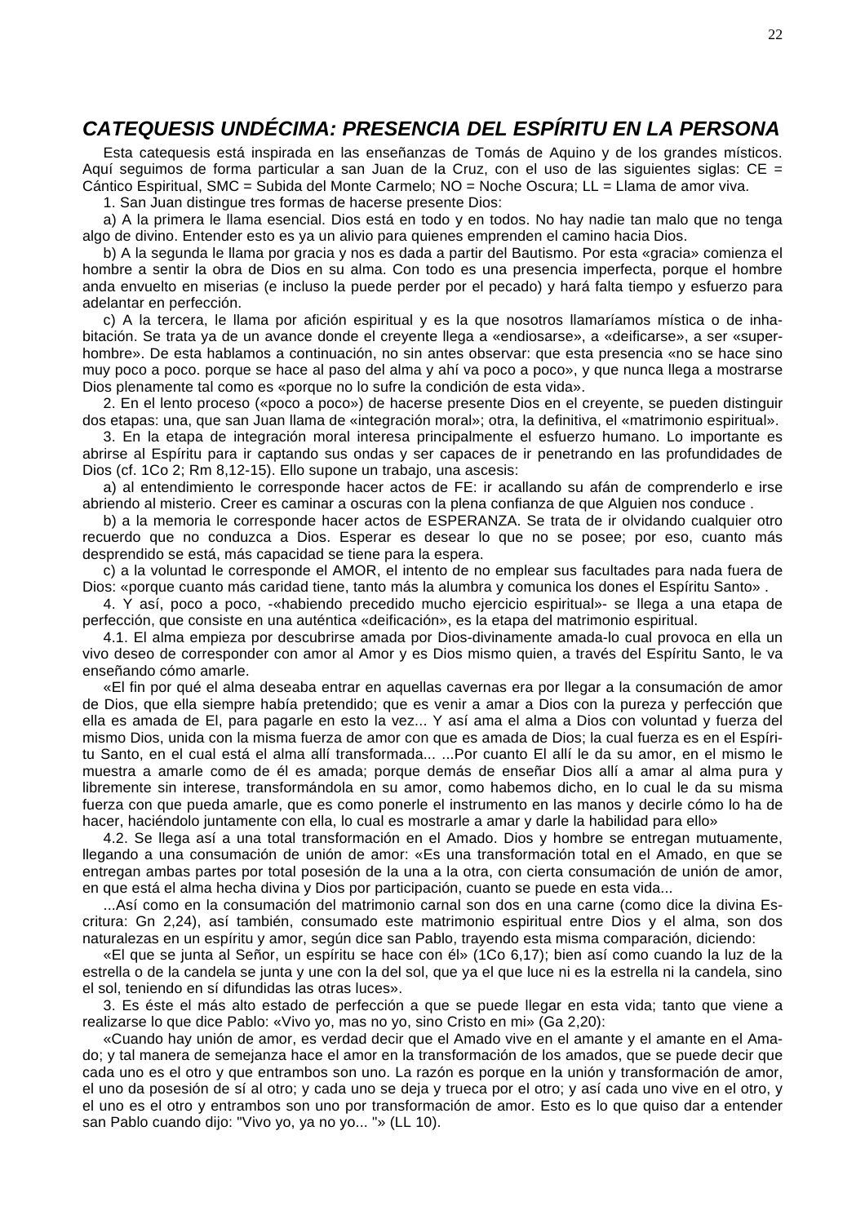# <span id="page-21-0"></span>*CATEQUESIS UNDÉCIMA: PRESENCIA DEL ESPÍRITU EN LA PERSONA*

Esta catequesis está inspirada en las enseñanzas de Tomás de Aquino y de los grandes místicos. Aquí seguimos de forma particular a san Juan de la Cruz, con el uso de las siguientes siglas: CE = Cántico Espiritual, SMC = Subida del Monte Carmelo; NO = Noche Oscura; LL = Llama de amor viva.

1. San Juan distingue tres formas de hacerse presente Dios:

a) A la primera le llama esencial. Dios está en todo y en todos. No hay nadie tan malo que no tenga algo de divino. Entender esto es ya un alivio para quienes emprenden el camino hacia Dios.

b) A la segunda le llama por gracia y nos es dada a partir del Bautismo. Por esta «gracia» comienza el hombre a sentir la obra de Dios en su alma. Con todo es una presencia imperfecta, porque el hombre anda envuelto en miserias (e incluso la puede perder por el pecado) y hará falta tiempo y esfuerzo para adelantar en perfección.

c) A la tercera, le llama por afición espiritual y es la que nosotros llamaríamos mística o de inhabitación. Se trata ya de un avance donde el creyente llega a «endiosarse», a «deificarse», a ser «superhombre». De esta hablamos a continuación, no sin antes observar: que esta presencia «no se hace sino muy poco a poco. porque se hace al paso del alma y ahí va poco a poco», y que nunca llega a mostrarse Dios plenamente tal como es «porque no lo sufre la condición de esta vida».

2. En el lento proceso («poco a poco») de hacerse presente Dios en el creyente, se pueden distinguir dos etapas: una, que san Juan llama de «integración moral»; otra, la definitiva, el «matrimonio espiritual».

3. En la etapa de integración moral interesa principalmente el esfuerzo humano. Lo importante es abrirse al Espíritu para ir captando sus ondas y ser capaces de ir penetrando en las profundidades de Dios (cf. 1Co 2; Rm 8,12-15). Ello supone un trabajo, una ascesis:

a) al entendimiento le corresponde hacer actos de FE: ir acallando su afán de comprenderlo e irse abriendo al misterio. Creer es caminar a oscuras con la plena confianza de que Alguien nos conduce .

b) a la memoria le corresponde hacer actos de ESPERANZA. Se trata de ir olvidando cualquier otro recuerdo que no conduzca a Dios. Esperar es desear lo que no se posee; por eso, cuanto más desprendido se está, más capacidad se tiene para la espera.

c) a la voluntad le corresponde el AMOR, el intento de no emplear sus facultades para nada fuera de Dios: «porque cuanto más caridad tiene, tanto más la alumbra y comunica los dones el Espíritu Santo» .

4. Y así, poco a poco, -«habiendo precedido mucho ejercicio espiritual»- se llega a una etapa de perfección, que consiste en una auténtica «deificación», es la etapa del matrimonio espiritual.

4.1. El alma empieza por descubrirse amada por Dios-divinamente amada-lo cual provoca en ella un vivo deseo de corresponder con amor al Amor y es Dios mismo quien, a través del Espíritu Santo, le va enseñando cómo amarle.

«El fin por qué el alma deseaba entrar en aquellas cavernas era por llegar a la consumación de amor de Dios, que ella siempre había pretendido; que es venir a amar a Dios con la pureza y perfección que ella es amada de El, para pagarle en esto la vez... Y así ama el alma a Dios con voluntad y fuerza del mismo Dios, unida con la misma fuerza de amor con que es amada de Dios; la cual fuerza es en el Espíritu Santo, en el cual está el alma allí transformada... ...Por cuanto El allí le da su amor, en el mismo le muestra a amarle como de él es amada; porque demás de enseñar Dios allí a amar al alma pura y libremente sin interese, transformándola en su amor, como habemos dicho, en lo cual le da su misma fuerza con que pueda amarle, que es como ponerle el instrumento en las manos y decirle cómo lo ha de hacer, haciéndolo juntamente con ella, lo cual es mostrarle a amar y darle la habilidad para ello»

4.2. Se llega así a una total transformación en el Amado. Dios y hombre se entregan mutuamente, llegando a una consumación de unión de amor: «Es una transformación total en el Amado, en que se entregan ambas partes por total posesión de la una a la otra, con cierta consumación de unión de amor, en que está el alma hecha divina y Dios por participación, cuanto se puede en esta vida...

...Así como en la consumación del matrimonio carnal son dos en una carne (como dice la divina Escritura: Gn 2,24), así también, consumado este matrimonio espiritual entre Dios y el alma, son dos naturalezas en un espíritu y amor, según dice san Pablo, trayendo esta misma comparación, diciendo:

«El que se junta al Señor, un espíritu se hace con él» (1Co 6,17); bien así como cuando la luz de la estrella o de la candela se junta y une con la del sol, que ya el que luce ni es la estrella ni la candela, sino el sol, teniendo en sí difundidas las otras luces».

3. Es éste el más alto estado de perfección a que se puede llegar en esta vida; tanto que viene a realizarse lo que dice Pablo: «Vivo yo, mas no yo, sino Cristo en mi» (Ga 2,20):

«Cuando hay unión de amor, es verdad decir que el Amado vive en el amante y el amante en el Amado; y tal manera de semejanza hace el amor en la transformación de los amados, que se puede decir que cada uno es el otro y que entrambos son uno. La razón es porque en la unión y transformación de amor, el uno da posesión de sí al otro; y cada uno se deja y trueca por el otro; y así cada uno vive en el otro, y el uno es el otro y entrambos son uno por transformación de amor. Esto es lo que quiso dar a entender san Pablo cuando dijo: "Vivo yo, ya no yo... "» (LL 10).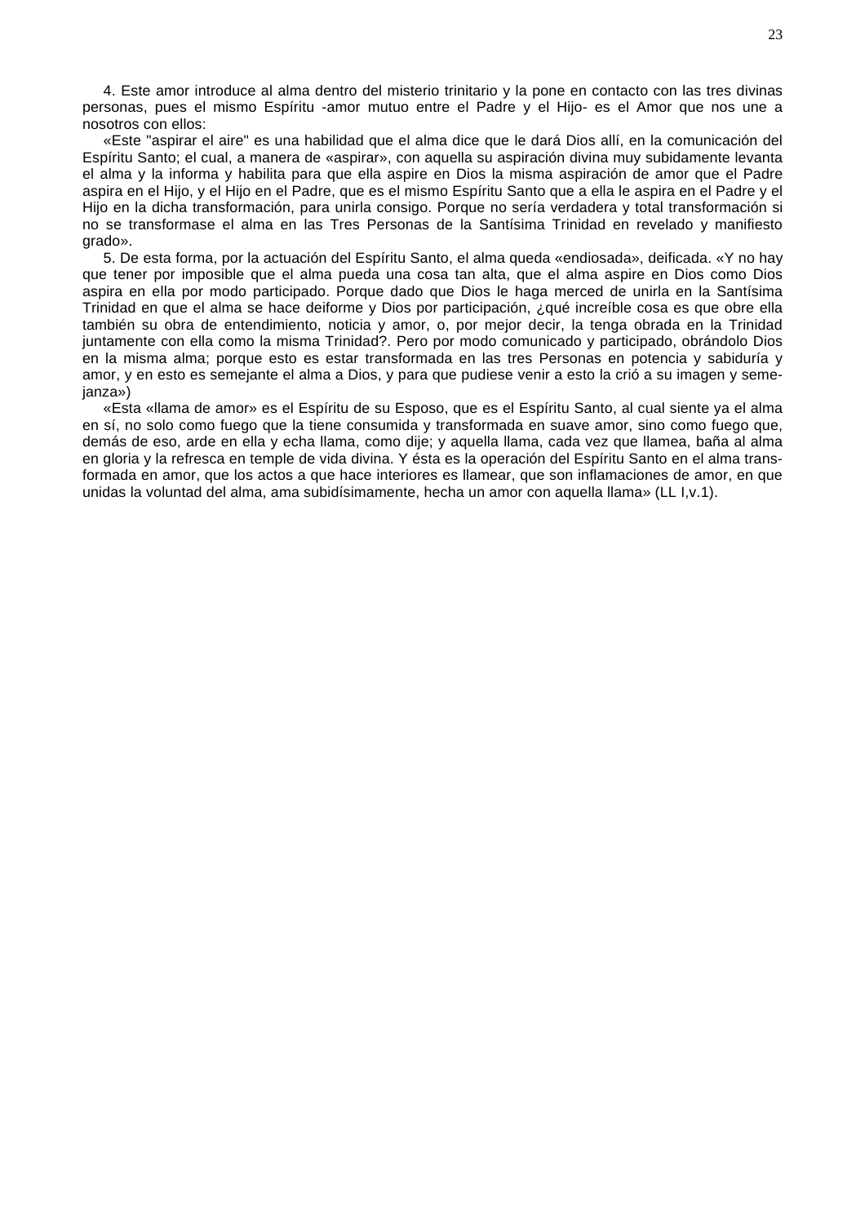4. Este amor introduce al alma dentro del misterio trinitario y la pone en contacto con las tres divinas personas, pues el mismo Espíritu -amor mutuo entre el Padre y el Hijo- es el Amor que nos une a nosotros con ellos:

«Este "aspirar el aire" es una habilidad que el alma dice que le dará Dios allí, en la comunicación del Espíritu Santo; el cual, a manera de «aspirar», con aquella su aspiración divina muy subidamente levanta el alma y la informa y habilita para que ella aspire en Dios la misma aspiración de amor que el Padre aspira en el Hijo, y el Hijo en el Padre, que es el mismo Espíritu Santo que a ella le aspira en el Padre y el Hijo en la dicha transformación, para unirla consigo. Porque no sería verdadera y total transformación si no se transformase el alma en las Tres Personas de la Santísima Trinidad en revelado y manifiesto grado».

5. De esta forma, por la actuación del Espíritu Santo, el alma queda «endiosada», deificada. «Y no hay que tener por imposible que el alma pueda una cosa tan alta, que el alma aspire en Dios como Dios aspira en ella por modo participado. Porque dado que Dios le haga merced de unirla en la Santísima Trinidad en que el alma se hace deiforme y Dios por participación, ¿qué increíble cosa es que obre ella también su obra de entendimiento, noticia y amor, o, por mejor decir, la tenga obrada en la Trinidad juntamente con ella como la misma Trinidad?. Pero por modo comunicado y participado, obrándolo Dios en la misma alma; porque esto es estar transformada en las tres Personas en potencia y sabiduría y amor, y en esto es semejante el alma a Dios, y para que pudiese venir a esto la crió a su imagen y semejanza»)

«Esta «llama de amor» es el Espíritu de su Esposo, que es el Espíritu Santo, al cual siente ya el alma en sí, no solo como fuego que la tiene consumida y transformada en suave amor, sino como fuego que, demás de eso, arde en ella y echa llama, como dije; y aquella llama, cada vez que llamea, baña al alma en gloria y la refresca en temple de vida divina. Y ésta es la operación del Espíritu Santo en el alma transformada en amor, que los actos a que hace interiores es llamear, que son inflamaciones de amor, en que unidas la voluntad del alma, ama subidísimamente, hecha un amor con aquella llama» (LL I,v.1).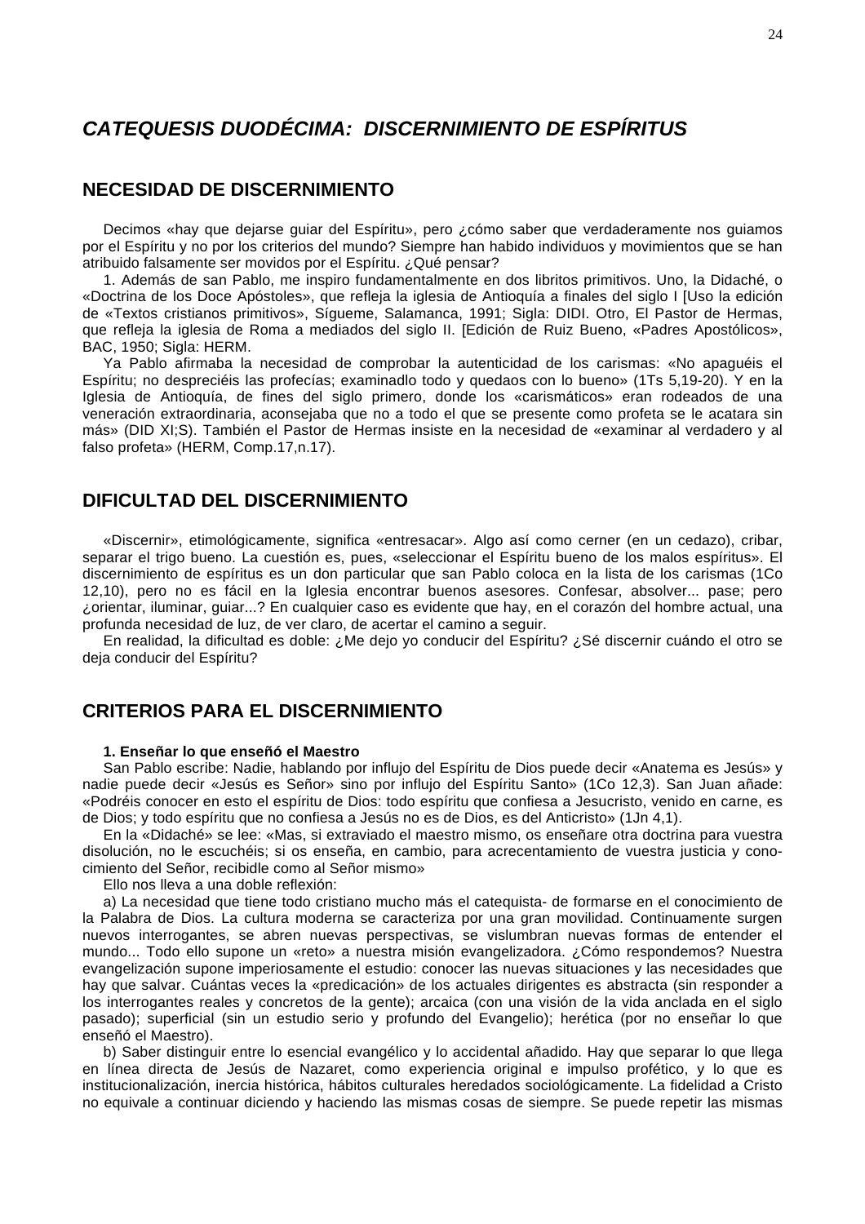# <span id="page-23-0"></span>*CATEQUESIS DUODÉCIMA: DISCERNIMIENTO DE ESPÍRITUS*

### **NECESIDAD DE DISCERNIMIENTO**

Decimos «hay que dejarse guiar del Espíritu», pero ¿cómo saber que verdaderamente nos guiamos por el Espíritu y no por los criterios del mundo? Siempre han habido individuos y movimientos que se han atribuido falsamente ser movidos por el Espíritu. ¿Qué pensar?

1. Además de san Pablo, me inspiro fundamentalmente en dos libritos primitivos. Uno, la Didaché, o «Doctrina de los Doce Apóstoles», que refleja la iglesia de Antioquía a finales del siglo I [Uso la edición de «Textos cristianos primitivos», Sígueme, Salamanca, 1991; Sigla: DIDI. Otro, El Pastor de Hermas, que refleja la iglesia de Roma a mediados del siglo II. [Edición de Ruiz Bueno, «Padres Apostólicos», BAC, 1950; Sigla: HERM.

Ya Pablo afirmaba la necesidad de comprobar la autenticidad de los carismas: «No apaguéis el Espíritu; no despreciéis las profecías; examinadlo todo y quedaos con lo bueno» (1Ts 5,19-20). Y en la Iglesia de Antioquía, de fines del siglo primero, donde los «carismáticos» eran rodeados de una veneración extraordinaria, aconsejaba que no a todo el que se presente como profeta se le acatara sin más» (DID XI;S). También el Pastor de Hermas insiste en la necesidad de «examinar al verdadero y al falso profeta» (HERM, Comp.17,n.17).

### **DIFICULTAD DEL DISCERNIMIENTO**

«Discernir», etimológicamente, significa «entresacar». Algo así como cerner (en un cedazo), cribar, separar el trigo bueno. La cuestión es, pues, «seleccionar el Espíritu bueno de los malos espíritus». El discernimiento de espíritus es un don particular que san Pablo coloca en la lista de los carismas (1Co 12,10), pero no es fácil en la Iglesia encontrar buenos asesores. Confesar, absolver... pase; pero ¿orientar, iluminar, guiar...? En cualquier caso es evidente que hay, en el corazón del hombre actual, una profunda necesidad de luz, de ver claro, de acertar el camino a seguir.

En realidad, la dificultad es doble: ¿Me dejo yo conducir del Espíritu? ¿Sé discernir cuándo el otro se deja conducir del Espíritu?

### **CRITERIOS PARA EL DISCERNIMIENTO**

#### **1. Enseñar lo que enseñó el Maestro**

San Pablo escribe: Nadie, hablando por influjo del Espíritu de Dios puede decir «Anatema es Jesús» y nadie puede decir «Jesús es Señor» sino por influjo del Espíritu Santo» (1Co 12,3). San Juan añade: «Podréis conocer en esto el espíritu de Dios: todo espíritu que confiesa a Jesucristo, venido en carne, es de Dios; y todo espíritu que no confiesa a Jesús no es de Dios, es del Anticristo» (1Jn 4,1).

En la «Didaché» se lee: «Mas, si extraviado el maestro mismo, os enseñare otra doctrina para vuestra disolución, no le escuchéis; si os enseña, en cambio, para acrecentamiento de vuestra justicia y conocimiento del Señor, recibidle como al Señor mismo»

Ello nos lleva a una doble reflexión:

a) La necesidad que tiene todo cristiano mucho más el catequista- de formarse en el conocimiento de la Palabra de Dios. La cultura moderna se caracteriza por una gran movilidad. Continuamente surgen nuevos interrogantes, se abren nuevas perspectivas, se vislumbran nuevas formas de entender el mundo... Todo ello supone un «reto» a nuestra misión evangelizadora. ¿Cómo respondemos? Nuestra evangelización supone imperiosamente el estudio: conocer las nuevas situaciones y las necesidades que hay que salvar. Cuántas veces la «predicación» de los actuales dirigentes es abstracta (sin responder a los interrogantes reales y concretos de la gente); arcaica (con una visión de la vida anclada en el siglo pasado); superficial (sin un estudio serio y profundo del Evangelio); herética (por no enseñar lo que enseñó el Maestro).

b) Saber distinguir entre lo esencial evangélico y lo accidental añadido. Hay que separar lo que llega en línea directa de Jesús de Nazaret, como experiencia original e impulso profético, y lo que es institucionalización, inercia histórica, hábitos culturales heredados sociológicamente. La fidelidad a Cristo no equivale a continuar diciendo y haciendo las mismas cosas de siempre. Se puede repetir las mismas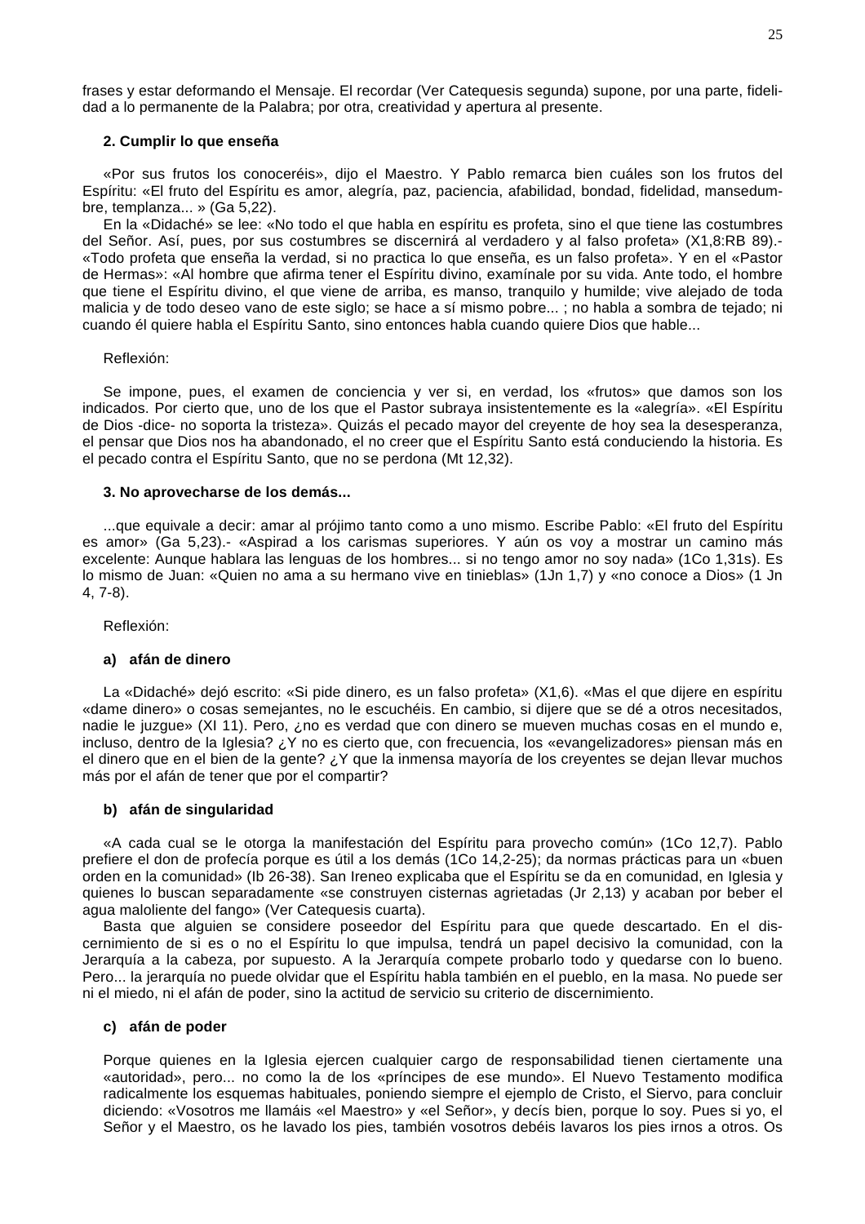#### **2. Cumplir lo que enseña**

«Por sus frutos los conoceréis», dijo el Maestro. Y Pablo remarca bien cuáles son los frutos del Espíritu: «El fruto del Espíritu es amor, alegría, paz, paciencia, afabilidad, bondad, fidelidad, mansedumbre, templanza... » (Ga 5,22).

En la «Didaché» se lee: «No todo el que habla en espíritu es profeta, sino el que tiene las costumbres del Señor. Así, pues, por sus costumbres se discernirá al verdadero y al falso profeta» (X1,8:RB 89).- «Todo profeta que enseña la verdad, si no practica lo que enseña, es un falso profeta». Y en el «Pastor de Hermas»: «Al hombre que afirma tener el Espíritu divino, examínale por su vida. Ante todo, el hombre que tiene el Espíritu divino, el que viene de arriba, es manso, tranquilo y humilde; vive alejado de toda malicia y de todo deseo vano de este siglo; se hace a sí mismo pobre... ; no habla a sombra de tejado; ni cuando él quiere habla el Espíritu Santo, sino entonces habla cuando quiere Dios que hable...

#### Reflexión:

Se impone, pues, el examen de conciencia y ver si, en verdad, los «frutos» que damos son los indicados. Por cierto que, uno de los que el Pastor subraya insistentemente es la «alegría». «El Espíritu de Dios -dice- no soporta la tristeza». Quizás el pecado mayor del creyente de hoy sea la desesperanza, el pensar que Dios nos ha abandonado, el no creer que el Espíritu Santo está conduciendo la historia. Es el pecado contra el Espíritu Santo, que no se perdona (Mt 12,32).

#### **3. No aprovecharse de los demás...**

...que equivale a decir: amar al prójimo tanto como a uno mismo. Escribe Pablo: «El fruto del Espíritu es amor» (Ga 5,23).- «Aspirad a los carismas superiores. Y aún os voy a mostrar un camino más excelente: Aunque hablara las lenguas de los hombres... si no tengo amor no soy nada» (1Co 1,31s). Es lo mismo de Juan: «Quien no ama a su hermano vive en tinieblas» (1Jn 1,7) y «no conoce a Dios» (1 Jn 4, 7-8).

Reflexión:

#### **a) afán de dinero**

La «Didaché» dejó escrito: «Si pide dinero, es un falso profeta» (X1,6). «Mas el que dijere en espíritu «dame dinero» o cosas semejantes, no le escuchéis. En cambio, si dijere que se dé a otros necesitados, nadie le juzgue» (XI 11). Pero, ¿no es verdad que con dinero se mueven muchas cosas en el mundo e, incluso, dentro de la Iglesia? ¿Y no es cierto que, con frecuencia, los «evangelizadores» piensan más en el dinero que en el bien de la gente? ¿Y que la inmensa mayoría de los creyentes se dejan llevar muchos más por el afán de tener que por el compartir?

#### **b) afán de singularidad**

«A cada cual se le otorga la manifestación del Espíritu para provecho común» (1Co 12,7). Pablo prefiere el don de profecía porque es útil a los demás (1Co 14,2-25); da normas prácticas para un «buen orden en la comunidad» (Ib 26-38). San Ireneo explicaba que el Espíritu se da en comunidad, en Iglesia y quienes lo buscan separadamente «se construyen cisternas agrietadas (Jr 2,13) y acaban por beber el agua maloliente del fango» (Ver Catequesis cuarta).

Basta que alguien se considere poseedor del Espíritu para que quede descartado. En el discernimiento de si es o no el Espíritu lo que impulsa, tendrá un papel decisivo la comunidad, con la Jerarquía a la cabeza, por supuesto. A la Jerarquía compete probarlo todo y quedarse con lo bueno. Pero... la jerarquía no puede olvidar que el Espíritu habla también en el pueblo, en la masa. No puede ser ni el miedo, ni el afán de poder, sino la actitud de servicio su criterio de discernimiento.

#### **c) afán de poder**

Porque quienes en la Iglesia ejercen cualquier cargo de responsabilidad tienen ciertamente una «autoridad», pero... no como la de los «príncipes de ese mundo». El Nuevo Testamento modifica radicalmente los esquemas habituales, poniendo siempre el ejemplo de Cristo, el Siervo, para concluir diciendo: «Vosotros me llamáis «el Maestro» y «el Señor», y decís bien, porque lo soy. Pues si yo, el Señor y el Maestro, os he lavado los pies, también vosotros debéis lavaros los pies irnos a otros. Os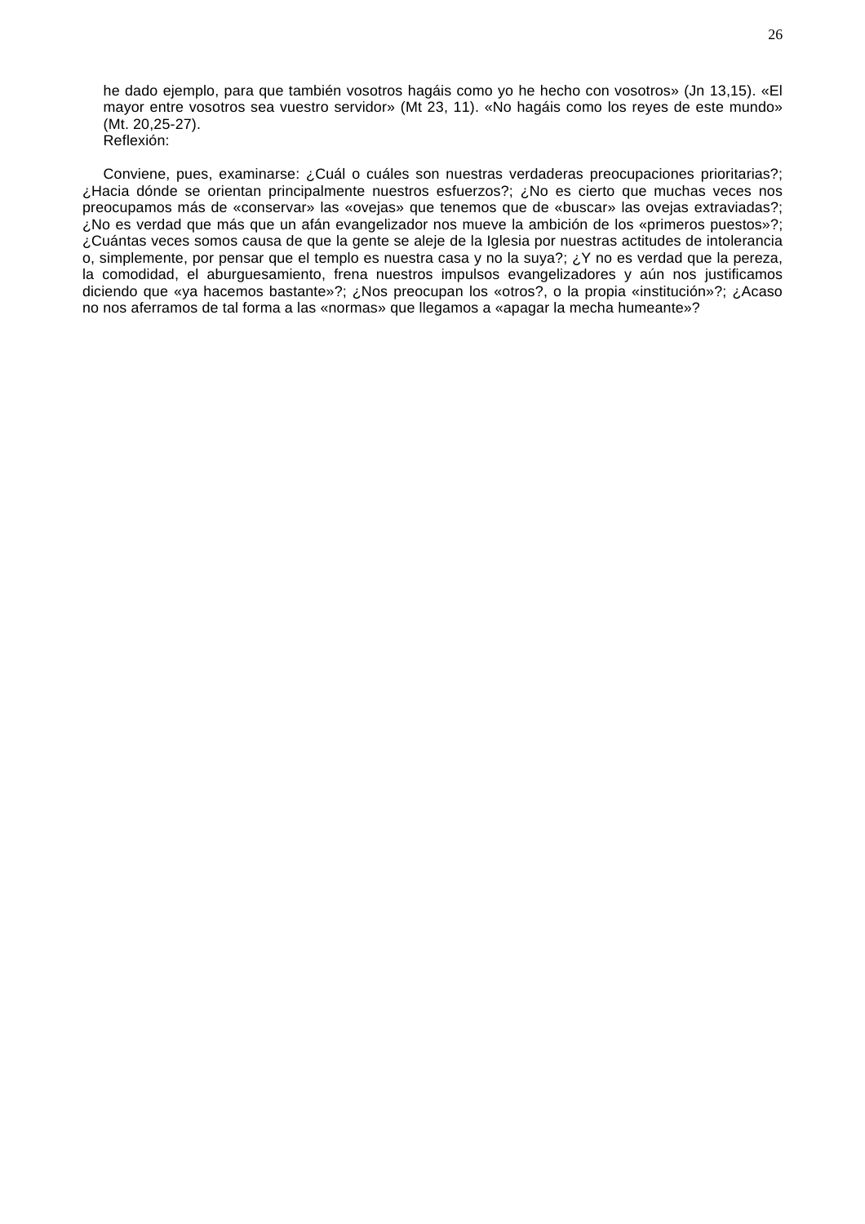he dado ejemplo, para que también vosotros hagáis como yo he hecho con vosotros» (Jn 13,15). «El mayor entre vosotros sea vuestro servidor» (Mt 23, 11). «No hagáis como los reyes de este mundo» (Mt. 20,25-27). Reflexión:

Conviene, pues, examinarse: ¿Cuál o cuáles son nuestras verdaderas preocupaciones prioritarias?; ¿Hacia dónde se orientan principalmente nuestros esfuerzos?; ¿No es cierto que muchas veces nos preocupamos más de «conservar» las «ovejas» que tenemos que de «buscar» las ovejas extraviadas?; ¿No es verdad que más que un afán evangelizador nos mueve la ambición de los «primeros puestos»?; ¿Cuántas veces somos causa de que la gente se aleje de la Iglesia por nuestras actitudes de intolerancia o, simplemente, por pensar que el templo es nuestra casa y no la suya?; ¿Y no es verdad que la pereza, la comodidad, el aburguesamiento, frena nuestros impulsos evangelizadores y aún nos justificamos diciendo que «ya hacemos bastante»?; ¿Nos preocupan los «otros?, o la propia «institución»?; ¿Acaso no nos aferramos de tal forma a las «normas» que llegamos a «apagar la mecha humeante»?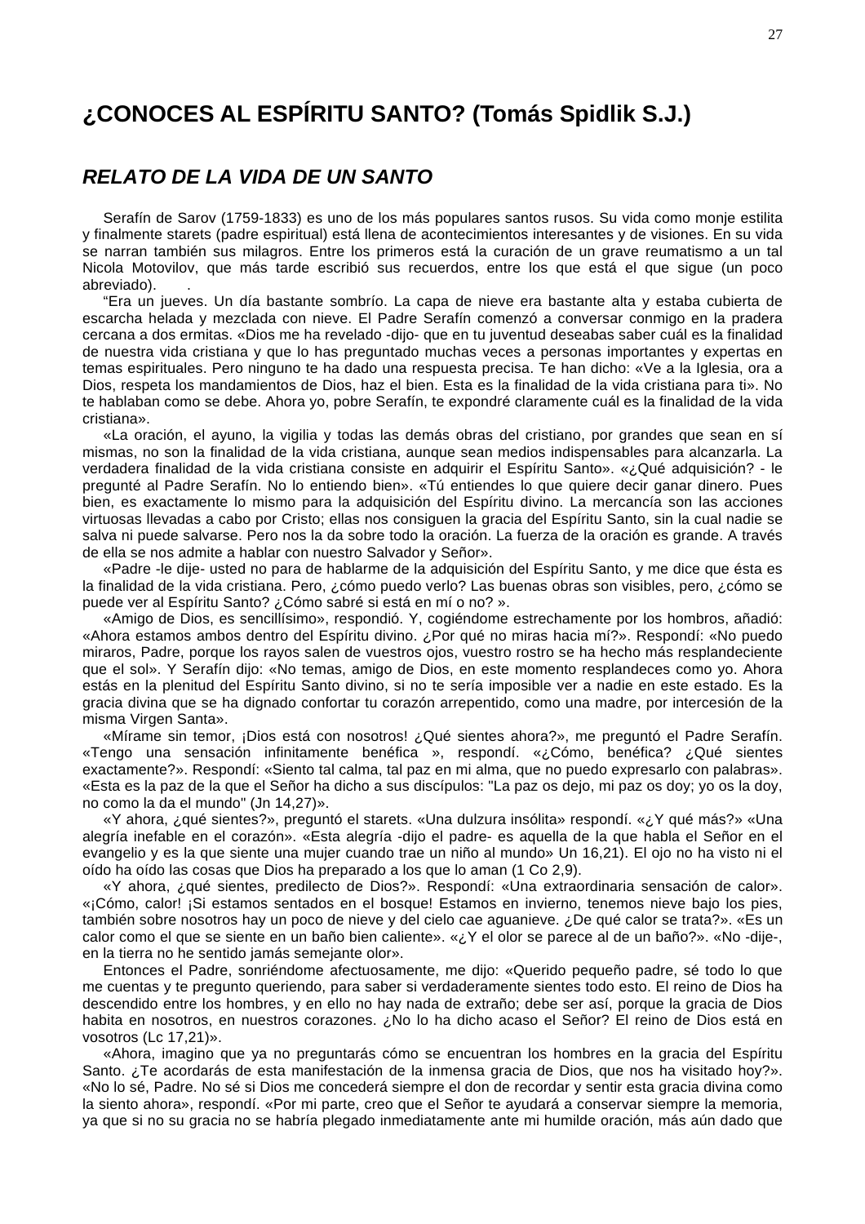# <span id="page-26-0"></span>**¿CONOCES AL ESPÍRITU SANTO? (Tomás Spidlik S.J.)**

# *RELATO DE LA VIDA DE UN SANTO*

Serafín de Sarov (1759-1833) es uno de los más populares santos rusos. Su vida como monje estilita y finalmente starets (padre espiritual) está llena de acontecimientos interesantes y de visiones. En su vida se narran también sus milagros. Entre los primeros está la curación de un grave reumatismo a un tal Nicola Motovilov, que más tarde escribió sus recuerdos, entre los que está el que sigue (un poco abreviado). .

"Era un jueves. Un día bastante sombrío. La capa de nieve era bastante alta y estaba cubierta de escarcha helada y mezclada con nieve. El Padre Serafín comenzó a conversar conmigo en la pradera cercana a dos ermitas. «Dios me ha revelado -dijo- que en tu juventud deseabas saber cuál es la finalidad de nuestra vida cristiana y que lo has preguntado muchas veces a personas importantes y expertas en temas espirituales. Pero ninguno te ha dado una respuesta precisa. Te han dicho: «Ve a la Iglesia, ora a Dios, respeta los mandamientos de Dios, haz el bien. Esta es la finalidad de la vida cristiana para ti». No te hablaban como se debe. Ahora yo, pobre Serafín, te expondré claramente cuál es la finalidad de la vida cristiana».

«La oración, el ayuno, la vigilia y todas las demás obras del cristiano, por grandes que sean en sí mismas, no son la finalidad de la vida cristiana, aunque sean medios indispensables para alcanzarla. La verdadera finalidad de la vida cristiana consiste en adquirir el Espíritu Santo». «¿Qué adquisición? - le pregunté al Padre Serafín. No lo entiendo bien». «Tú entiendes lo que quiere decir ganar dinero. Pues bien, es exactamente lo mismo para la adquisición del Espíritu divino. La mercancía son las acciones virtuosas llevadas a cabo por Cristo; ellas nos consiguen la gracia del Espíritu Santo, sin la cual nadie se salva ni puede salvarse. Pero nos la da sobre todo la oración. La fuerza de la oración es grande. A través de ella se nos admite a hablar con nuestro Salvador y Señor».

«Padre -le dije- usted no para de hablarme de la adquisición del Espíritu Santo, y me dice que ésta es la finalidad de la vida cristiana. Pero, ¿cómo puedo verlo? Las buenas obras son visibles, pero, ¿cómo se puede ver al Espíritu Santo? ¿Cómo sabré si está en mí o no? ».

«Amigo de Dios, es sencillísimo», respondió. Y, cogiéndome estrechamente por los hombros, añadió: «Ahora estamos ambos dentro del Espíritu divino. ¿Por qué no miras hacia mí?». Respondí: «No puedo miraros, Padre, porque los rayos salen de vuestros ojos, vuestro rostro se ha hecho más resplandeciente que el sol». Y Serafín dijo: «No temas, amigo de Dios, en este momento resplandeces como yo. Ahora estás en la plenitud del Espíritu Santo divino, si no te sería imposible ver a nadie en este estado. Es la gracia divina que se ha dignado confortar tu corazón arrepentido, como una madre, por intercesión de la misma Virgen Santa».

«Mírame sin temor, ¡Dios está con nosotros! ¿Qué sientes ahora?», me preguntó el Padre Serafín. «Tengo una sensación infinitamente benéfica », respondí. «¿Cómo, benéfica? ¿Qué sientes exactamente?». Respondí: «Siento tal calma, tal paz en mi alma, que no puedo expresarlo con palabras». «Esta es la paz de la que el Señor ha dicho a sus discípulos: "La paz os dejo, mi paz os doy; yo os la doy, no como la da el mundo" (Jn 14,27)».

«Y ahora, ¿qué sientes?», preguntó el starets. «Una dulzura insólita» respondí. «¿Y qué más?» «Una alegría inefable en el corazón». «Esta alegría -dijo el padre- es aquella de la que habla el Señor en el evangelio y es la que siente una mujer cuando trae un niño al mundo» Un 16,21). El ojo no ha visto ni el oído ha oído las cosas que Dios ha preparado a los que lo aman (1 Co 2,9).

«Y ahora, ¿qué sientes, predilecto de Dios?». Respondí: «Una extraordinaria sensación de calor». «¡Cómo, calor! ¡Si estamos sentados en el bosque! Estamos en invierno, tenemos nieve bajo los pies, también sobre nosotros hay un poco de nieve y del cielo cae aguanieve. ¿De qué calor se trata?». «Es un calor como el que se siente en un baño bien caliente». «¿Y el olor se parece al de un baño?». «No -dije-, en la tierra no he sentido jamás semejante olor».

Entonces el Padre, sonriéndome afectuosamente, me dijo: «Querido pequeño padre, sé todo lo que me cuentas y te pregunto queriendo, para saber si verdaderamente sientes todo esto. El reino de Dios ha descendido entre los hombres, y en ello no hay nada de extraño; debe ser así, porque la gracia de Dios habita en nosotros, en nuestros corazones. ¿No lo ha dicho acaso el Señor? El reino de Dios está en vosotros (Lc 17,21)».

«Ahora, imagino que ya no preguntarás cómo se encuentran los hombres en la gracia del Espíritu Santo. ¿Te acordarás de esta manifestación de la inmensa gracia de Dios, que nos ha visitado hoy?». «No lo sé, Padre. No sé si Dios me concederá siempre el don de recordar y sentir esta gracia divina como la siento ahora», respondí. «Por mi parte, creo que el Señor te ayudará a conservar siempre la memoria, ya que si no su gracia no se habría plegado inmediatamente ante mi humilde oración, más aún dado que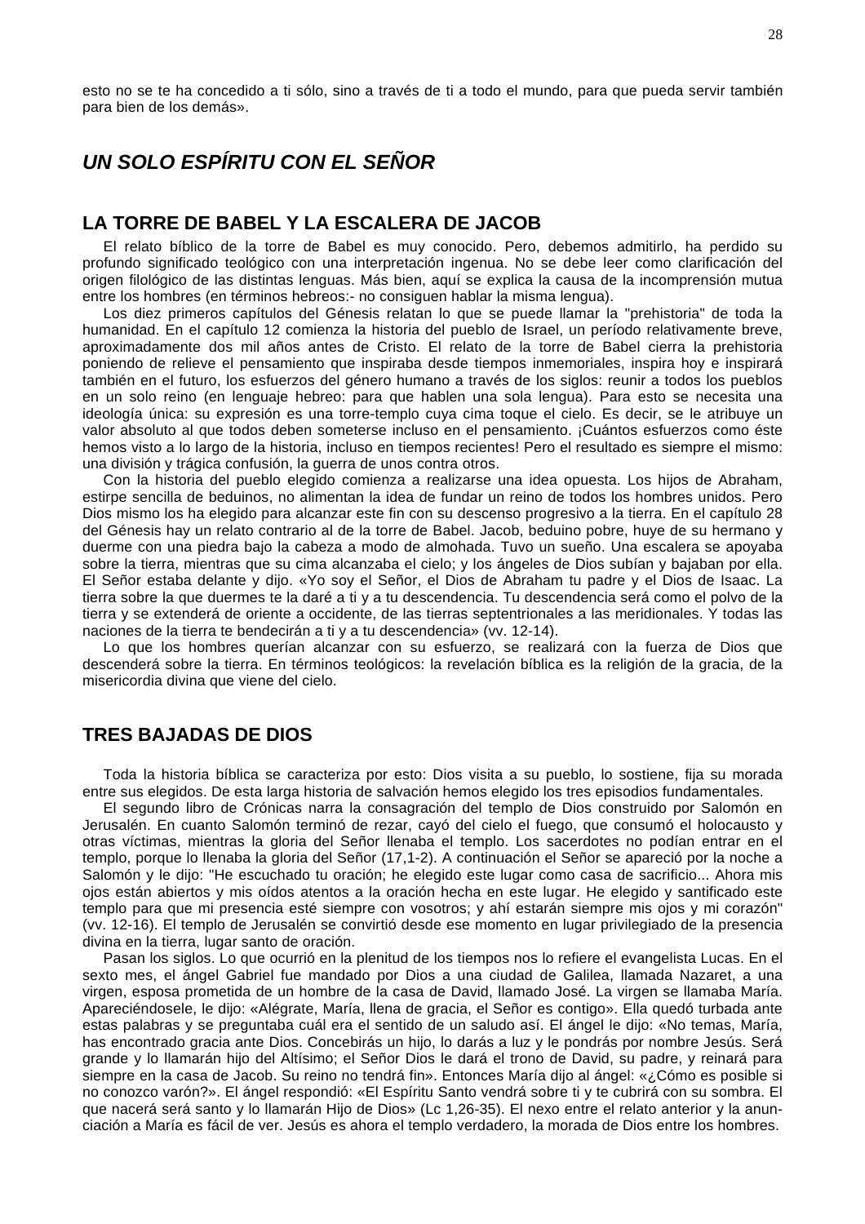<span id="page-27-0"></span>esto no se te ha concedido a ti sólo, sino a través de ti a todo el mundo, para que pueda servir también para bien de los demás».

# *UN SOLO ESPÍRITU CON EL SEÑOR*

### **LA TORRE DE BABEL Y LA ESCALERA DE JACOB**

El relato bíblico de la torre de Babel es muy conocido. Pero, debemos admitirlo, ha perdido su profundo significado teológico con una interpretación ingenua. No se debe leer como clarificación del origen filológico de las distintas lenguas. Más bien, aquí se explica la causa de la incomprensión mutua entre los hombres (en términos hebreos:- no consiguen hablar la misma lengua).

Los diez primeros capítulos del Génesis relatan lo que se puede llamar la "prehistoria" de toda la humanidad. En el capítulo 12 comienza la historia del pueblo de Israel, un período relativamente breve, aproximadamente dos mil años antes de Cristo. El relato de la torre de Babel cierra la prehistoria poniendo de relieve el pensamiento que inspiraba desde tiempos inmemoriales, inspira hoy e inspirará también en el futuro, los esfuerzos del género humano a través de los siglos: reunir a todos los pueblos en un solo reino (en lenguaje hebreo: para que hablen una sola lengua). Para esto se necesita una ideología única: su expresión es una torre-templo cuya cima toque el cielo. Es decir, se le atribuye un valor absoluto al que todos deben someterse incluso en el pensamiento. ¡Cuántos esfuerzos como éste hemos visto a lo largo de la historia, incluso en tiempos recientes! Pero el resultado es siempre el mismo: una división y trágica confusión, la guerra de unos contra otros.

Con la historia del pueblo elegido comienza a realizarse una idea opuesta. Los hijos de Abraham, estirpe sencilla de beduinos, no alimentan la idea de fundar un reino de todos los hombres unidos. Pero Dios mismo los ha elegido para alcanzar este fin con su descenso progresivo a la tierra. En el capítulo 28 del Génesis hay un relato contrario al de la torre de Babel. Jacob, beduino pobre, huye de su hermano y duerme con una piedra bajo la cabeza a modo de almohada. Tuvo un sueño. Una escalera se apoyaba sobre la tierra, mientras que su cima alcanzaba el cielo; y los ángeles de Dios subían y bajaban por ella. El Señor estaba delante y dijo. «Yo soy el Señor, el Dios de Abraham tu padre y el Dios de Isaac. La tierra sobre la que duermes te la daré a ti y a tu descendencia. Tu descendencia será como el polvo de la tierra y se extenderá de oriente a occidente, de las tierras septentrionales a las meridionales. Y todas las naciones de la tierra te bendecirán a ti y a tu descendencia» (vv. 12-14).

Lo que los hombres querían alcanzar con su esfuerzo, se realizará con la fuerza de Dios que descenderá sobre la tierra. En términos teológicos: la revelación bíblica es la religión de la gracia, de la misericordia divina que viene del cielo.

### **TRES BAJADAS DE DIOS**

Toda la historia bíblica se caracteriza por esto: Dios visita a su pueblo, lo sostiene, fija su morada entre sus elegidos. De esta larga historia de salvación hemos elegido los tres episodios fundamentales.

El segundo libro de Crónicas narra la consagración del templo de Dios construido por Salomón en Jerusalén. En cuanto Salomón terminó de rezar, cayó del cielo el fuego, que consumó el holocausto y otras víctimas, mientras la gloria del Señor llenaba el templo. Los sacerdotes no podían entrar en el templo, porque lo llenaba la gloria del Señor (17,1-2). A continuación el Señor se apareció por la noche a Salomón y le dijo: "He escuchado tu oración; he elegido este lugar como casa de sacrificio... Ahora mis ojos están abiertos y mis oídos atentos a la oración hecha en este lugar. He elegido y santificado este templo para que mi presencia esté siempre con vosotros; y ahí estarán siempre mis ojos y mi corazón" (vv. 12-16). El templo de Jerusalén se convirtió desde ese momento en lugar privilegiado de la presencia divina en la tierra, lugar santo de oración.

Pasan los siglos. Lo que ocurrió en la plenitud de los tiempos nos lo refiere el evangelista Lucas. En el sexto mes, el ángel Gabriel fue mandado por Dios a una ciudad de Galilea, llamada Nazaret, a una virgen, esposa prometida de un hombre de la casa de David, llamado José. La virgen se llamaba María. Apareciéndosele, le dijo: «Alégrate, María, llena de gracia, el Señor es contigo». Ella quedó turbada ante estas palabras y se preguntaba cuál era el sentido de un saludo así. El ángel le dijo: «No temas, María, has encontrado gracia ante Dios. Concebirás un hijo, lo darás a luz y le pondrás por nombre Jesús. Será grande y lo llamarán hijo del Altísimo; el Señor Dios le dará el trono de David, su padre, y reinará para siempre en la casa de Jacob. Su reino no tendrá fin». Entonces María dijo al ángel: «¿Cómo es posible si no conozco varón?». El ángel respondió: «El Espíritu Santo vendrá sobre ti y te cubrirá con su sombra. El que nacerá será santo y lo llamarán Hijo de Dios» (Lc 1,26-35). El nexo entre el relato anterior y la anunciación a María es fácil de ver. Jesús es ahora el templo verdadero, la morada de Dios entre los hombres.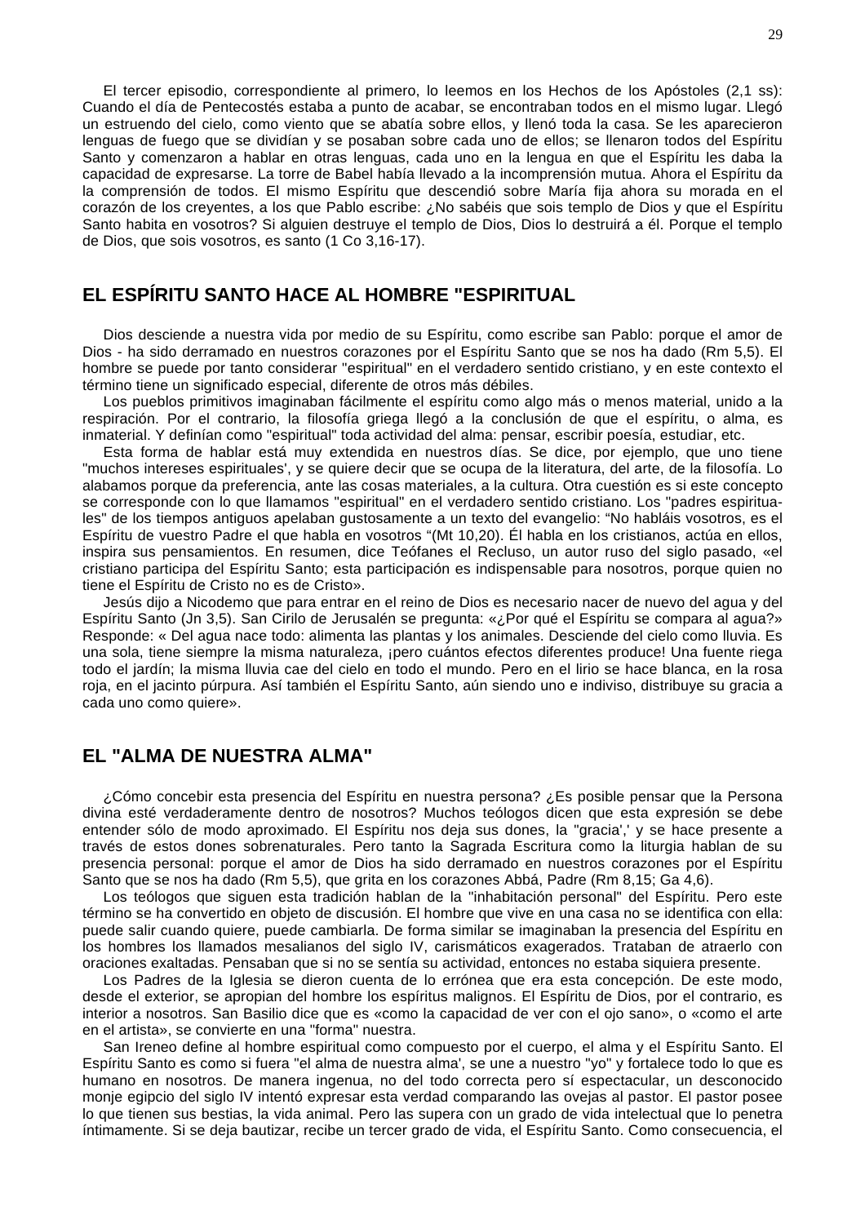<span id="page-28-0"></span>El tercer episodio, correspondiente al primero, lo leemos en los Hechos de los Apóstoles (2,1 ss): Cuando el día de Pentecostés estaba a punto de acabar, se encontraban todos en el mismo lugar. Llegó un estruendo del cielo, como viento que se abatía sobre ellos, y llenó toda la casa. Se les aparecieron lenguas de fuego que se dividían y se posaban sobre cada uno de ellos; se llenaron todos del Espíritu Santo y comenzaron a hablar en otras lenguas, cada uno en la lengua en que el Espíritu les daba la capacidad de expresarse. La torre de Babel había llevado a la incomprensión mutua. Ahora el Espíritu da la comprensión de todos. El mismo Espíritu que descendió sobre María fija ahora su morada en el corazón de los creyentes, a los que Pablo escribe: ¿No sabéis que sois templo de Dios y que el Espíritu Santo habita en vosotros? Si alguien destruye el templo de Dios, Dios lo destruirá a él. Porque el templo de Dios, que sois vosotros, es santo (1 Co 3,16-17).

# **EL ESPÍRITU SANTO HACE AL HOMBRE "ESPIRITUAL**

Dios desciende a nuestra vida por medio de su Espíritu, como escribe san Pablo: porque el amor de Dios - ha sido derramado en nuestros corazones por el Espíritu Santo que se nos ha dado (Rm 5,5). El hombre se puede por tanto considerar "espiritual" en el verdadero sentido cristiano, y en este contexto el término tiene un significado especial, diferente de otros más débiles.

Los pueblos primitivos imaginaban fácilmente el espíritu como algo más o menos material, unido a la respiración. Por el contrario, la filosofía griega llegó a la conclusión de que el espíritu, o alma, es inmaterial. Y definían como "espiritual" toda actividad del alma: pensar, escribir poesía, estudiar, etc.

Esta forma de hablar está muy extendida en nuestros días. Se dice, por ejemplo, que uno tiene "muchos intereses espirituales', y se quiere decir que se ocupa de la literatura, del arte, de la filosofía. Lo alabamos porque da preferencia, ante las cosas materiales, a la cultura. Otra cuestión es si este concepto se corresponde con lo que llamamos "espiritual" en el verdadero sentido cristiano. Los "padres espirituales" de los tiempos antiguos apelaban gustosamente a un texto del evangelio: "No habláis vosotros, es el Espíritu de vuestro Padre el que habla en vosotros "(Mt 10,20). Él habla en los cristianos, actúa en ellos, inspira sus pensamientos. En resumen, dice Teófanes el Recluso, un autor ruso del siglo pasado, «el cristiano participa del Espíritu Santo; esta participación es indispensable para nosotros, porque quien no tiene el Espíritu de Cristo no es de Cristo».

Jesús dijo a Nicodemo que para entrar en el reino de Dios es necesario nacer de nuevo del agua y del Espíritu Santo (Jn 3,5). San Cirilo de Jerusalén se pregunta: «¿Por qué el Espíritu se compara al agua?» Responde: « Del agua nace todo: alimenta las plantas y los animales. Desciende del cielo como lluvia. Es una sola, tiene siempre la misma naturaleza, ¡pero cuántos efectos diferentes produce! Una fuente riega todo el jardín; la misma lluvia cae del cielo en todo el mundo. Pero en el lirio se hace blanca, en la rosa roja, en el jacinto púrpura. Así también el Espíritu Santo, aún siendo uno e indiviso, distribuye su gracia a cada uno como quiere».

### **EL "ALMA DE NUESTRA ALMA"**

¿Cómo concebir esta presencia del Espíritu en nuestra persona? ¿Es posible pensar que la Persona divina esté verdaderamente dentro de nosotros? Muchos teólogos dicen que esta expresión se debe entender sólo de modo aproximado. El Espíritu nos deja sus dones, la "gracia',' y se hace presente a través de estos dones sobrenaturales. Pero tanto la Sagrada Escritura como la liturgia hablan de su presencia personal: porque el amor de Dios ha sido derramado en nuestros corazones por el Espíritu Santo que se nos ha dado (Rm 5,5), que grita en los corazones Abbá, Padre (Rm 8,15; Ga 4,6).

Los teólogos que siguen esta tradición hablan de la "inhabitación personal" del Espíritu. Pero este término se ha convertido en objeto de discusión. El hombre que vive en una casa no se identifica con ella: puede salir cuando quiere, puede cambiarla. De forma similar se imaginaban la presencia del Espíritu en los hombres los llamados mesalianos del siglo IV, carismáticos exagerados. Trataban de atraerlo con oraciones exaltadas. Pensaban que si no se sentía su actividad, entonces no estaba siquiera presente.

Los Padres de la Iglesia se dieron cuenta de lo errónea que era esta concepción. De este modo, desde el exterior, se apropian del hombre los espíritus malignos. El Espíritu de Dios, por el contrario, es interior a nosotros. San Basilio dice que es «como la capacidad de ver con el ojo sano», o «como el arte en el artista», se convierte en una "forma" nuestra.

San Ireneo define al hombre espiritual como compuesto por el cuerpo, el alma y el Espíritu Santo. El Espíritu Santo es como si fuera "el alma de nuestra alma', se une a nuestro "yo" y fortalece todo lo que es humano en nosotros. De manera ingenua, no del todo correcta pero sí espectacular, un desconocido monje egipcio del siglo IV intentó expresar esta verdad comparando las ovejas al pastor. El pastor posee lo que tienen sus bestias, la vida animal. Pero las supera con un grado de vida intelectual que lo penetra íntimamente. Si se deja bautizar, recibe un tercer grado de vida, el Espíritu Santo. Como consecuencia, el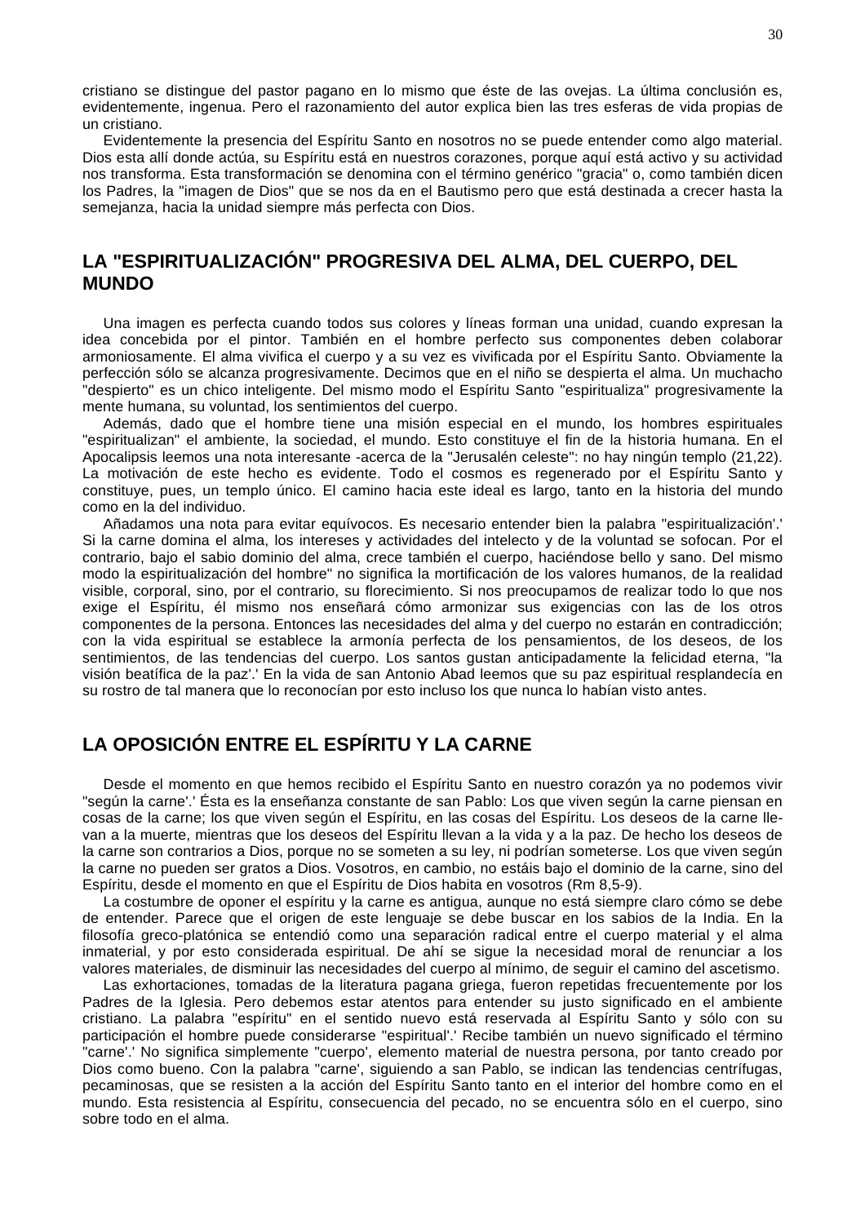<span id="page-29-0"></span>cristiano se distingue del pastor pagano en lo mismo que éste de las ovejas. La última conclusión es, evidentemente, ingenua. Pero el razonamiento del autor explica bien las tres esferas de vida propias de un cristiano.

Evidentemente la presencia del Espíritu Santo en nosotros no se puede entender como algo material. Dios esta allí donde actúa, su Espíritu está en nuestros corazones, porque aquí está activo y su actividad nos transforma. Esta transformación se denomina con el término genérico "gracia" o, como también dicen los Padres, la "imagen de Dios" que se nos da en el Bautismo pero que está destinada a crecer hasta la semejanza, hacia la unidad siempre más perfecta con Dios.

## **LA "ESPIRITUALIZACIÓN" PROGRESIVA DEL ALMA, DEL CUERPO, DEL MUNDO**

Una imagen es perfecta cuando todos sus colores y líneas forman una unidad, cuando expresan la idea concebida por el pintor. También en el hombre perfecto sus componentes deben colaborar armoniosamente. El alma vivifica el cuerpo y a su vez es vivificada por el Espíritu Santo. Obviamente la perfección sólo se alcanza progresivamente. Decimos que en el niño se despierta el alma. Un muchacho "despierto" es un chico inteligente. Del mismo modo el Espíritu Santo "espiritualiza" progresivamente la mente humana, su voluntad, los sentimientos del cuerpo.

Además, dado que el hombre tiene una misión especial en el mundo, los hombres espirituales "espiritualizan" el ambiente, la sociedad, el mundo. Esto constituye el fin de la historia humana. En el Apocalipsis leemos una nota interesante -acerca de la "Jerusalén celeste": no hay ningún templo (21,22). La motivación de este hecho es evidente. Todo el cosmos es regenerado por el Espíritu Santo y constituye, pues, un templo único. El camino hacia este ideal es largo, tanto en la historia del mundo como en la del individuo.

Añadamos una nota para evitar equívocos. Es necesario entender bien la palabra "espiritualización'.' Si la carne domina el alma, los intereses y actividades del intelecto y de la voluntad se sofocan. Por el contrario, bajo el sabio dominio del alma, crece también el cuerpo, haciéndose bello y sano. Del mismo modo la espiritualización del hombre" no significa la mortificación de los valores humanos, de la realidad visible, corporal, sino, por el contrario, su florecimiento. Si nos preocupamos de realizar todo lo que nos exige el Espíritu, él mismo nos enseñará cómo armonizar sus exigencias con las de los otros componentes de la persona. Entonces las necesidades del alma y del cuerpo no estarán en contradicción; con la vida espiritual se establece la armonía perfecta de los pensamientos, de los deseos, de los sentimientos, de las tendencias del cuerpo. Los santos gustan anticipadamente la felicidad eterna, "la visión beatífica de la paz'.' En la vida de san Antonio Abad leemos que su paz espiritual resplandecía en su rostro de tal manera que lo reconocían por esto incluso los que nunca lo habían visto antes.

# **LA OPOSICIÓN ENTRE EL ESPÍRITU Y LA CARNE**

Desde el momento en que hemos recibido el Espíritu Santo en nuestro corazón ya no podemos vivir "según la carne'.' Ésta es la enseñanza constante de san Pablo: Los que viven según la carne piensan en cosas de la carne; los que viven según el Espíritu, en las cosas del Espíritu. Los deseos de la carne llevan a la muerte, mientras que los deseos del Espíritu llevan a la vida y a la paz. De hecho los deseos de la carne son contrarios a Dios, porque no se someten a su ley, ni podrían someterse. Los que viven según la carne no pueden ser gratos a Dios. Vosotros, en cambio, no estáis bajo el dominio de la carne, sino del Espíritu, desde el momento en que el Espíritu de Dios habita en vosotros (Rm 8,5-9).

La costumbre de oponer el espíritu y la carne es antigua, aunque no está siempre claro cómo se debe de entender. Parece que el origen de este lenguaje se debe buscar en los sabios de la India. En la filosofía greco-platónica se entendió como una separación radical entre el cuerpo material y el alma inmaterial, y por esto considerada espiritual. De ahí se sigue la necesidad moral de renunciar a los valores materiales, de disminuir las necesidades del cuerpo al mínimo, de seguir el camino del ascetismo.

Las exhortaciones, tomadas de la literatura pagana griega, fueron repetidas frecuentemente por los Padres de la Iglesia. Pero debemos estar atentos para entender su justo significado en el ambiente cristiano. La palabra "espíritu" en el sentido nuevo está reservada al Espíritu Santo y sólo con su participación el hombre puede considerarse "espiritual'.' Recibe también un nuevo significado el término "carne'.' No significa simplemente "cuerpo', elemento material de nuestra persona, por tanto creado por Dios como bueno. Con la palabra "carne', siguiendo a san Pablo, se indican las tendencias centrífugas, pecaminosas, que se resisten a la acción del Espíritu Santo tanto en el interior del hombre como en el mundo. Esta resistencia al Espíritu, consecuencia del pecado, no se encuentra sólo en el cuerpo, sino sobre todo en el alma.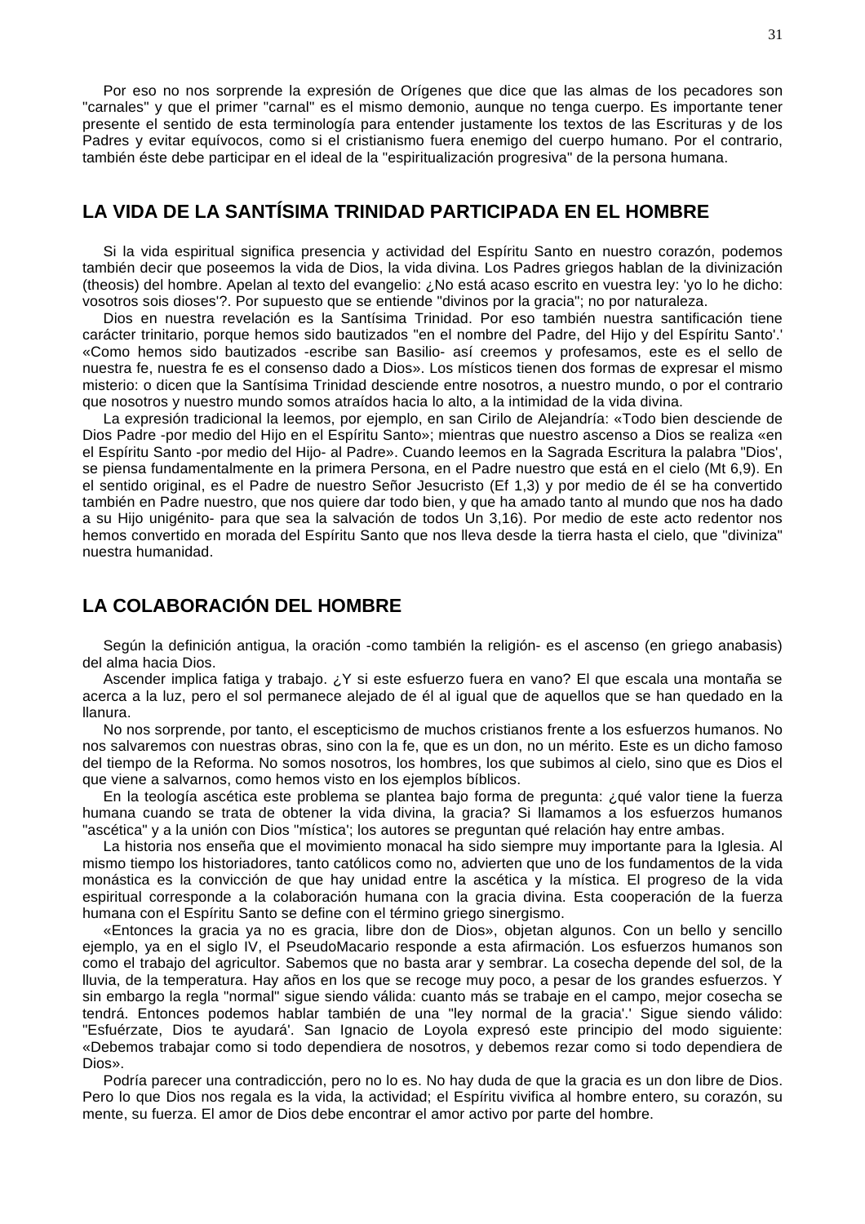<span id="page-30-0"></span>Por eso no nos sorprende la expresión de Orígenes que dice que las almas de los pecadores son "carnales" y que el primer "carnal" es el mismo demonio, aunque no tenga cuerpo. Es importante tener presente el sentido de esta terminología para entender justamente los textos de las Escrituras y de los Padres y evitar equívocos, como si el cristianismo fuera enemigo del cuerpo humano. Por el contrario, también éste debe participar en el ideal de la "espiritualización progresiva" de la persona humana.

# **LA VIDA DE LA SANTÍSIMA TRINIDAD PARTICIPADA EN EL HOMBRE**

Si la vida espiritual significa presencia y actividad del Espíritu Santo en nuestro corazón, podemos también decir que poseemos la vida de Dios, la vida divina. Los Padres griegos hablan de la divinización (theosis) del hombre. Apelan al texto del evangelio: ¿No está acaso escrito en vuestra ley: 'yo lo he dicho: vosotros sois dioses'?. Por supuesto que se entiende "divinos por la gracia"; no por naturaleza.

Dios en nuestra revelación es la Santísima Trinidad. Por eso también nuestra santificación tiene carácter trinitario, porque hemos sido bautizados "en el nombre del Padre, del Hijo y del Espíritu Santo'.' «Como hemos sido bautizados -escribe san Basilio- así creemos y profesamos, este es el sello de nuestra fe, nuestra fe es el consenso dado a Dios». Los místicos tienen dos formas de expresar el mismo misterio: o dicen que la Santísima Trinidad desciende entre nosotros, a nuestro mundo, o por el contrario que nosotros y nuestro mundo somos atraídos hacia lo alto, a la intimidad de la vida divina.

La expresión tradicional la leemos, por ejemplo, en san Cirilo de Alejandría: «Todo bien desciende de Dios Padre -por medio del Hijo en el Espíritu Santo»; mientras que nuestro ascenso a Dios se realiza «en el Espíritu Santo -por medio del Hijo- al Padre». Cuando leemos en la Sagrada Escritura la palabra "Dios', se piensa fundamentalmente en la primera Persona, en el Padre nuestro que está en el cielo (Mt 6,9). En el sentido original, es el Padre de nuestro Señor Jesucristo (Ef 1,3) y por medio de él se ha convertido también en Padre nuestro, que nos quiere dar todo bien, y que ha amado tanto al mundo que nos ha dado a su Hijo unigénito- para que sea la salvación de todos Un 3,16). Por medio de este acto redentor nos hemos convertido en morada del Espíritu Santo que nos lleva desde la tierra hasta el cielo, que "diviniza" nuestra humanidad.

## **LA COLABORACIÓN DEL HOMBRE**

Según la definición antigua, la oración -como también la religión- es el ascenso (en griego anabasis) del alma hacia Dios.

Ascender implica fatiga y trabajo. ¿Y si este esfuerzo fuera en vano? El que escala una montaña se acerca a la luz, pero el sol permanece alejado de él al igual que de aquellos que se han quedado en la llanura.

No nos sorprende, por tanto, el escepticismo de muchos cristianos frente a los esfuerzos humanos. No nos salvaremos con nuestras obras, sino con la fe, que es un don, no un mérito. Este es un dicho famoso del tiempo de la Reforma. No somos nosotros, los hombres, los que subimos al cielo, sino que es Dios el que viene a salvarnos, como hemos visto en los ejemplos bíblicos.

En la teología ascética este problema se plantea bajo forma de pregunta: ¿qué valor tiene la fuerza humana cuando se trata de obtener la vida divina, la gracia? Si llamamos a los esfuerzos humanos "ascética" y a la unión con Dios "mística'; los autores se preguntan qué relación hay entre ambas.

La historia nos enseña que el movimiento monacal ha sido siempre muy importante para la Iglesia. Al mismo tiempo los historiadores, tanto católicos como no, advierten que uno de los fundamentos de la vida monástica es la convicción de que hay unidad entre la ascética y la mística. El progreso de la vida espiritual corresponde a la colaboración humana con la gracia divina. Esta cooperación de la fuerza humana con el Espíritu Santo se define con el término griego sinergismo.

«Entonces la gracia ya no es gracia, libre don de Dios», objetan algunos. Con un bello y sencillo ejemplo, ya en el siglo IV, el PseudoMacario responde a esta afirmación. Los esfuerzos humanos son como el trabajo del agricultor. Sabemos que no basta arar y sembrar. La cosecha depende del sol, de la lluvia, de la temperatura. Hay años en los que se recoge muy poco, a pesar de los grandes esfuerzos. Y sin embargo la regla "normal" sigue siendo válida: cuanto más se trabaje en el campo, mejor cosecha se tendrá. Entonces podemos hablar también de una "ley normal de la gracia'.' Sigue siendo válido: "Esfuérzate, Dios te ayudará'. San Ignacio de Loyola expresó este principio del modo siguiente: «Debemos trabajar como si todo dependiera de nosotros, y debemos rezar como si todo dependiera de Dios».

Podría parecer una contradicción, pero no lo es. No hay duda de que la gracia es un don libre de Dios. Pero lo que Dios nos regala es la vida, la actividad; el Espíritu vivifica al hombre entero, su corazón, su mente, su fuerza. El amor de Dios debe encontrar el amor activo por parte del hombre.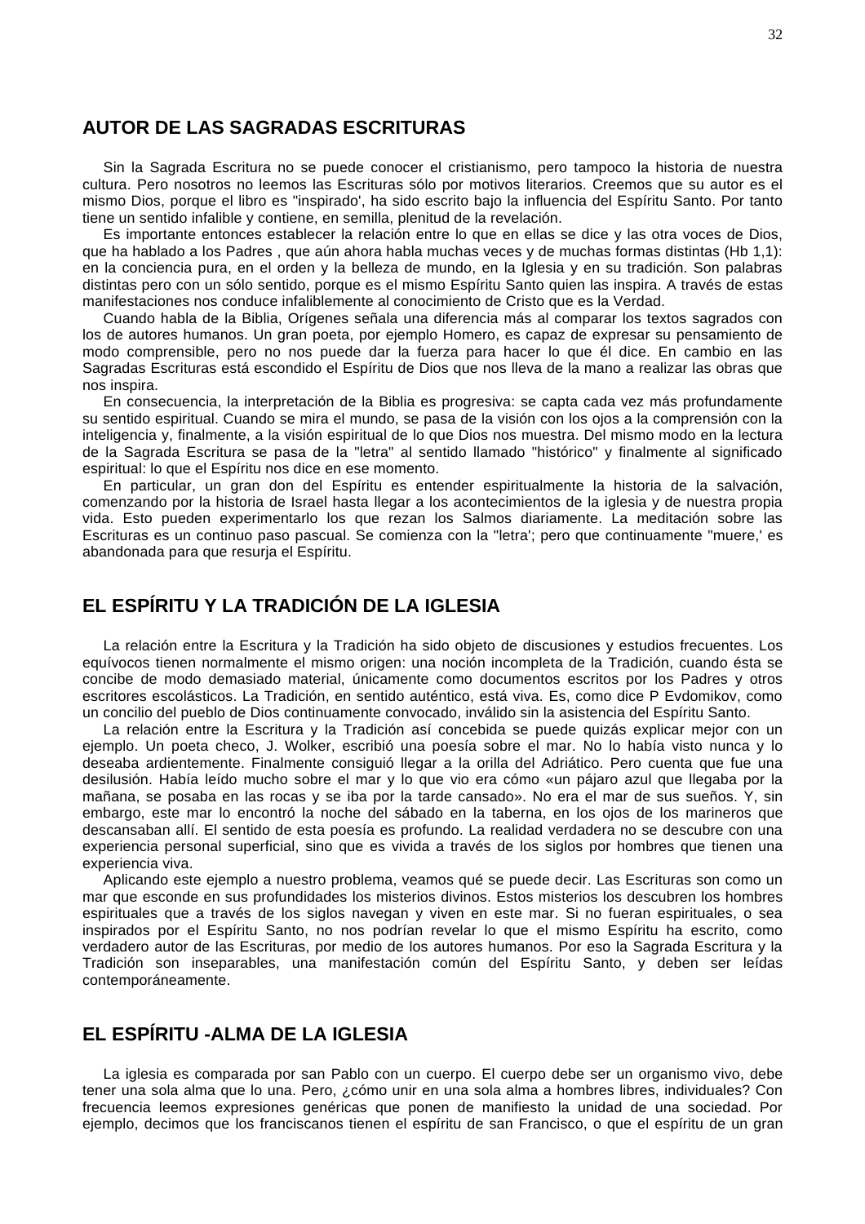### <span id="page-31-0"></span>**AUTOR DE LAS SAGRADAS ESCRITURAS**

Sin la Sagrada Escritura no se puede conocer el cristianismo, pero tampoco la historia de nuestra cultura. Pero nosotros no leemos las Escrituras sólo por motivos literarios. Creemos que su autor es el mismo Dios, porque el libro es "inspirado', ha sido escrito bajo la influencia del Espíritu Santo. Por tanto tiene un sentido infalible y contiene, en semilla, plenitud de la revelación.

Es importante entonces establecer la relación entre lo que en ellas se dice y las otra voces de Dios, que ha hablado a los Padres , que aún ahora habla muchas veces y de muchas formas distintas (Hb 1,1): en la conciencia pura, en el orden y la belleza de mundo, en la Iglesia y en su tradición. Son palabras distintas pero con un sólo sentido, porque es el mismo Espíritu Santo quien las inspira. A través de estas manifestaciones nos conduce infaliblemente al conocimiento de Cristo que es la Verdad.

Cuando habla de la Biblia, Orígenes señala una diferencia más al comparar los textos sagrados con los de autores humanos. Un gran poeta, por ejemplo Homero, es capaz de expresar su pensamiento de modo comprensible, pero no nos puede dar la fuerza para hacer lo que él dice. En cambio en las Sagradas Escrituras está escondido el Espíritu de Dios que nos lleva de la mano a realizar las obras que nos inspira.

En consecuencia, la interpretación de la Biblia es progresiva: se capta cada vez más profundamente su sentido espiritual. Cuando se mira el mundo, se pasa de la visión con los ojos a la comprensión con la inteligencia y, finalmente, a la visión espiritual de lo que Dios nos muestra. Del mismo modo en la lectura de la Sagrada Escritura se pasa de la "letra" al sentido llamado "histórico" y finalmente al significado espiritual: lo que el Espíritu nos dice en ese momento.

En particular, un gran don del Espíritu es entender espiritualmente la historia de la salvación, comenzando por la historia de Israel hasta llegar a los acontecimientos de la iglesia y de nuestra propia vida. Esto pueden experimentarlo los que rezan los Salmos diariamente. La meditación sobre las Escrituras es un continuo paso pascual. Se comienza con la "letra'; pero que continuamente "muere,' es abandonada para que resurja el Espíritu.

# **EL ESPÍRITU Y LA TRADICIÓN DE LA IGLESIA**

La relación entre la Escritura y la Tradición ha sido objeto de discusiones y estudios frecuentes. Los equívocos tienen normalmente el mismo origen: una noción incompleta de la Tradición, cuando ésta se concibe de modo demasiado material, únicamente como documentos escritos por los Padres y otros escritores escolásticos. La Tradición, en sentido auténtico, está viva. Es, como dice P Evdomikov, como un concilio del pueblo de Dios continuamente convocado, inválido sin la asistencia del Espíritu Santo.

La relación entre la Escritura y la Tradición así concebida se puede quizás explicar mejor con un ejemplo. Un poeta checo, J. Wolker, escribió una poesía sobre el mar. No lo había visto nunca y lo deseaba ardientemente. Finalmente consiguió llegar a la orilla del Adriático. Pero cuenta que fue una desilusión. Había leído mucho sobre el mar y lo que vio era cómo «un pájaro azul que llegaba por la mañana, se posaba en las rocas y se iba por la tarde cansado». No era el mar de sus sueños. Y, sin embargo, este mar lo encontró la noche del sábado en la taberna, en los ojos de los marineros que descansaban allí. El sentido de esta poesía es profundo. La realidad verdadera no se descubre con una experiencia personal superficial, sino que es vivida a través de los siglos por hombres que tienen una experiencia viva.

Aplicando este ejemplo a nuestro problema, veamos qué se puede decir. Las Escrituras son como un mar que esconde en sus profundidades los misterios divinos. Estos misterios los descubren los hombres espirituales que a través de los siglos navegan y viven en este mar. Si no fueran espirituales, o sea inspirados por el Espíritu Santo, no nos podrían revelar lo que el mismo Espíritu ha escrito, como verdadero autor de las Escrituras, por medio de los autores humanos. Por eso la Sagrada Escritura y la Tradición son inseparables, una manifestación común del Espíritu Santo, y deben ser leídas contemporáneamente.

# **EL ESPÍRITU -ALMA DE LA IGLESIA**

La iglesia es comparada por san Pablo con un cuerpo. El cuerpo debe ser un organismo vivo, debe tener una sola alma que lo una. Pero, ¿cómo unir en una sola alma a hombres libres, individuales? Con frecuencia leemos expresiones genéricas que ponen de manifiesto la unidad de una sociedad. Por ejemplo, decimos que los franciscanos tienen el espíritu de san Francisco, o que el espíritu de un gran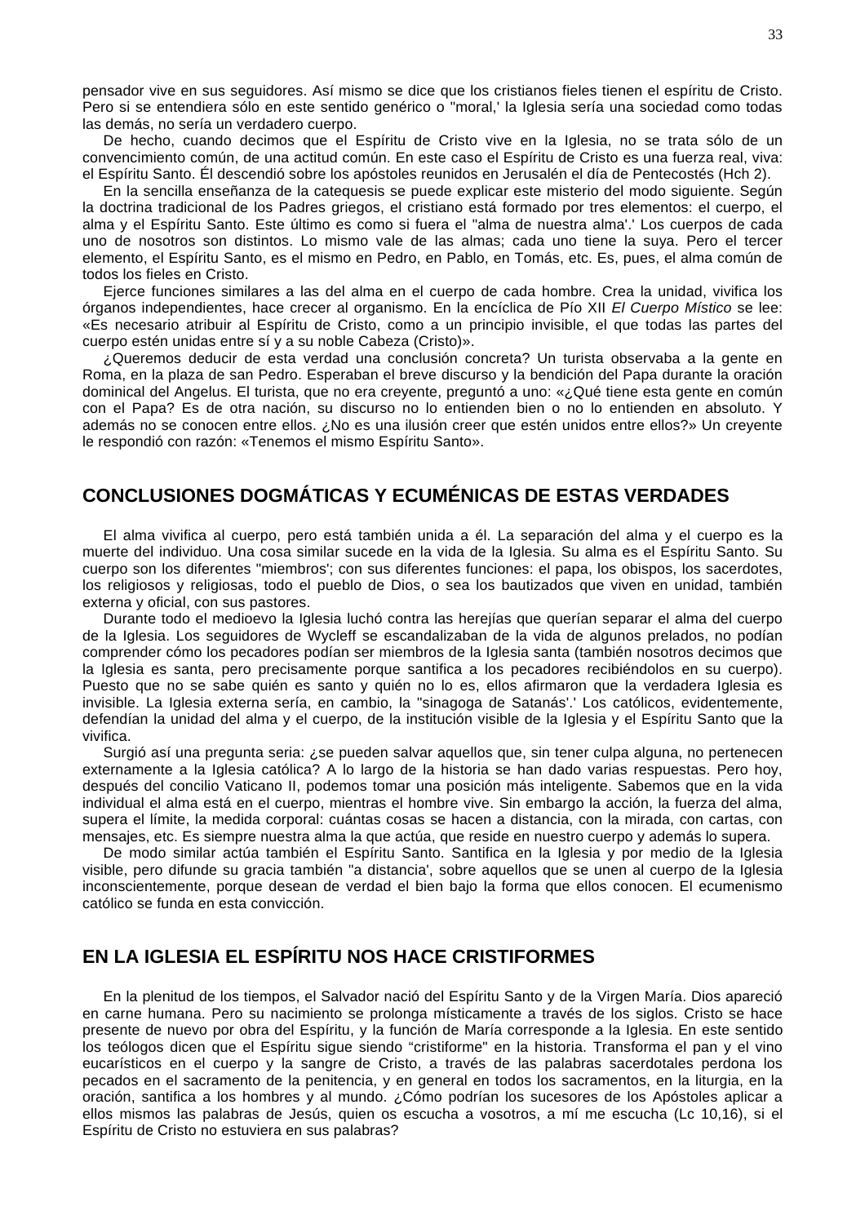<span id="page-32-0"></span>pensador vive en sus seguidores. Así mismo se dice que los cristianos fieles tienen el espíritu de Cristo. Pero si se entendiera sólo en este sentido genérico o "moral,' la Iglesia sería una sociedad como todas las demás, no sería un verdadero cuerpo.

De hecho, cuando decimos que el Espíritu de Cristo vive en la Iglesia, no se trata sólo de un convencimiento común, de una actitud común. En este caso el Espíritu de Cristo es una fuerza real, viva: el Espíritu Santo. Él descendió sobre los apóstoles reunidos en Jerusalén el día de Pentecostés (Hch 2).

En la sencilla enseñanza de la catequesis se puede explicar este misterio del modo siguiente. Según la doctrina tradicional de los Padres griegos, el cristiano está formado por tres elementos: el cuerpo, el alma y el Espíritu Santo. Este último es como si fuera el "alma de nuestra alma'.' Los cuerpos de cada uno de nosotros son distintos. Lo mismo vale de las almas; cada uno tiene la suya. Pero el tercer elemento, el Espíritu Santo, es el mismo en Pedro, en Pablo, en Tomás, etc. Es, pues, el alma común de todos los fieles en Cristo.

Ejerce funciones similares a las del alma en el cuerpo de cada hombre. Crea la unidad, vivifica los órganos independientes, hace crecer al organismo. En la encíclica de Pío XII *El Cuerpo Místico* se lee: «Es necesario atribuir al Espíritu de Cristo, como a un principio invisible, el que todas las partes del cuerpo estén unidas entre sí y a su noble Cabeza (Cristo)».

¿Queremos deducir de esta verdad una conclusión concreta? Un turista observaba a la gente en Roma, en la plaza de san Pedro. Esperaban el breve discurso y la bendición del Papa durante la oración dominical del Angelus. El turista, que no era creyente, preguntó a uno: «¿Qué tiene esta gente en común con el Papa? Es de otra nación, su discurso no lo entienden bien o no lo entienden en absoluto. Y además no se conocen entre ellos. ¿No es una ilusión creer que estén unidos entre ellos?» Un creyente le respondió con razón: «Tenemos el mismo Espíritu Santo».

## **CONCLUSIONES DOGMÁTICAS Y ECUMÉNICAS DE ESTAS VERDADES**

El alma vivifica al cuerpo, pero está también unida a él. La separación del alma y el cuerpo es la muerte del individuo. Una cosa similar sucede en la vida de la Iglesia. Su alma es el Espíritu Santo. Su cuerpo son los diferentes "miembros'; con sus diferentes funciones: el papa, los obispos, los sacerdotes, los religiosos y religiosas, todo el pueblo de Dios, o sea los bautizados que viven en unidad, también externa y oficial, con sus pastores.

Durante todo el medioevo la Iglesia luchó contra las herejías que querían separar el alma del cuerpo de la Iglesia. Los seguidores de Wycleff se escandalizaban de la vida de algunos prelados, no podían comprender cómo los pecadores podían ser miembros de la Iglesia santa (también nosotros decimos que la Iglesia es santa, pero precisamente porque santifica a los pecadores recibiéndolos en su cuerpo). Puesto que no se sabe quién es santo y quién no lo es, ellos afirmaron que la verdadera Iglesia es invisible. La Iglesia externa sería, en cambio, la "sinagoga de Satanás'.' Los católicos, evidentemente, defendían la unidad del alma y el cuerpo, de la institución visible de la Iglesia y el Espíritu Santo que la vivifica.

Surgió así una pregunta seria: ¿se pueden salvar aquellos que, sin tener culpa alguna, no pertenecen externamente a la Iglesia católica? A lo largo de la historia se han dado varias respuestas. Pero hoy, después del concilio Vaticano II, podemos tomar una posición más inteligente. Sabemos que en la vida individual el alma está en el cuerpo, mientras el hombre vive. Sin embargo la acción, la fuerza del alma, supera el límite, la medida corporal: cuántas cosas se hacen a distancia, con la mirada, con cartas, con mensajes, etc. Es siempre nuestra alma la que actúa, que reside en nuestro cuerpo y además lo supera.

De modo similar actúa también el Espíritu Santo. Santifica en la Iglesia y por medio de la Iglesia visible, pero difunde su gracia también "a distancia', sobre aquellos que se unen al cuerpo de la Iglesia inconscientemente, porque desean de verdad el bien bajo la forma que ellos conocen. El ecumenismo católico se funda en esta convicción.

## **EN LA IGLESIA EL ESPÍRITU NOS HACE CRISTIFORMES**

En la plenitud de los tiempos, el Salvador nació del Espíritu Santo y de la Virgen María. Dios apareció en carne humana. Pero su nacimiento se prolonga místicamente a través de los siglos. Cristo se hace presente de nuevo por obra del Espíritu, y la función de María corresponde a la Iglesia. En este sentido los teólogos dicen que el Espíritu sigue siendo "cristiforme" en la historia. Transforma el pan y el vino eucarísticos en el cuerpo y la sangre de Cristo, a través de las palabras sacerdotales perdona los pecados en el sacramento de la penitencia, y en general en todos los sacramentos, en la liturgia, en la oración, santifica a los hombres y al mundo. ¿Cómo podrían los sucesores de los Apóstoles aplicar a ellos mismos las palabras de Jesús, quien os escucha a vosotros, a mí me escucha (Lc 10,16), si el Espíritu de Cristo no estuviera en sus palabras?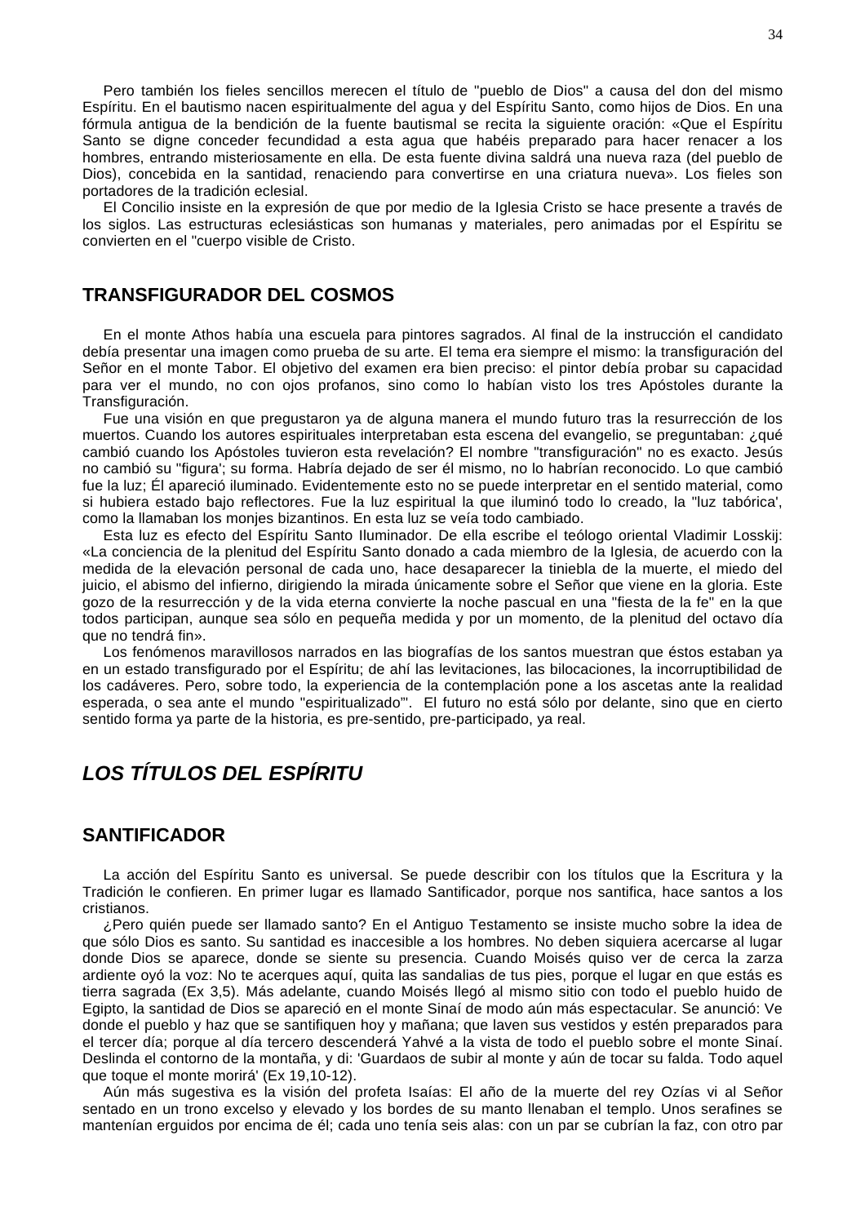<span id="page-33-0"></span>Pero también los fieles sencillos merecen el título de "pueblo de Dios" a causa del don del mismo Espíritu. En el bautismo nacen espiritualmente del agua y del Espíritu Santo, como hijos de Dios. En una fórmula antigua de la bendición de la fuente bautismal se recita la siguiente oración: «Que el Espíritu Santo se digne conceder fecundidad a esta agua que habéis preparado para hacer renacer a los hombres, entrando misteriosamente en ella. De esta fuente divina saldrá una nueva raza (del pueblo de Dios), concebida en la santidad, renaciendo para convertirse en una criatura nueva». Los fieles son portadores de la tradición eclesial.

El Concilio insiste en la expresión de que por medio de la Iglesia Cristo se hace presente a través de los siglos. Las estructuras eclesiásticas son humanas y materiales, pero animadas por el Espíritu se convierten en el "cuerpo visible de Cristo.

### **TRANSFIGURADOR DEL COSMOS**

En el monte Athos había una escuela para pintores sagrados. Al final de la instrucción el candidato debía presentar una imagen como prueba de su arte. El tema era siempre el mismo: la transfiguración del Señor en el monte Tabor. El objetivo del examen era bien preciso: el pintor debía probar su capacidad para ver el mundo, no con ojos profanos, sino como lo habían visto los tres Apóstoles durante la Transfiguración.

Fue una visión en que pregustaron ya de alguna manera el mundo futuro tras la resurrección de los muertos. Cuando los autores espirituales interpretaban esta escena del evangelio, se preguntaban: ¿qué cambió cuando los Apóstoles tuvieron esta revelación? El nombre "transfiguración" no es exacto. Jesús no cambió su "figura'; su forma. Habría dejado de ser él mismo, no lo habrían reconocido. Lo que cambió fue la luz; Él apareció iluminado. Evidentemente esto no se puede interpretar en el sentido material, como si hubiera estado bajo reflectores. Fue la luz espiritual la que iluminó todo lo creado, la "luz tabórica', como la llamaban los monjes bizantinos. En esta luz se veía todo cambiado.

Esta luz es efecto del Espíritu Santo Iluminador. De ella escribe el teólogo oriental Vladimir Losskij: «La conciencia de la plenitud del Espíritu Santo donado a cada miembro de la Iglesia, de acuerdo con la medida de la elevación personal de cada uno, hace desaparecer la tiniebla de la muerte, el miedo del juicio, el abismo del infierno, dirigiendo la mirada únicamente sobre el Señor que viene en la gloria. Este gozo de la resurrección y de la vida eterna convierte la noche pascual en una "fiesta de la fe" en la que todos participan, aunque sea sólo en pequeña medida y por un momento, de la plenitud del octavo día que no tendrá fin».

Los fenómenos maravillosos narrados en las biografías de los santos muestran que éstos estaban ya en un estado transfigurado por el Espíritu; de ahí las levitaciones, las bilocaciones, la incorruptibilidad de los cadáveres. Pero, sobre todo, la experiencia de la contemplación pone a los ascetas ante la realidad esperada, o sea ante el mundo "espiritualizado"'. El futuro no está sólo por delante, sino que en cierto sentido forma ya parte de la historia, es pre-sentido, pre-participado, ya real.

# *LOS TÍTULOS DEL ESPÍRITU*

### **SANTIFICADOR**

La acción del Espíritu Santo es universal. Se puede describir con los títulos que la Escritura y la Tradición le confieren. En primer lugar es llamado Santificador, porque nos santifica, hace santos a los cristianos.

¿Pero quién puede ser llamado santo? En el Antiguo Testamento se insiste mucho sobre la idea de que sólo Dios es santo. Su santidad es inaccesible a los hombres. No deben siquiera acercarse al lugar donde Dios se aparece, donde se siente su presencia. Cuando Moisés quiso ver de cerca la zarza ardiente oyó la voz: No te acerques aquí, quita las sandalias de tus pies, porque el lugar en que estás es tierra sagrada (Ex 3,5). Más adelante, cuando Moisés llegó al mismo sitio con todo el pueblo huido de Egipto, la santidad de Dios se apareció en el monte Sinaí de modo aún más espectacular. Se anunció: Ve donde el pueblo y haz que se santifiquen hoy y mañana; que laven sus vestidos y estén preparados para el tercer día; porque al día tercero descenderá Yahvé a la vista de todo el pueblo sobre el monte Sinaí. Deslinda el contorno de la montaña, y di: 'Guardaos de subir al monte y aún de tocar su falda. Todo aquel que toque el monte morirá' (Ex 19,10-12).

Aún más sugestiva es la visión del profeta Isaías: El año de la muerte del rey Ozías vi al Señor sentado en un trono excelso y elevado y los bordes de su manto llenaban el templo. Unos serafines se mantenían erguidos por encima de él; cada uno tenía seis alas: con un par se cubrían la faz, con otro par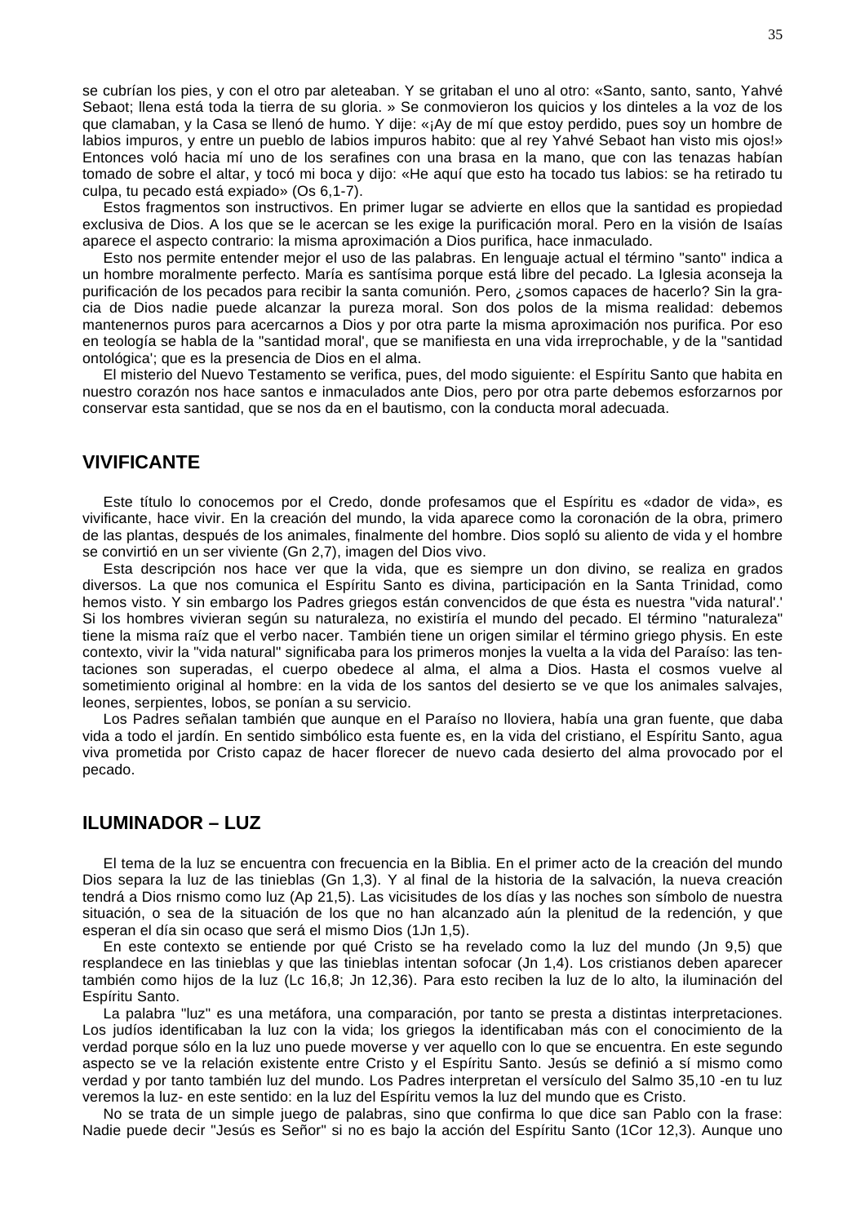<span id="page-34-0"></span>se cubrían los pies, y con el otro par aleteaban. Y se gritaban el uno al otro: «Santo, santo, santo, Yahvé Sebaot; llena está toda la tierra de su gloria. » Se conmovieron los quicios y los dinteles a la voz de los que clamaban, y la Casa se llenó de humo. Y dije: «¡Ay de mí que estoy perdido, pues soy un hombre de labios impuros, y entre un pueblo de labios impuros habito: que al rey Yahvé Sebaot han visto mis ojos!» Entonces voló hacia mí uno de los serafines con una brasa en la mano, que con las tenazas habían tomado de sobre el altar, y tocó mi boca y dijo: «He aquí que esto ha tocado tus labios: se ha retirado tu culpa, tu pecado está expiado» (Os 6,1-7).

Estos fragmentos son instructivos. En primer lugar se advierte en ellos que la santidad es propiedad exclusiva de Dios. A los que se le acercan se les exige la purificación moral. Pero en la visión de Isaías aparece el aspecto contrario: la misma aproximación a Dios purifica, hace inmaculado.

Esto nos permite entender mejor el uso de las palabras. En lenguaje actual el término "santo" indica a un hombre moralmente perfecto. María es santísima porque está libre del pecado. La Iglesia aconseja la purificación de los pecados para recibir la santa comunión. Pero, ¿somos capaces de hacerlo? Sin la gracia de Dios nadie puede alcanzar la pureza moral. Son dos polos de la misma realidad: debemos mantenernos puros para acercarnos a Dios y por otra parte la misma aproximación nos purifica. Por eso en teología se habla de la "santidad moral', que se manifiesta en una vida irreprochable, y de la "santidad ontológica'; que es la presencia de Dios en el alma.

El misterio del Nuevo Testamento se verifica, pues, del modo siguiente: el Espíritu Santo que habita en nuestro corazón nos hace santos e inmaculados ante Dios, pero por otra parte debemos esforzarnos por conservar esta santidad, que se nos da en el bautismo, con la conducta moral adecuada.

### **VIVIFICANTE**

Este título lo conocemos por el Credo, donde profesamos que el Espíritu es «dador de vida», es vivificante, hace vivir. En la creación del mundo, la vida aparece como la coronación de la obra, primero de las plantas, después de los animales, finalmente del hombre. Dios sopló su aliento de vida y el hombre se convirtió en un ser viviente (Gn 2,7), imagen del Dios vivo.

Esta descripción nos hace ver que la vida, que es siempre un don divino, se realiza en grados diversos. La que nos comunica el Espíritu Santo es divina, participación en la Santa Trinidad, como hemos visto. Y sin embargo los Padres griegos están convencidos de que ésta es nuestra "vida natural'.' Si los hombres vivieran según su naturaleza, no existiría el mundo del pecado. El término "naturaleza" tiene la misma raíz que el verbo nacer. También tiene un origen similar el término griego physis. En este contexto, vivir la "vida natural" significaba para los primeros monjes la vuelta a la vida del Paraíso: las tentaciones son superadas, el cuerpo obedece al alma, el alma a Dios. Hasta el cosmos vuelve al sometimiento original al hombre: en la vida de los santos del desierto se ve que los animales salvajes, leones, serpientes, lobos, se ponían a su servicio.

Los Padres señalan también que aunque en el Paraíso no lloviera, había una gran fuente, que daba vida a todo el jardín. En sentido simbólico esta fuente es, en la vida del cristiano, el Espíritu Santo, agua viva prometida por Cristo capaz de hacer florecer de nuevo cada desierto del alma provocado por el pecado.

### **ILUMINADOR – LUZ**

El tema de la luz se encuentra con frecuencia en la Biblia. En el primer acto de la creación del mundo Dios separa la luz de las tinieblas (Gn 1,3). Y al final de la historia de Ia salvación, la nueva creación tendrá a Dios rnismo como luz (Ap 21,5). Las vicisitudes de los días y las noches son símbolo de nuestra situación, o sea de la situación de los que no han alcanzado aún la plenitud de la redención, y que esperan el día sin ocaso que será el mismo Dios (1Jn 1,5).

En este contexto se entiende por qué Cristo se ha revelado como la luz del mundo (Jn 9,5) que resplandece en las tinieblas y que las tinieblas intentan sofocar (Jn 1,4). Los cristianos deben aparecer también como hijos de la luz (Lc 16,8; Jn 12,36). Para esto reciben la luz de lo alto, la iluminación del Espíritu Santo.

La palabra "luz" es una metáfora, una comparación, por tanto se presta a distintas interpretaciones. Los judíos identificaban la luz con la vida; los griegos la identificaban más con el conocimiento de la verdad porque sólo en la luz uno puede moverse y ver aquello con lo que se encuentra. En este segundo aspecto se ve la relación existente entre Cristo y el Espíritu Santo. Jesús se definió a sí mismo como verdad y por tanto también luz del mundo. Los Padres interpretan el versículo del Salmo 35,10 -en tu luz veremos la luz- en este sentido: en la luz del Espíritu vemos la luz del mundo que es Cristo.

No se trata de un simple juego de palabras, sino que confirma lo que dice san Pablo con la frase: Nadie puede decir "Jesús es Señor" si no es bajo la acción del Espíritu Santo (1Cor 12,3). Aunque uno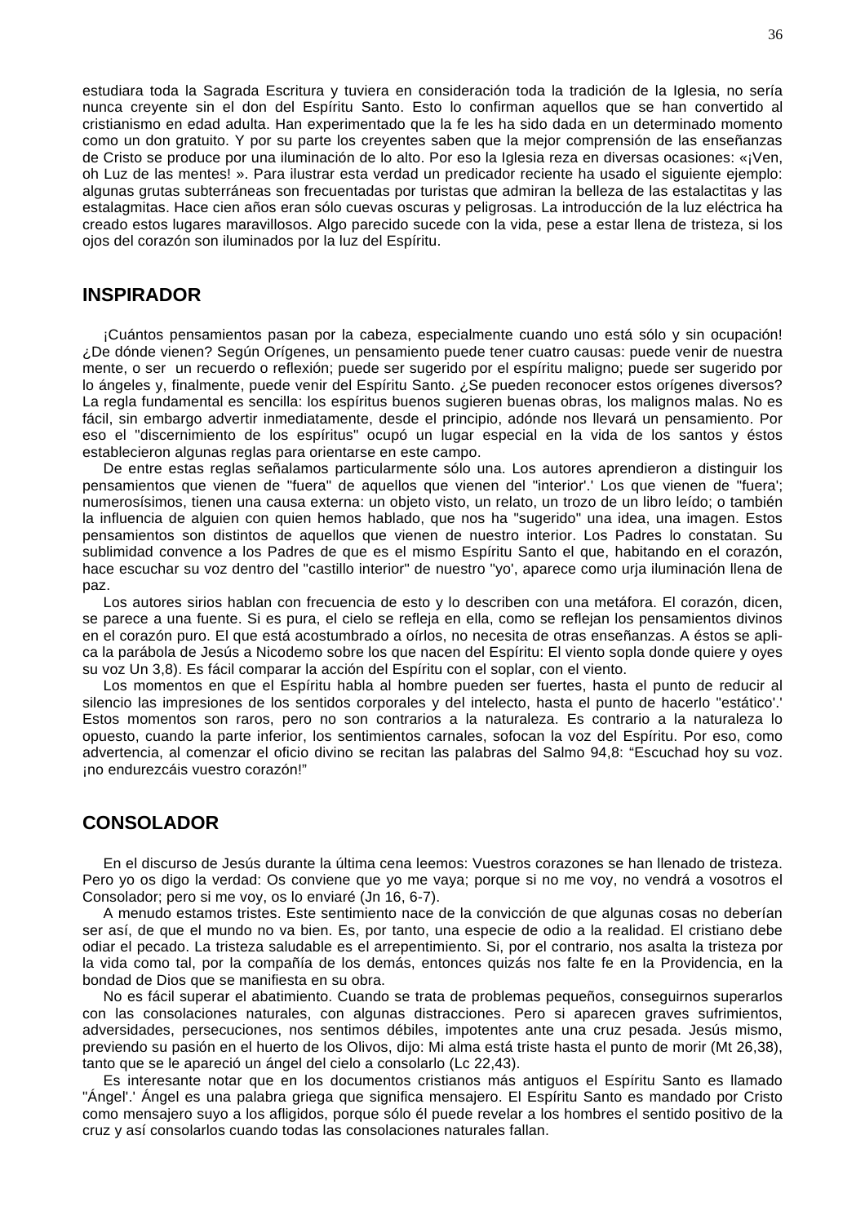<span id="page-35-0"></span>estudiara toda la Sagrada Escritura y tuviera en consideración toda la tradición de la Iglesia, no sería nunca creyente sin el don del Espíritu Santo. Esto lo confirman aquellos que se han convertido al cristianismo en edad adulta. Han experimentado que la fe les ha sido dada en un determinado momento como un don gratuito. Y por su parte los creyentes saben que la mejor comprensión de las enseñanzas de Cristo se produce por una iluminación de lo alto. Por eso la Iglesia reza en diversas ocasiones: «¡Ven, oh Luz de las mentes! ». Para ilustrar esta verdad un predicador reciente ha usado el siguiente ejemplo: algunas grutas subterráneas son frecuentadas por turistas que admiran la belleza de las estalactitas y las estalagmitas. Hace cien años eran sólo cuevas oscuras y peligrosas. La introducción de la luz eléctrica ha creado estos lugares maravillosos. Algo parecido sucede con la vida, pese a estar llena de tristeza, si los ojos del corazón son iluminados por la luz del Espíritu.

### **INSPIRADOR**

¡Cuántos pensamientos pasan por la cabeza, especialmente cuando uno está sólo y sin ocupación! ¿De dónde vienen? Según Orígenes, un pensamiento puede tener cuatro causas: puede venir de nuestra mente, o ser un recuerdo o reflexión; puede ser sugerido por el espíritu maligno; puede ser sugerido por lo ángeles y, finalmente, puede venir del Espíritu Santo. ¿Se pueden reconocer estos orígenes diversos? La regla fundamental es sencilla: los espíritus buenos sugieren buenas obras, los malignos malas. No es fácil, sin embargo advertir inmediatamente, desde el principio, adónde nos llevará un pensamiento. Por eso el "discernimiento de los espíritus" ocupó un lugar especial en la vida de los santos y éstos establecieron algunas reglas para orientarse en este campo.

De entre estas reglas señalamos particularmente sólo una. Los autores aprendieron a distinguir los pensamientos que vienen de "fuera" de aquellos que vienen del "interior'.' Los que vienen de "fuera'; numerosísimos, tienen una causa externa: un objeto visto, un relato, un trozo de un libro leído; o también la influencia de alguien con quien hemos hablado, que nos ha "sugerido" una idea, una imagen. Estos pensamientos son distintos de aquellos que vienen de nuestro interior. Los Padres lo constatan. Su sublimidad convence a los Padres de que es el mismo Espíritu Santo el que, habitando en el corazón, hace escuchar su voz dentro del "castillo interior" de nuestro "yo', aparece como urja iluminación llena de paz.

Los autores sirios hablan con frecuencia de esto y lo describen con una metáfora. El corazón, dicen, se parece a una fuente. Si es pura, el cielo se refleja en ella, como se reflejan los pensamientos divinos en el corazón puro. El que está acostumbrado a oírlos, no necesita de otras enseñanzas. A éstos se aplica la parábola de Jesús a Nicodemo sobre los que nacen del Espíritu: El viento sopla donde quiere y oyes su voz Un 3,8). Es fácil comparar la acción del Espíritu con el soplar, con el viento.

Los momentos en que el Espíritu habla al hombre pueden ser fuertes, hasta el punto de reducir al silencio las impresiones de los sentidos corporales y del intelecto, hasta el punto de hacerlo "estático'.' Estos momentos son raros, pero no son contrarios a la naturaleza. Es contrario a la naturaleza lo opuesto, cuando la parte inferior, los sentimientos carnales, sofocan la voz del Espíritu. Por eso, como advertencia, al comenzar el oficio divino se recitan las palabras del Salmo 94,8: "Escuchad hoy su voz. ¡no endurezcáis vuestro corazón!"

### **CONSOLADOR**

En el discurso de Jesús durante la última cena leemos: Vuestros corazones se han llenado de tristeza. Pero yo os digo la verdad: Os conviene que yo me vaya; porque si no me voy, no vendrá a vosotros el Consolador; pero si me voy, os lo enviaré (Jn 16, 6-7).

A menudo estamos tristes. Este sentimiento nace de la convicción de que algunas cosas no deberían ser así, de que el mundo no va bien. Es, por tanto, una especie de odio a la realidad. El cristiano debe odiar el pecado. La tristeza saludable es el arrepentimiento. Si, por el contrario, nos asalta la tristeza por la vida como tal, por la compañía de los demás, entonces quizás nos falte fe en la Providencia, en la bondad de Dios que se manifiesta en su obra.

No es fácil superar el abatimiento. Cuando se trata de problemas pequeños, conseguirnos superarlos con las consolaciones naturales, con algunas distracciones. Pero si aparecen graves sufrimientos, adversidades, persecuciones, nos sentimos débiles, impotentes ante una cruz pesada. Jesús mismo, previendo su pasión en el huerto de los Olivos, dijo: Mi alma está triste hasta el punto de morir (Mt 26,38), tanto que se le apareció un ángel del cielo a consolarlo (Lc 22,43).

Es interesante notar que en los documentos cristianos más antiguos el Espíritu Santo es llamado "Ángel'.' Ángel es una palabra griega que significa mensajero. El Espíritu Santo es mandado por Cristo como mensajero suyo a los afligidos, porque sólo él puede revelar a los hombres el sentido positivo de la cruz y así consolarlos cuando todas las consolaciones naturales fallan.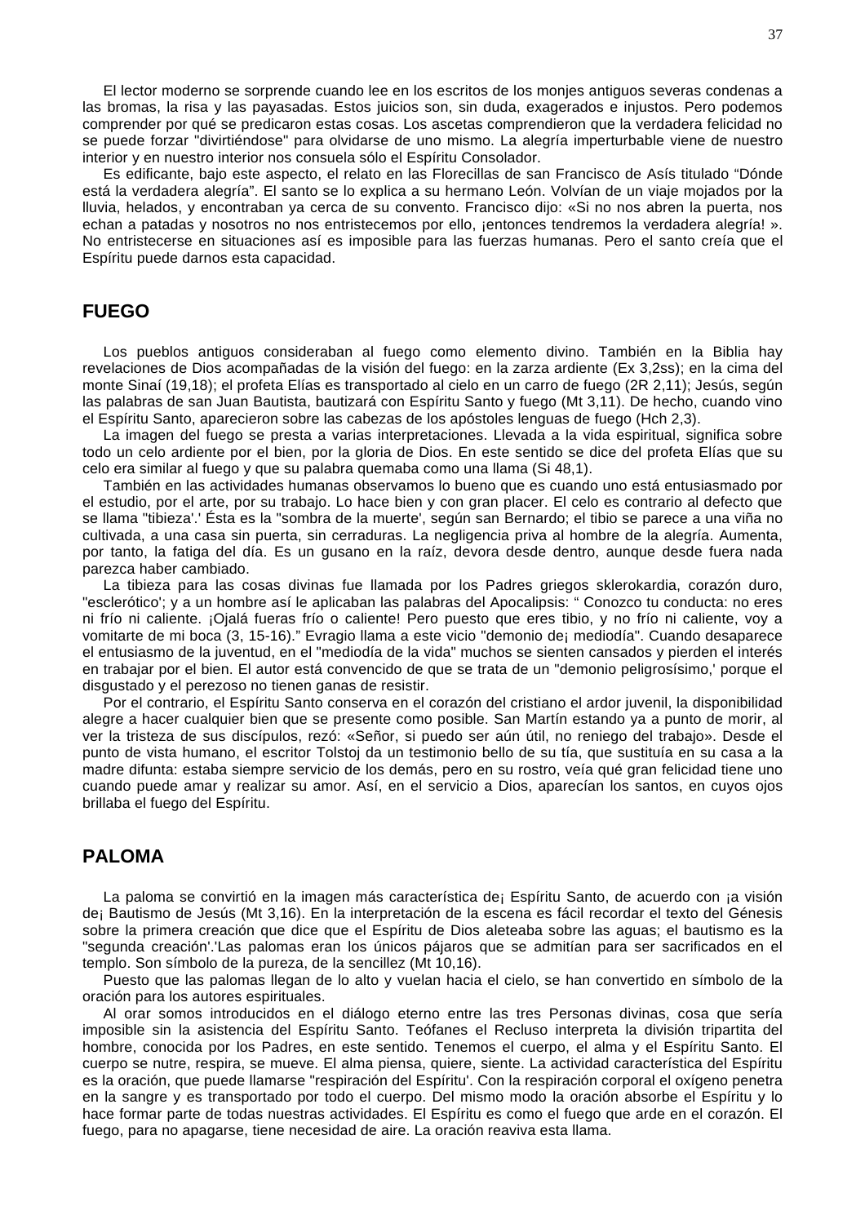<span id="page-36-0"></span>El lector moderno se sorprende cuando lee en los escritos de los monjes antiguos severas condenas a las bromas, la risa y las payasadas. Estos juicios son, sin duda, exagerados e injustos. Pero podemos comprender por qué se predicaron estas cosas. Los ascetas comprendieron que la verdadera felicidad no se puede forzar "divirtiéndose" para olvidarse de uno mismo. La alegría imperturbable viene de nuestro interior y en nuestro interior nos consuela sólo el Espíritu Consolador.

Es edificante, bajo este aspecto, el relato en las Florecillas de san Francisco de Asís titulado "Dónde está la verdadera alegría". El santo se lo explica a su hermano León. Volvían de un viaje mojados por la lluvia, helados, y encontraban ya cerca de su convento. Francisco dijo: «Si no nos abren la puerta, nos echan a patadas y nosotros no nos entristecemos por ello, jentonces tendremos la verdadera alegría! ». No entristecerse en situaciones así es imposible para las fuerzas humanas. Pero el santo creía que el Espíritu puede darnos esta capacidad.

### **FUEGO**

Los pueblos antiguos consideraban al fuego como elemento divino. También en la Biblia hay revelaciones de Dios acompañadas de la visión del fuego: en la zarza ardiente (Ex 3,2ss); en la cima del monte Sinaí (19,18); el profeta Elías es transportado al cielo en un carro de fuego (2R 2,11); Jesús, según las palabras de san Juan Bautista, bautizará con Espíritu Santo y fuego (Mt 3,11). De hecho, cuando vino el Espíritu Santo, aparecieron sobre las cabezas de los apóstoles lenguas de fuego (Hch 2,3).

La imagen del fuego se presta a varias interpretaciones. Llevada a la vida espiritual, significa sobre todo un celo ardiente por el bien, por la gloria de Dios. En este sentido se dice del profeta Elías que su celo era similar al fuego y que su palabra quemaba como una llama (Si 48,1).

También en las actividades humanas observamos lo bueno que es cuando uno está entusiasmado por el estudio, por el arte, por su trabajo. Lo hace bien y con gran placer. El celo es contrario al defecto que se llama "tibieza'.' Ésta es la "sombra de la muerte', según san Bernardo; el tibio se parece a una viña no cultivada, a una casa sin puerta, sin cerraduras. La negligencia priva al hombre de la alegría. Aumenta, por tanto, la fatiga del día. Es un gusano en la raíz, devora desde dentro, aunque desde fuera nada parezca haber cambiado.

La tibieza para las cosas divinas fue llamada por los Padres griegos sklerokardia, corazón duro, "esclerótico'; y a un hombre así le aplicaban las palabras del Apocalipsis: " Conozco tu conducta: no eres ni frío ni caliente. ¡Ojalá fueras frío o caliente! Pero puesto que eres tibio, y no frío ni caliente, voy a vomitarte de mi boca (3, 15-16)." Evragio llama a este vicio "demonio de¡ mediodía". Cuando desaparece el entusiasmo de la juventud, en el "mediodía de la vida" muchos se sienten cansados y pierden el interés en trabajar por el bien. El autor está convencido de que se trata de un "demonio peligrosísimo,' porque el disgustado y el perezoso no tienen ganas de resistir.

Por el contrario, el Espíritu Santo conserva en el corazón del cristiano el ardor juvenil, la disponibilidad alegre a hacer cualquier bien que se presente como posible. San Martín estando ya a punto de morir, al ver la tristeza de sus discípulos, rezó: «Señor, si puedo ser aún útil, no reniego del trabajo». Desde el punto de vista humano, el escritor Tolstoj da un testimonio bello de su tía, que sustituía en su casa a la madre difunta: estaba siempre servicio de los demás, pero en su rostro, veía qué gran felicidad tiene uno cuando puede amar y realizar su amor. Así, en el servicio a Dios, aparecían los santos, en cuyos ojos brillaba el fuego del Espíritu.

### **PALOMA**

La paloma se convirtió en la imagen más característica de¡ Espíritu Santo, de acuerdo con ¡a visión de¡ Bautismo de Jesús (Mt 3,16). En la interpretación de la escena es fácil recordar el texto del Génesis sobre la primera creación que dice que el Espíritu de Dios aleteaba sobre las aguas; el bautismo es la "segunda creación'.'Las palomas eran los únicos pájaros que se admitían para ser sacrificados en el templo. Son símbolo de la pureza, de la sencillez (Mt 10,16).

Puesto que las palomas llegan de lo alto y vuelan hacia el cielo, se han convertido en símbolo de la oración para los autores espirituales.

Al orar somos introducidos en el diálogo eterno entre las tres Personas divinas, cosa que sería imposible sin la asistencia del Espíritu Santo. Teófanes el Recluso interpreta la división tripartita del hombre, conocida por los Padres, en este sentido. Tenemos el cuerpo, el alma y el Espíritu Santo. El cuerpo se nutre, respira, se mueve. El alma piensa, quiere, siente. La actividad característica del Espíritu es la oración, que puede llamarse "respiración del Espíritu'. Con la respiración corporal el oxígeno penetra en la sangre y es transportado por todo el cuerpo. Del mismo modo la oración absorbe el Espíritu y lo hace formar parte de todas nuestras actividades. El Espíritu es como el fuego que arde en el corazón. El fuego, para no apagarse, tiene necesidad de aire. La oración reaviva esta llama.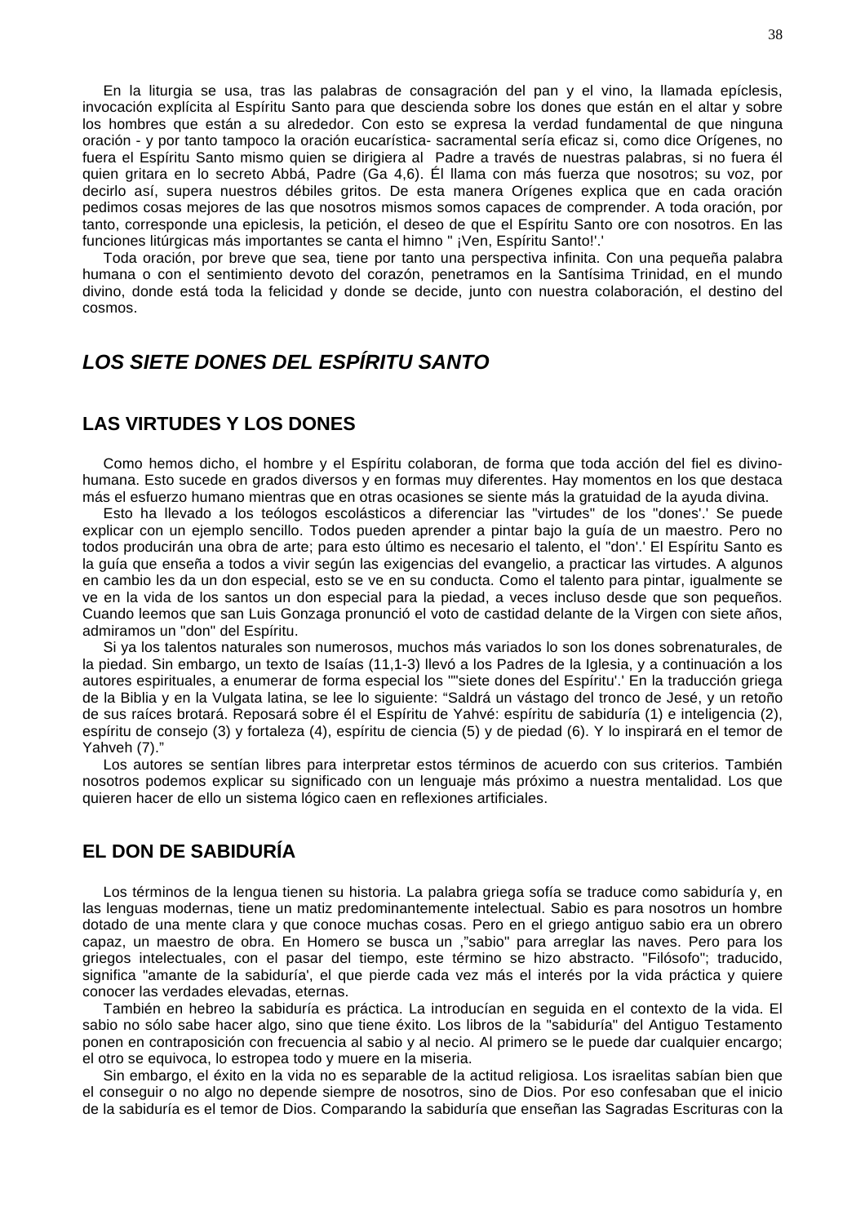<span id="page-37-0"></span>En la liturgia se usa, tras las palabras de consagración del pan y el vino, la llamada epíclesis, invocación explícita al Espíritu Santo para que descienda sobre los dones que están en el altar y sobre los hombres que están a su alrededor. Con esto se expresa la verdad fundamental de que ninguna oración - y por tanto tampoco la oración eucarística- sacramental sería eficaz si, como dice Orígenes, no fuera el Espíritu Santo mismo quien se dirigiera al Padre a través de nuestras palabras, si no fuera él quien gritara en lo secreto Abbá, Padre (Ga 4,6). Él llama con más fuerza que nosotros; su voz, por decirlo así, supera nuestros débiles gritos. De esta manera Orígenes explica que en cada oración pedimos cosas mejores de las que nosotros mismos somos capaces de comprender. A toda oración, por tanto, corresponde una epiclesis, la petición, el deseo de que el Espíritu Santo ore con nosotros. En las funciones litúrgicas más importantes se canta el himno " ¡Ven, Espíritu Santo!'.'

Toda oración, por breve que sea, tiene por tanto una perspectiva infinita. Con una pequeña palabra humana o con el sentimiento devoto del corazón, penetramos en la Santísima Trinidad, en el mundo divino, donde está toda la felicidad y donde se decide, junto con nuestra colaboración, el destino del cosmos.

# *LOS SIETE DONES DEL ESPÍRITU SANTO*

## **LAS VIRTUDES Y LOS DONES**

Como hemos dicho, el hombre y el Espíritu colaboran, de forma que toda acción del fiel es divinohumana. Esto sucede en grados diversos y en formas muy diferentes. Hay momentos en los que destaca más el esfuerzo humano mientras que en otras ocasiones se siente más la gratuidad de la ayuda divina.

Esto ha llevado a los teólogos escolásticos a diferenciar las "virtudes" de los "dones'.' Se puede explicar con un ejemplo sencillo. Todos pueden aprender a pintar bajo la guía de un maestro. Pero no todos producirán una obra de arte; para esto último es necesario el talento, el "don'.' El Espíritu Santo es la guía que enseña a todos a vivir según las exigencias del evangelio, a practicar las virtudes. A algunos en cambio les da un don especial, esto se ve en su conducta. Como el talento para pintar, igualmente se ve en la vida de los santos un don especial para la piedad, a veces incluso desde que son pequeños. Cuando leemos que san Luis Gonzaga pronunció el voto de castidad delante de la Virgen con siete años, admiramos un "don" del Espíritu.

Si ya los talentos naturales son numerosos, muchos más variados lo son los dones sobrenaturales, de la piedad. Sin embargo, un texto de Isaías (11,1-3) llevó a los Padres de la Iglesia, y a continuación a los autores espirituales, a enumerar de forma especial los ""siete dones del Espíritu'.' En la traducción griega de la Biblia y en la Vulgata latina, se lee lo siguiente: "Saldrá un vástago del tronco de Jesé, y un retoño de sus raíces brotará. Reposará sobre él el Espíritu de Yahvé: espíritu de sabiduría (1) e inteligencia (2), espíritu de consejo (3) y fortaleza (4), espíritu de ciencia (5) y de piedad (6). Y lo inspirará en el temor de Yahveh (7)."

Los autores se sentían libres para interpretar estos términos de acuerdo con sus criterios. También nosotros podemos explicar su significado con un lenguaje más próximo a nuestra mentalidad. Los que quieren hacer de ello un sistema lógico caen en reflexiones artificiales.

# **EL DON DE SABIDURÍA**

Los términos de la lengua tienen su historia. La palabra griega sofía se traduce como sabiduría y, en las lenguas modernas, tiene un matiz predominantemente intelectual. Sabio es para nosotros un hombre dotado de una mente clara y que conoce muchas cosas. Pero en el griego antiguo sabio era un obrero capaz, un maestro de obra. En Homero se busca un ,"sabio" para arreglar las naves. Pero para los griegos intelectuales, con el pasar del tiempo, este término se hizo abstracto. "Filósofo"; traducido, significa "amante de la sabiduría', el que pierde cada vez más el interés por la vida práctica y quiere conocer las verdades elevadas, eternas.

También en hebreo la sabiduría es práctica. La introducían en seguida en el contexto de la vida. El sabio no sólo sabe hacer algo, sino que tiene éxito. Los libros de la "sabiduría" del Antiguo Testamento ponen en contraposición con frecuencia al sabio y al necio. Al primero se le puede dar cualquier encargo; el otro se equivoca, lo estropea todo y muere en la miseria.

Sin embargo, el éxito en la vida no es separable de la actitud religiosa. Los israelitas sabían bien que el conseguir o no algo no depende siempre de nosotros, sino de Dios. Por eso confesaban que el inicio de la sabiduría es el temor de Dios. Comparando la sabiduría que enseñan las Sagradas Escrituras con la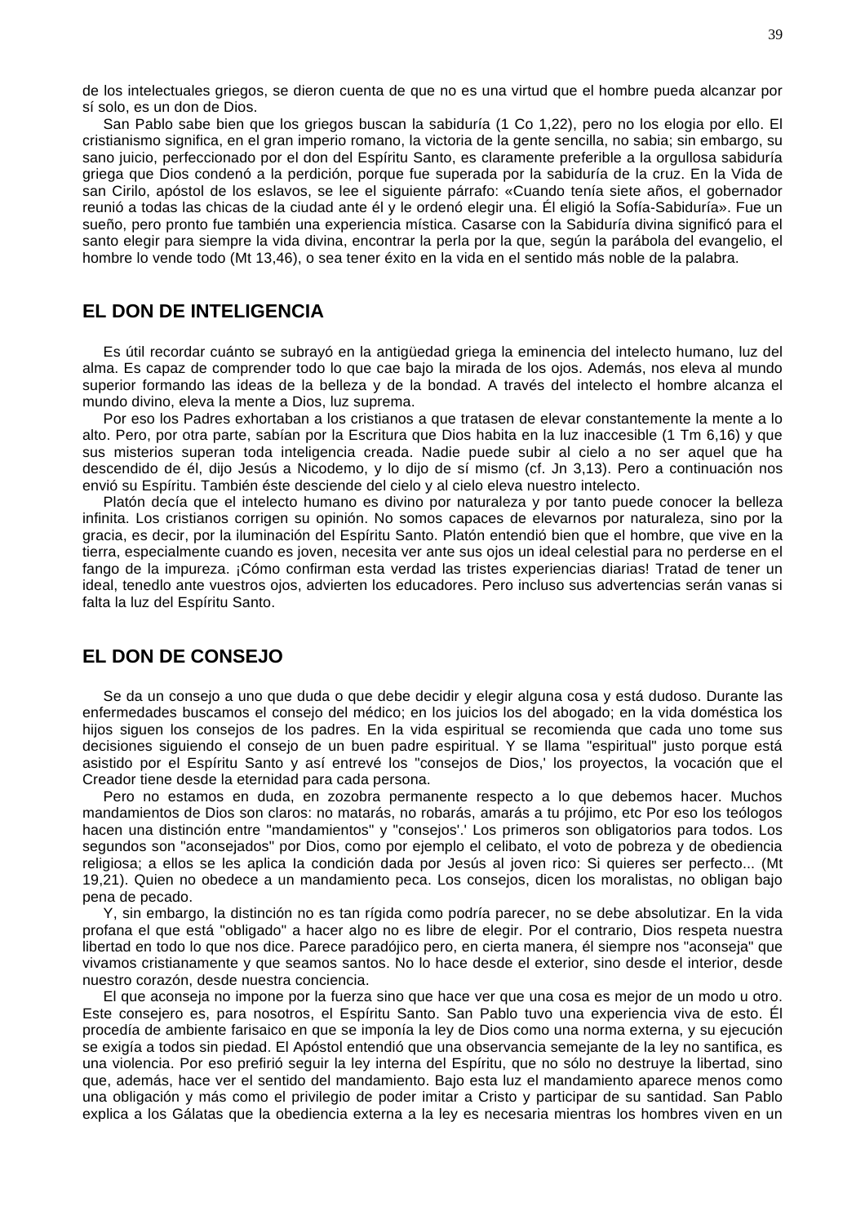<span id="page-38-0"></span>de los intelectuales griegos, se dieron cuenta de que no es una virtud que el hombre pueda alcanzar por sí solo, es un don de Dios.

San Pablo sabe bien que los griegos buscan la sabiduría (1 Co 1,22), pero no los elogia por ello. El cristianismo significa, en el gran imperio romano, la victoria de la gente sencilla, no sabia; sin embargo, su sano juicio, perfeccionado por el don del Espíritu Santo, es claramente preferible a la orgullosa sabiduría griega que Dios condenó a la perdición, porque fue superada por la sabiduría de la cruz. En la Vida de san Cirilo, apóstol de los eslavos, se lee el siguiente párrafo: «Cuando tenía siete años, el gobernador reunió a todas las chicas de la ciudad ante él y le ordenó elegir una. Él eligió la Sofía-Sabiduría». Fue un sueño, pero pronto fue también una experiencia mística. Casarse con la Sabiduría divina significó para el santo elegir para siempre la vida divina, encontrar la perla por la que, según la parábola del evangelio, el hombre lo vende todo (Mt 13,46), o sea tener éxito en la vida en el sentido más noble de la palabra.

### **EL DON DE INTELIGENCIA**

Es útil recordar cuánto se subrayó en la antigüedad griega la eminencia del intelecto humano, luz del alma. Es capaz de comprender todo lo que cae bajo la mirada de los ojos. Además, nos eleva al mundo superior formando las ideas de la belleza y de la bondad. A través del intelecto el hombre alcanza el mundo divino, eleva la mente a Dios, luz suprema.

Por eso los Padres exhortaban a los cristianos a que tratasen de elevar constantemente la mente a lo alto. Pero, por otra parte, sabían por la Escritura que Dios habita en la luz inaccesible (1 Tm 6,16) y que sus misterios superan toda inteligencia creada. Nadie puede subir al cielo a no ser aquel que ha descendido de él, dijo Jesús a Nicodemo, y lo dijo de sí mismo (cf. Jn 3,13). Pero a continuación nos envió su Espíritu. También éste desciende del cielo y al cielo eleva nuestro intelecto.

Platón decía que el intelecto humano es divino por naturaleza y por tanto puede conocer la belleza infinita. Los cristianos corrigen su opinión. No somos capaces de elevarnos por naturaleza, sino por la gracia, es decir, por la iluminación del Espíritu Santo. Platón entendió bien que el hombre, que vive en la tierra, especialmente cuando es joven, necesita ver ante sus ojos un ideal celestial para no perderse en el fango de la impureza. ¡Cómo confirman esta verdad las tristes experiencias diarias! Tratad de tener un ideal, tenedlo ante vuestros ojos, advierten los educadores. Pero incluso sus advertencias serán vanas si falta la luz del Espíritu Santo.

### **EL DON DE CONSEJO**

Se da un consejo a uno que duda o que debe decidir y elegir alguna cosa y está dudoso. Durante las enfermedades buscamos el consejo del médico; en los juicios los del abogado; en la vida doméstica los hijos siguen los consejos de los padres. En la vida espiritual se recomienda que cada uno tome sus decisiones siguiendo el consejo de un buen padre espiritual. Y se llama "espiritual" justo porque está asistido por el Espíritu Santo y así entrevé los "consejos de Dios,' los proyectos, la vocación que el Creador tiene desde la eternidad para cada persona.

Pero no estamos en duda, en zozobra permanente respecto a lo que debemos hacer. Muchos mandamientos de Dios son claros: no matarás, no robarás, amarás a tu prójimo, etc Por eso los teólogos hacen una distinción entre "mandamientos" y "consejos'.' Los primeros son obligatorios para todos. Los segundos son "aconsejados" por Dios, como por ejemplo el celibato, el voto de pobreza y de obediencia religiosa; a ellos se les aplica Ia condición dada por Jesús al joven rico: Si quieres ser perfecto... (Mt 19,21). Quien no obedece a un mandamiento peca. Los consejos, dicen los moralistas, no obligan bajo pena de pecado.

Y, sin embargo, la distinción no es tan rígida como podría parecer, no se debe absolutizar. En la vida profana el que está "obligado" a hacer algo no es libre de elegir. Por el contrario, Dios respeta nuestra libertad en todo lo que nos dice. Parece paradójico pero, en cierta manera, él siempre nos "aconseja" que vivamos cristianamente y que seamos santos. No lo hace desde el exterior, sino desde el interior, desde nuestro corazón, desde nuestra conciencia.

El que aconseja no impone por la fuerza sino que hace ver que una cosa es mejor de un modo u otro. Este consejero es, para nosotros, el Espíritu Santo. San Pablo tuvo una experiencia viva de esto. Él procedía de ambiente farisaico en que se imponía la ley de Dios como una norma externa, y su ejecución se exigía a todos sin piedad. El Apóstol entendió que una observancia semejante de la ley no santifica, es una violencia. Por eso prefirió seguir la ley interna del Espíritu, que no sólo no destruye la libertad, sino que, además, hace ver el sentido del mandamiento. Bajo esta luz el mandamiento aparece menos como una obligación y más como el privilegio de poder imitar a Cristo y participar de su santidad. San Pablo explica a los Gálatas que la obediencia externa a la ley es necesaria mientras los hombres viven en un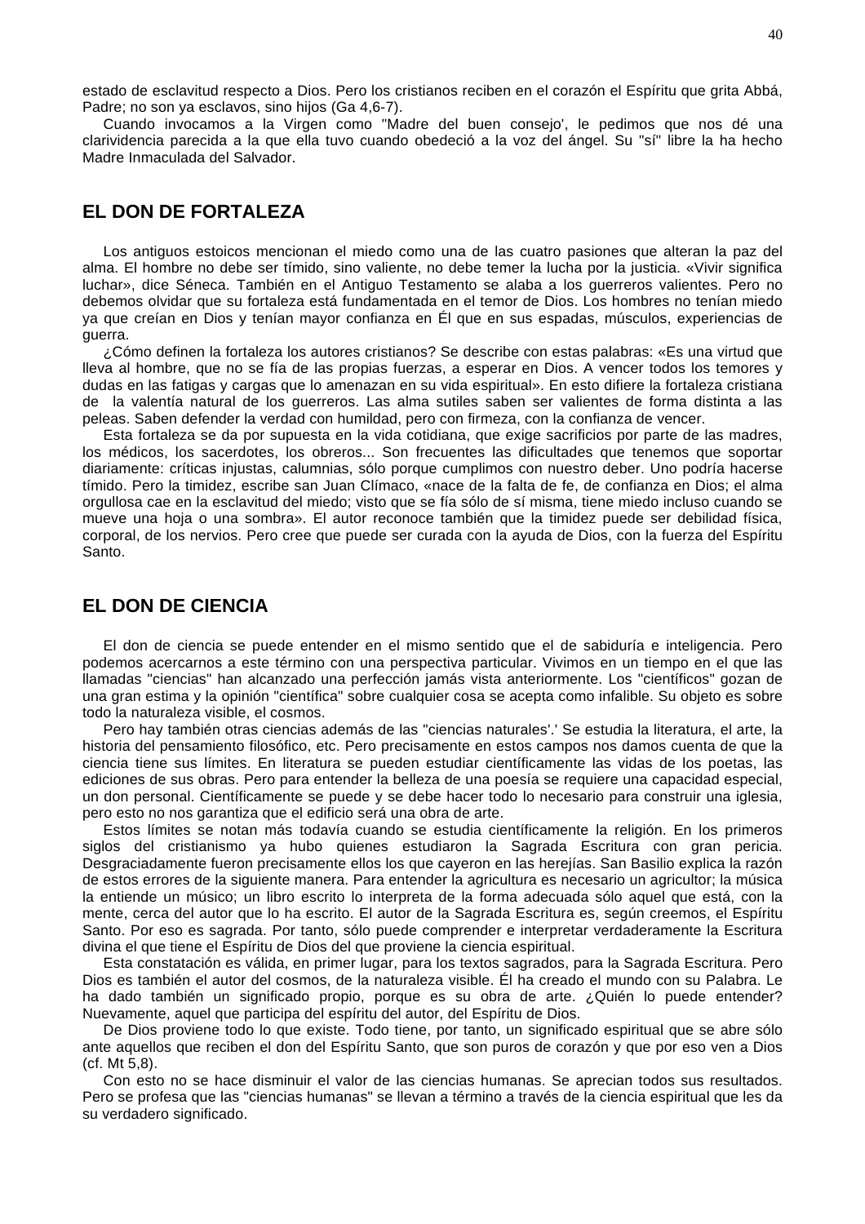<span id="page-39-0"></span>estado de esclavitud respecto a Dios. Pero los cristianos reciben en el corazón el Espíritu que grita Abbá, Padre; no son ya esclavos, sino hijos (Ga 4,6-7).

Cuando invocamos a la Virgen como "Madre del buen consejo', le pedimos que nos dé una clarividencia parecida a la que ella tuvo cuando obedeció a la voz del ángel. Su "sí" libre la ha hecho Madre Inmaculada del Salvador.

## **EL DON DE FORTALEZA**

Los antiguos estoicos mencionan el miedo como una de las cuatro pasiones que alteran la paz del alma. El hombre no debe ser tímido, sino valiente, no debe temer la lucha por la justicia. «Vivir significa luchar», dice Séneca. También en el Antiguo Testamento se alaba a los guerreros valientes. Pero no debemos olvidar que su fortaleza está fundamentada en el temor de Dios. Los hombres no tenían miedo ya que creían en Dios y tenían mayor confianza en Él que en sus espadas, músculos, experiencias de guerra.

¿Cómo definen la fortaleza los autores cristianos? Se describe con estas palabras: «Es una virtud que lleva al hombre, que no se fía de las propias fuerzas, a esperar en Dios. A vencer todos los temores y dudas en las fatigas y cargas que lo amenazan en su vida espiritual». En esto difiere la fortaleza cristiana de la valentía natural de los guerreros. Las alma sutiles saben ser valientes de forma distinta a las peleas. Saben defender la verdad con humildad, pero con firmeza, con la confianza de vencer.

Esta fortaleza se da por supuesta en la vida cotidiana, que exige sacrificios por parte de las madres, los médicos, los sacerdotes, los obreros... Son frecuentes las dificultades que tenemos que soportar diariamente: críticas injustas, calumnias, sólo porque cumplimos con nuestro deber. Uno podría hacerse tímido. Pero la timidez, escribe san Juan Clímaco, «nace de la falta de fe, de confianza en Dios; el alma orgullosa cae en la esclavitud del miedo; visto que se fía sólo de sí misma, tiene miedo incluso cuando se mueve una hoja o una sombra». El autor reconoce también que la timidez puede ser debilidad física, corporal, de los nervios. Pero cree que puede ser curada con la ayuda de Dios, con la fuerza del Espíritu Santo.

### **EL DON DE CIENCIA**

El don de ciencia se puede entender en el mismo sentido que el de sabiduría e inteligencia. Pero podemos acercarnos a este término con una perspectiva particular. Vivimos en un tiempo en el que las llamadas "ciencias" han alcanzado una perfección jamás vista anteriormente. Los "científicos" gozan de una gran estima y la opinión "científica" sobre cualquier cosa se acepta como infalible. Su objeto es sobre todo la naturaleza visible, el cosmos.

Pero hay también otras ciencias además de las "ciencias naturales'.' Se estudia la literatura, el arte, la historia del pensamiento filosófico, etc. Pero precisamente en estos campos nos damos cuenta de que la ciencia tiene sus límites. En literatura se pueden estudiar científicamente las vidas de los poetas, las ediciones de sus obras. Pero para entender la belleza de una poesía se requiere una capacidad especial, un don personal. Científicamente se puede y se debe hacer todo lo necesario para construir una iglesia, pero esto no nos garantiza que el edificio será una obra de arte.

Estos límites se notan más todavía cuando se estudia científicamente la religión. En los primeros siglos del cristianismo ya hubo quienes estudiaron la Sagrada Escritura con gran pericia. Desgraciadamente fueron precisamente ellos los que cayeron en las herejías. San Basilio explica la razón de estos errores de la siguiente manera. Para entender la agricultura es necesario un agricultor; la música la entiende un músico; un libro escrito lo interpreta de la forma adecuada sólo aquel que está, con la mente, cerca del autor que lo ha escrito. El autor de la Sagrada Escritura es, según creemos, el Espíritu Santo. Por eso es sagrada. Por tanto, sólo puede comprender e interpretar verdaderamente la Escritura divina el que tiene el Espíritu de Dios del que proviene la ciencia espiritual.

Esta constatación es válida, en primer lugar, para los textos sagrados, para la Sagrada Escritura. Pero Dios es también el autor del cosmos, de la naturaleza visible. Él ha creado el mundo con su Palabra. Le ha dado también un significado propio, porque es su obra de arte. ¿Quién lo puede entender? Nuevamente, aquel que participa del espíritu del autor, del Espíritu de Dios.

De Dios proviene todo lo que existe. Todo tiene, por tanto, un significado espiritual que se abre sólo ante aquellos que reciben el don del Espíritu Santo, que son puros de corazón y que por eso ven a Dios (cf. Mt 5,8).

Con esto no se hace disminuir el valor de las ciencias humanas. Se aprecian todos sus resultados. Pero se profesa que las "ciencias humanas" se llevan a término a través de la ciencia espiritual que les da su verdadero significado.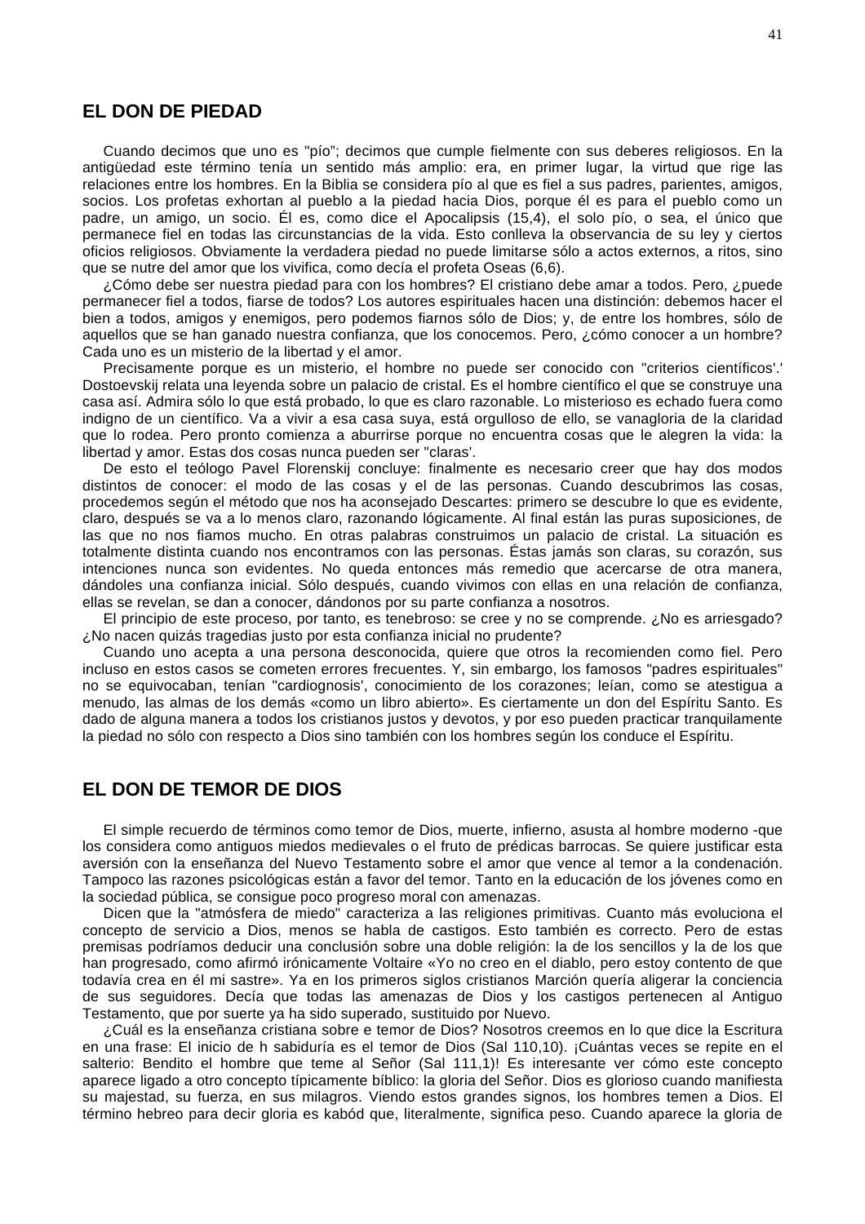### <span id="page-40-0"></span>**EL DON DE PIEDAD**

Cuando decimos que uno es "pío"; decimos que cumple fielmente con sus deberes religiosos. En la antigüedad este término tenía un sentido más amplio: era, en primer lugar, la virtud que rige las relaciones entre los hombres. En la Biblia se considera pío al que es fiel a sus padres, parientes, amigos, socios. Los profetas exhortan al pueblo a la piedad hacia Dios, porque él es para el pueblo como un padre, un amigo, un socio. Él es, como dice el Apocalipsis (15,4), el solo pío, o sea, el único que permanece fiel en todas las circunstancias de la vida. Esto conlleva la observancia de su ley y ciertos oficios religiosos. Obviamente la verdadera piedad no puede limitarse sólo a actos externos, a ritos, sino que se nutre del amor que los vivifica, como decía el profeta Oseas (6,6).

¿Cómo debe ser nuestra piedad para con los hombres? El cristiano debe amar a todos. Pero, ¿puede permanecer fiel a todos, fiarse de todos? Los autores espirituales hacen una distinción: debemos hacer el bien a todos, amigos y enemigos, pero podemos fiarnos sólo de Dios; y, de entre los hombres, sólo de aquellos que se han ganado nuestra confianza, que los conocemos. Pero, ¿cómo conocer a un hombre? Cada uno es un misterio de la libertad y el amor.

Precisamente porque es un misterio, el hombre no puede ser conocido con "criterios científicos'.' Dostoevskij relata una leyenda sobre un palacio de cristal. Es el hombre científico el que se construye una casa así. Admira sólo lo que está probado, lo que es claro razonable. Lo misterioso es echado fuera como indigno de un científico. Va a vivir a esa casa suya, está orgulloso de ello, se vanagloria de la claridad que lo rodea. Pero pronto comienza a aburrirse porque no encuentra cosas que le alegren la vida: la libertad y amor. Estas dos cosas nunca pueden ser "claras'.

De esto el teólogo Pavel Florenskij concluye: finalmente es necesario creer que hay dos modos distintos de conocer: el modo de las cosas y el de las personas. Cuando descubrimos las cosas, procedemos según el método que nos ha aconsejado Descartes: primero se descubre lo que es evidente, claro, después se va a lo menos claro, razonando lógicamente. Al final están las puras suposiciones, de las que no nos fiamos mucho. En otras palabras construimos un palacio de cristal. La situación es totalmente distinta cuando nos encontramos con las personas. Éstas jamás son claras, su corazón, sus intenciones nunca son evidentes. No queda entonces más remedio que acercarse de otra manera, dándoles una confianza inicial. Sólo después, cuando vivimos con ellas en una relación de confianza, ellas se revelan, se dan a conocer, dándonos por su parte confianza a nosotros.

El principio de este proceso, por tanto, es tenebroso: se cree y no se comprende. ¿No es arriesgado? ¿No nacen quizás tragedias justo por esta confianza inicial no prudente?

Cuando uno acepta a una persona desconocida, quiere que otros la recomienden como fiel. Pero incluso en estos casos se cometen errores frecuentes. Y, sin embargo, los famosos "padres espirituales" no se equivocaban, tenían "cardiognosis', conocimiento de los corazones; leían, como se atestigua a menudo, las almas de los demás «como un libro abierto». Es ciertamente un don del Espíritu Santo. Es dado de alguna manera a todos los cristianos justos y devotos, y por eso pueden practicar tranquilamente la piedad no sólo con respecto a Dios sino también con los hombres según los conduce el Espíritu.

## **EL DON DE TEMOR DE DIOS**

El simple recuerdo de términos como temor de Dios, muerte, infierno, asusta al hombre moderno -que los considera como antiguos miedos medievales o el fruto de prédicas barrocas. Se quiere justificar esta aversión con la enseñanza del Nuevo Testamento sobre el amor que vence al temor a la condenación. Tampoco las razones psicológicas están a favor del temor. Tanto en la educación de los jóvenes como en la sociedad pública, se consigue poco progreso moral con amenazas.

Dicen que la "atmósfera de miedo" caracteriza a las religiones primitivas. Cuanto más evoluciona el concepto de servicio a Dios, menos se habla de castigos. Esto también es correcto. Pero de estas premisas podríamos deducir una conclusión sobre una doble religión: la de los sencillos y la de los que han progresado, como afirmó irónicamente Voltaire «Yo no creo en el diablo, pero estoy contento de que todavía crea en él mi sastre». Ya en Ios primeros siglos cristianos Marción quería aligerar la conciencia de sus seguidores. Decía que todas las amenazas de Dios y los castigos pertenecen al Antiguo Testamento, que por suerte ya ha sido superado, sustituido por Nuevo.

¿Cuál es la enseñanza cristiana sobre e temor de Dios? Nosotros creemos en lo que dice la Escritura en una frase: El inicio de h sabiduría es el temor de Dios (Sal 110,10). ¡Cuántas veces se repite en el salterio: Bendito el hombre que teme al Señor (Sal 111,1)! Es interesante ver cómo este concepto aparece ligado a otro concepto típicamente bíblico: la gloria del Señor. Dios es glorioso cuando manifiesta su majestad, su fuerza, en sus milagros. Viendo estos grandes signos, los hombres temen a Dios. El término hebreo para decir gloria es kabód que, literalmente, significa peso. Cuando aparece la gloria de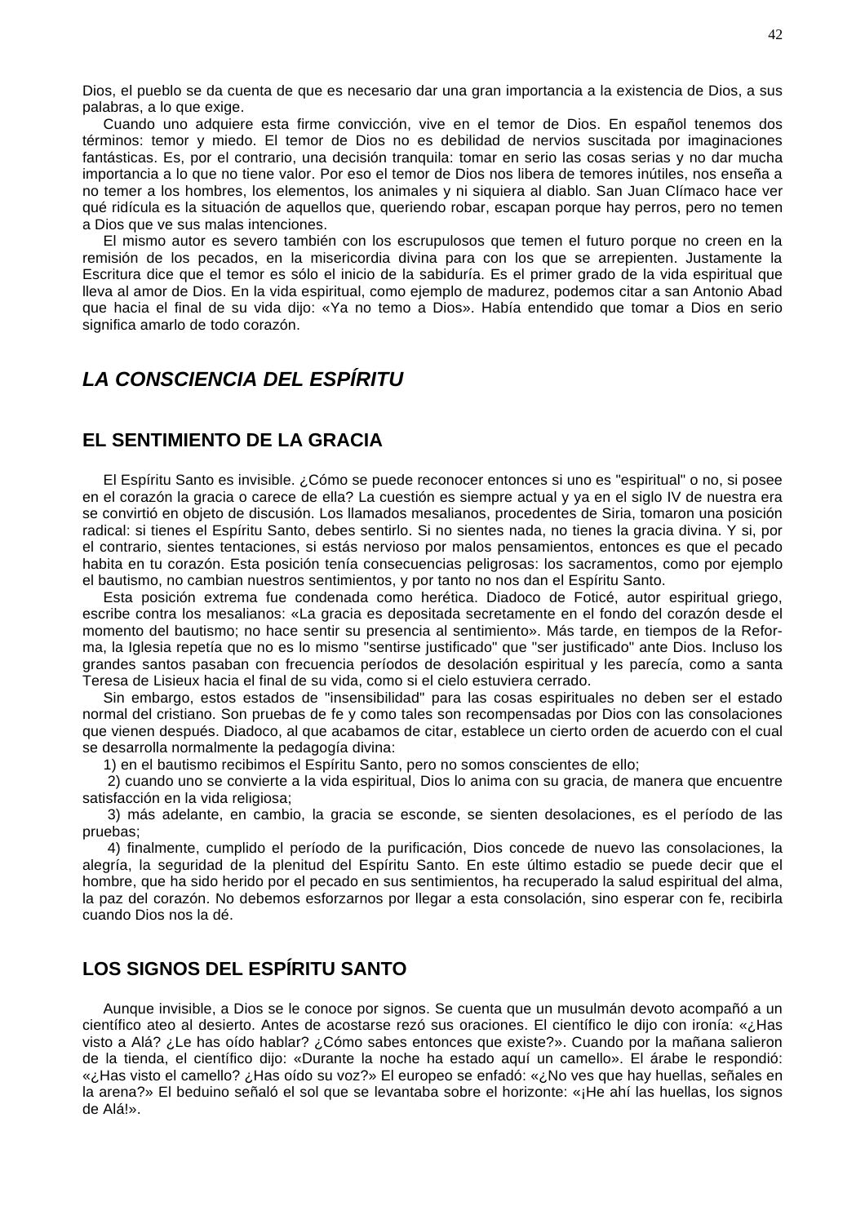<span id="page-41-0"></span>Dios, el pueblo se da cuenta de que es necesario dar una gran importancia a la existencia de Dios, a sus palabras, a lo que exige.

Cuando uno adquiere esta firme convicción, vive en el temor de Dios. En español tenemos dos términos: temor y miedo. El temor de Dios no es debilidad de nervios suscitada por imaginaciones fantásticas. Es, por el contrario, una decisión tranquila: tomar en serio las cosas serias y no dar mucha importancia a lo que no tiene valor. Por eso el temor de Dios nos libera de temores inútiles, nos enseña a no temer a los hombres, los elementos, los animales y ni siquiera al diablo. San Juan Clímaco hace ver qué ridícula es la situación de aquellos que, queriendo robar, escapan porque hay perros, pero no temen a Dios que ve sus malas intenciones.

El mismo autor es severo también con los escrupulosos que temen el futuro porque no creen en la remisión de los pecados, en la misericordia divina para con los que se arrepienten. Justamente la Escritura dice que el temor es sólo el inicio de la sabiduría. Es el primer grado de la vida espiritual que lleva al amor de Dios. En la vida espiritual, como ejemplo de madurez, podemos citar a san Antonio Abad que hacia el final de su vida dijo: «Ya no temo a Dios». Había entendido que tomar a Dios en serio significa amarlo de todo corazón.

# *LA CONSCIENCIA DEL ESPÍRITU*

## **EL SENTIMIENTO DE LA GRACIA**

El Espíritu Santo es invisible. ¿Cómo se puede reconocer entonces si uno es "espiritual" o no, si posee en el corazón la gracia o carece de ella? La cuestión es siempre actual y ya en el siglo IV de nuestra era se convirtió en objeto de discusión. Los llamados mesalianos, procedentes de Siria, tomaron una posición radical: si tienes el Espíritu Santo, debes sentirlo. Si no sientes nada, no tienes la gracia divina. Y si, por el contrario, sientes tentaciones, si estás nervioso por malos pensamientos, entonces es que el pecado habita en tu corazón. Esta posición tenía consecuencias peligrosas: los sacramentos, como por ejemplo el bautismo, no cambian nuestros sentimientos, y por tanto no nos dan el Espíritu Santo.

Esta posición extrema fue condenada como herética. Diadoco de Foticé, autor espiritual griego, escribe contra los mesalianos: «La gracia es depositada secretamente en el fondo del corazón desde el momento del bautismo; no hace sentir su presencia al sentimiento». Más tarde, en tiempos de la Reforma, la Iglesia repetía que no es lo mismo "sentirse justificado" que "ser justificado" ante Dios. Incluso los grandes santos pasaban con frecuencia períodos de desolación espiritual y les parecía, como a santa Teresa de Lisieux hacia el final de su vida, como si el cielo estuviera cerrado.

Sin embargo, estos estados de "insensibilidad" para las cosas espirituales no deben ser el estado normal del cristiano. Son pruebas de fe y como tales son recompensadas por Dios con las consolaciones que vienen después. Diadoco, al que acabamos de citar, establece un cierto orden de acuerdo con el cual se desarrolla normalmente la pedagogía divina:

1) en el bautismo recibimos el Espíritu Santo, pero no somos conscientes de ello;

 2) cuando uno se convierte a la vida espiritual, Dios lo anima con su gracia, de manera que encuentre satisfacción en la vida religiosa;

 3) más adelante, en cambio, la gracia se esconde, se sienten desolaciones, es el período de las pruebas;

 4) finalmente, cumplido el período de la purificación, Dios concede de nuevo las consolaciones, la alegría, la seguridad de la plenitud del Espíritu Santo. En este último estadio se puede decir que el hombre, que ha sido herido por el pecado en sus sentimientos, ha recuperado la salud espiritual del alma, la paz del corazón. No debemos esforzarnos por llegar a esta consolación, sino esperar con fe, recibirla cuando Dios nos la dé.

# **LOS SIGNOS DEL ESPÍRITU SANTO**

Aunque invisible, a Dios se le conoce por signos. Se cuenta que un musulmán devoto acompañó a un científico ateo al desierto. Antes de acostarse rezó sus oraciones. El científico le dijo con ironía: «¿Has visto a Alá? ¿Le has oído hablar? ¿Cómo sabes entonces que existe?». Cuando por la mañana salieron de la tienda, el científico dijo: «Durante la noche ha estado aquí un camello». El árabe le respondió: «¿Has visto el camello? ¿Has oído su voz?» El europeo se enfadó: «¿No ves que hay huellas, señales en la arena?» El beduino señaló el sol que se levantaba sobre el horizonte: «¡He ahí las huellas, los signos de Alá!».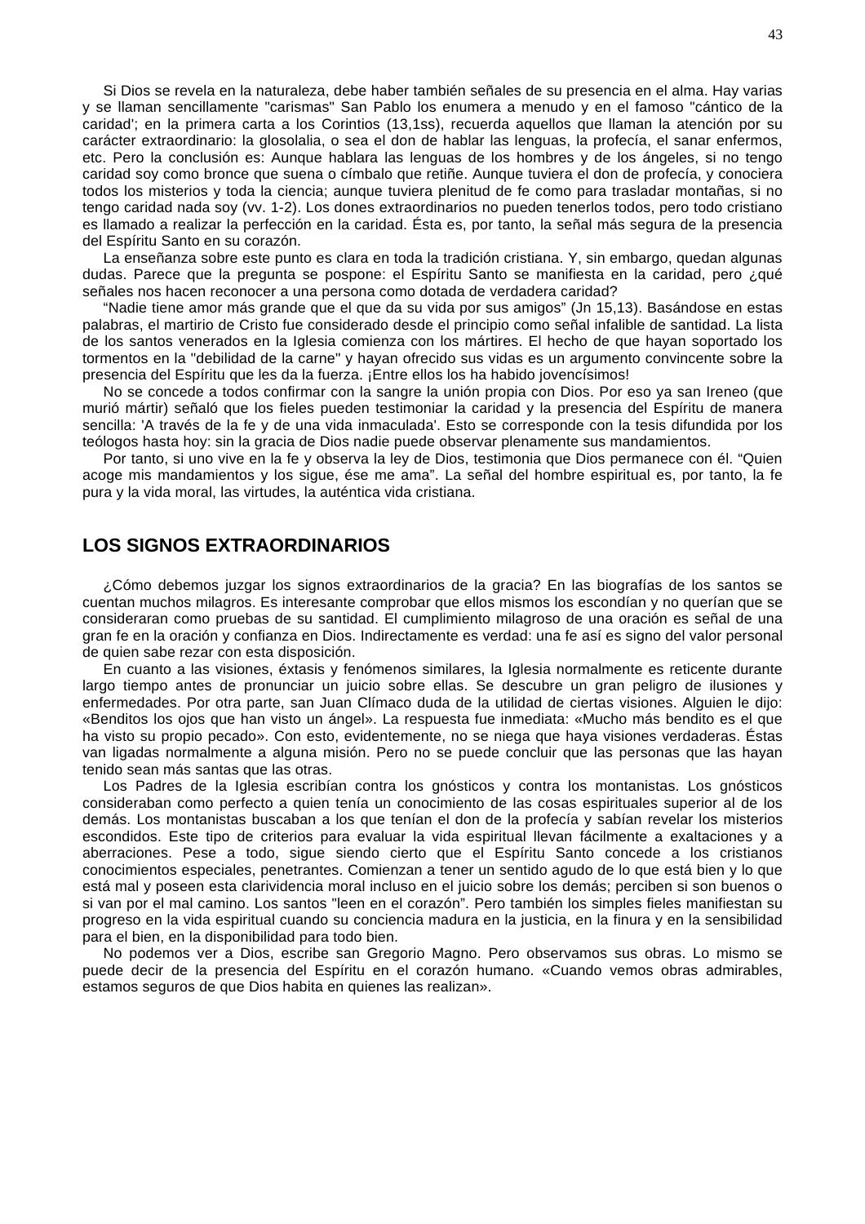<span id="page-42-0"></span>Si Dios se revela en la naturaleza, debe haber también señales de su presencia en el alma. Hay varias y se llaman sencillamente "carismas" San Pablo los enumera a menudo y en el famoso "cántico de la caridad'; en la primera carta a los Corintios (13,1ss), recuerda aquellos que llaman la atención por su carácter extraordinario: la glosolalia, o sea el don de hablar las lenguas, la profecía, el sanar enfermos, etc. Pero la conclusión es: Aunque hablara las lenguas de los hombres y de los ángeles, si no tengo caridad soy como bronce que suena o címbalo que retiñe. Aunque tuviera el don de profecía, y conociera todos los misterios y toda la ciencia; aunque tuviera plenitud de fe como para trasladar montañas, si no tengo caridad nada soy (vv. 1-2). Los dones extraordinarios no pueden tenerlos todos, pero todo cristiano es llamado a realizar la perfección en la caridad. Ésta es, por tanto, la señal más segura de la presencia del Espíritu Santo en su corazón.

La enseñanza sobre este punto es clara en toda la tradición cristiana. Y, sin embargo, quedan algunas dudas. Parece que la pregunta se pospone: el Espíritu Santo se manifiesta en la caridad, pero ¿qué señales nos hacen reconocer a una persona como dotada de verdadera caridad?

"Nadie tiene amor más grande que el que da su vida por sus amigos" (Jn 15,13). Basándose en estas palabras, el martirio de Cristo fue considerado desde el principio como señal infalible de santidad. La lista de los santos venerados en la Iglesia comienza con los mártires. El hecho de que hayan soportado los tormentos en la "debilidad de la carne" y hayan ofrecido sus vidas es un argumento convincente sobre la presencia del Espíritu que les da la fuerza. ¡Entre ellos los ha habido jovencísimos!

No se concede a todos confirmar con la sangre la unión propia con Dios. Por eso ya san Ireneo (que murió mártir) señaló que los fieles pueden testimoniar la caridad y la presencia del Espíritu de manera sencilla: 'A través de la fe y de una vida inmaculada'. Esto se corresponde con la tesis difundida por los teólogos hasta hoy: sin la gracia de Dios nadie puede observar plenamente sus mandamientos.

Por tanto, si uno vive en la fe y observa la ley de Dios, testimonia que Dios permanece con él. "Quien acoge mis mandamientos y los sigue, ése me ama". La señal del hombre espiritual es, por tanto, la fe pura y la vida moral, las virtudes, la auténtica vida cristiana.

### **LOS SIGNOS EXTRAORDINARIOS**

¿Cómo debemos juzgar los signos extraordinarios de la gracia? En las biografías de los santos se cuentan muchos milagros. Es interesante comprobar que ellos mismos los escondían y no querían que se consideraran como pruebas de su santidad. El cumplimiento milagroso de una oración es señal de una gran fe en la oración y confianza en Dios. Indirectamente es verdad: una fe así es signo del valor personal de quien sabe rezar con esta disposición.

En cuanto a las visiones, éxtasis y fenómenos similares, la Iglesia normalmente es reticente durante largo tiempo antes de pronunciar un juicio sobre ellas. Se descubre un gran peligro de ilusiones y enfermedades. Por otra parte, san Juan Clímaco duda de la utilidad de ciertas visiones. Alguien le dijo: «Benditos los ojos que han visto un ángel». La respuesta fue inmediata: «Mucho más bendito es el que ha visto su propio pecado». Con esto, evidentemente, no se niega que haya visiones verdaderas. Éstas van ligadas normalmente a alguna misión. Pero no se puede concluir que las personas que las hayan tenido sean más santas que las otras.

Los Padres de la Iglesia escribían contra los gnósticos y contra los montanistas. Los gnósticos consideraban como perfecto a quien tenía un conocimiento de las cosas espirituales superior al de los demás. Los montanistas buscaban a los que tenían el don de la profecía y sabían revelar los misterios escondidos. Este tipo de criterios para evaluar la vida espiritual llevan fácilmente a exaltaciones y a aberraciones. Pese a todo, sigue siendo cierto que el Espíritu Santo concede a los cristianos conocimientos especiales, penetrantes. Comienzan a tener un sentido agudo de lo que está bien y lo que está mal y poseen esta clarividencia moral incluso en el juicio sobre los demás; perciben si son buenos o si van por el mal camino. Los santos "leen en el corazón". Pero también los simples fieles manifiestan su progreso en la vida espiritual cuando su conciencia madura en la justicia, en la finura y en la sensibilidad para el bien, en la disponibilidad para todo bien.

No podemos ver a Dios, escribe san Gregorio Magno. Pero observamos sus obras. Lo mismo se puede decir de la presencia del Espíritu en el corazón humano. «Cuando vemos obras admirables, estamos seguros de que Dios habita en quienes las realizan».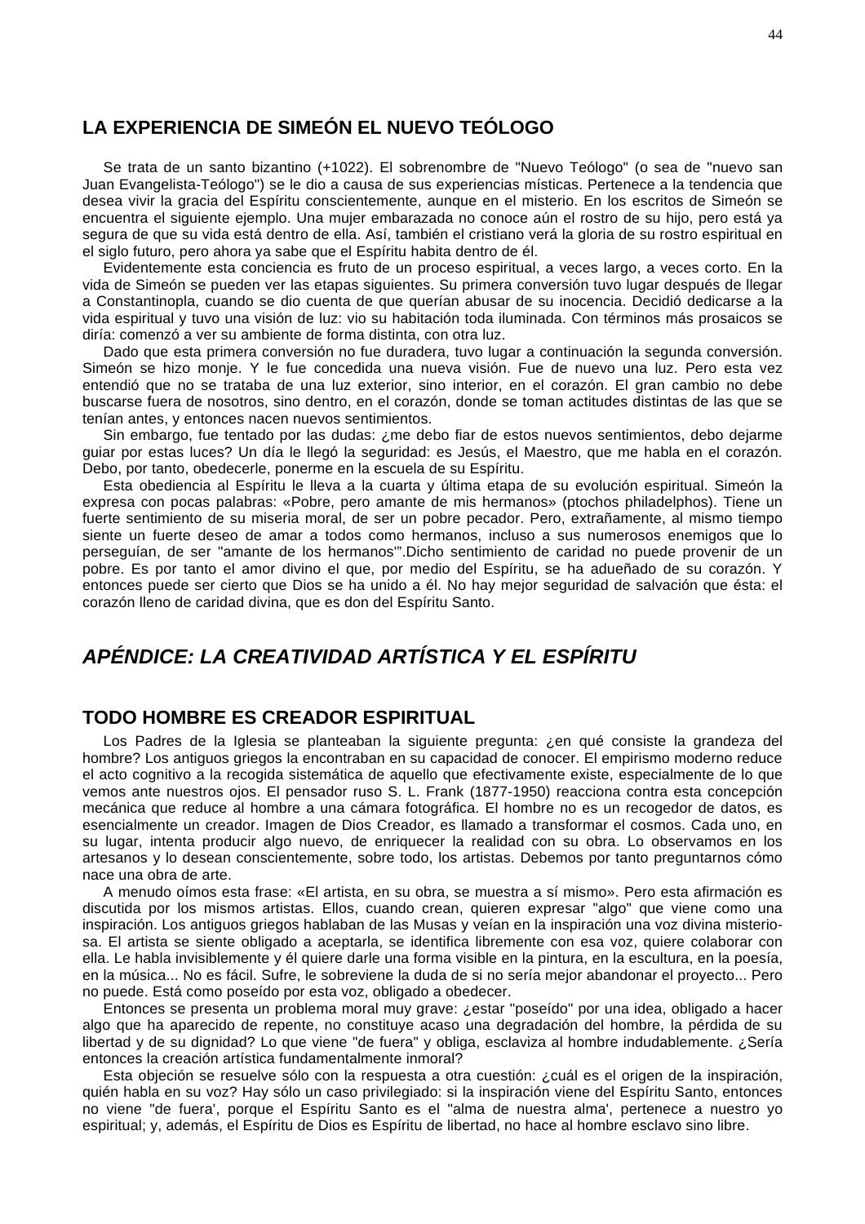# <span id="page-43-0"></span>**LA EXPERIENCIA DE SIMEÓN EL NUEVO TEÓLOGO**

Se trata de un santo bizantino (+1022). El sobrenombre de "Nuevo Teólogo" (o sea de "nuevo san Juan Evangelista-Teólogo") se le dio a causa de sus experiencias místicas. Pertenece a la tendencia que desea vivir la gracia del Espíritu conscientemente, aunque en el misterio. En los escritos de Simeón se encuentra el siguiente ejemplo. Una mujer embarazada no conoce aún el rostro de su hijo, pero está ya segura de que su vida está dentro de ella. Así, también el cristiano verá la gloria de su rostro espiritual en el siglo futuro, pero ahora ya sabe que el Espíritu habita dentro de él.

Evidentemente esta conciencia es fruto de un proceso espiritual, a veces largo, a veces corto. En la vida de Simeón se pueden ver las etapas siguientes. Su primera conversión tuvo lugar después de llegar a Constantinopla, cuando se dio cuenta de que querían abusar de su inocencia. Decidió dedicarse a la vida espiritual y tuvo una visión de luz: vio su habitación toda iluminada. Con términos más prosaicos se diría: comenzó a ver su ambiente de forma distinta, con otra luz.

Dado que esta primera conversión no fue duradera, tuvo lugar a continuación la segunda conversión. Simeón se hizo monje. Y le fue concedida una nueva visión. Fue de nuevo una luz. Pero esta vez entendió que no se trataba de una luz exterior, sino interior, en el corazón. El gran cambio no debe buscarse fuera de nosotros, sino dentro, en el corazón, donde se toman actitudes distintas de las que se tenían antes, y entonces nacen nuevos sentimientos.

Sin embargo, fue tentado por las dudas: ¿me debo fiar de estos nuevos sentimientos, debo dejarme guiar por estas luces? Un día le llegó la seguridad: es Jesús, el Maestro, que me habla en el corazón. Debo, por tanto, obedecerle, ponerme en la escuela de su Espíritu.

Esta obediencia al Espíritu le lleva a la cuarta y última etapa de su evolución espiritual. Simeón la expresa con pocas palabras: «Pobre, pero amante de mis hermanos» (ptochos philadelphos). Tiene un fuerte sentimiento de su miseria moral, de ser un pobre pecador. Pero, extrañamente, al mismo tiempo siente un fuerte deseo de amar a todos como hermanos, incluso a sus numerosos enemigos que lo perseguían, de ser "amante de los hermanos'".Dicho sentimiento de caridad no puede provenir de un pobre. Es por tanto el amor divino el que, por medio del Espíritu, se ha adueñado de su corazón. Y entonces puede ser cierto que Dios se ha unido a él. No hay mejor seguridad de salvación que ésta: el corazón lleno de caridad divina, que es don del Espíritu Santo.

# *APÉNDICE: LA CREATIVIDAD ARTÍSTICA Y EL ESPÍRITU*

# **TODO HOMBRE ES CREADOR ESPIRITUAL**

Los Padres de la Iglesia se planteaban la siguiente pregunta: ¿en qué consiste la grandeza del hombre? Los antiguos griegos la encontraban en su capacidad de conocer. El empirismo moderno reduce el acto cognitivo a la recogida sistemática de aquello que efectivamente existe, especialmente de lo que vemos ante nuestros ojos. El pensador ruso S. L. Frank (1877-1950) reacciona contra esta concepción mecánica que reduce al hombre a una cámara fotográfica. El hombre no es un recogedor de datos, es esencialmente un creador. Imagen de Dios Creador, es llamado a transformar el cosmos. Cada uno, en su lugar, intenta producir algo nuevo, de enriquecer la realidad con su obra. Lo observamos en los artesanos y lo desean conscientemente, sobre todo, los artistas. Debemos por tanto preguntarnos cómo nace una obra de arte.

A menudo oímos esta frase: «El artista, en su obra, se muestra a sí mismo». Pero esta afirmación es discutida por los mismos artistas. Ellos, cuando crean, quieren expresar "algo" que viene como una inspiración. Los antiguos griegos hablaban de las Musas y veían en la inspiración una voz divina misteriosa. El artista se siente obligado a aceptarla, se identifica libremente con esa voz, quiere colaborar con ella. Le habla invisiblemente y él quiere darle una forma visible en la pintura, en la escultura, en la poesía, en la música... No es fácil. Sufre, le sobreviene la duda de si no sería mejor abandonar el proyecto... Pero no puede. Está como poseído por esta voz, obligado a obedecer.

Entonces se presenta un problema moral muy grave: ¿estar "poseído" por una idea, obligado a hacer algo que ha aparecido de repente, no constituye acaso una degradación del hombre, la pérdida de su libertad y de su dignidad? Lo que viene "de fuera" y obliga, esclaviza al hombre indudablemente. ¿Sería entonces la creación artística fundamentalmente inmoral?

Esta objeción se resuelve sólo con la respuesta a otra cuestión: ¿cuál es el origen de la inspiración, quién habla en su voz? Hay sólo un caso privilegiado: si la inspiración viene del Espíritu Santo, entonces no viene "de fuera', porque el Espíritu Santo es el "alma de nuestra alma', pertenece a nuestro yo espiritual; y, además, el Espíritu de Dios es Espíritu de libertad, no hace al hombre esclavo sino libre.